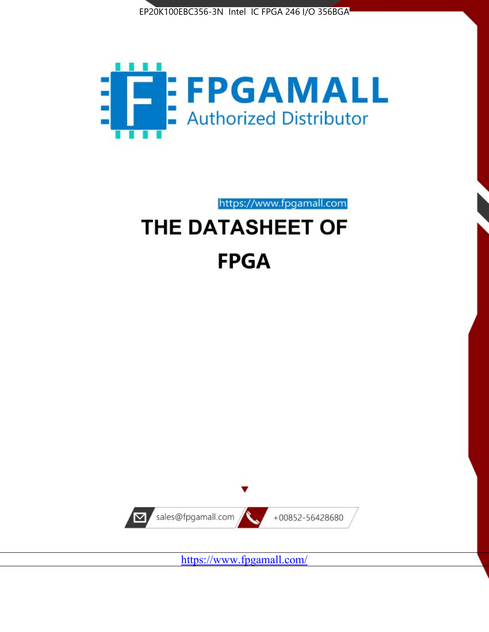



https://www.fpgamall.com

# THE DATASHEET OF **FPGA**



<https://www.fpgamall.com/>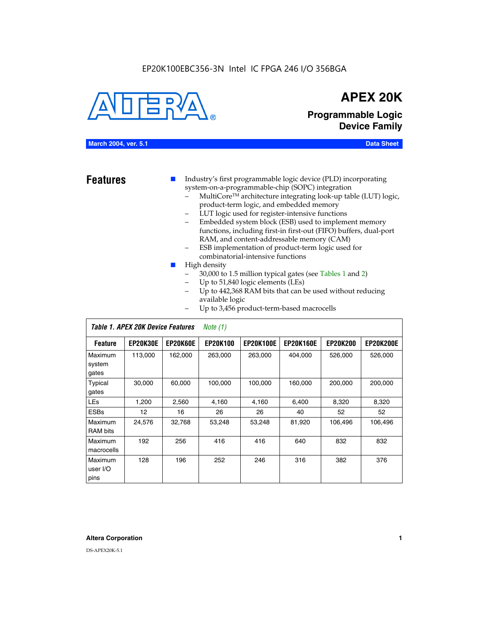#### EP20K100EBC356-3N Intel IC FPGA 246 I/O 356BGA



# **APEX 20K**

**Programmable Logic Device Family**

#### **March 2004, ver. 5.1 Data Sheet**

**Features ■** Industry's first programmable logic device (PLD) incorporating system-on-a-programmable-chip (SOPC) integration

- MultiCore™ architecture integrating look-up table (LUT) logic, product-term logic, and embedded memory
- LUT logic used for register-intensive functions
- Embedded system block (ESB) used to implement memory functions, including first-in first-out (FIFO) buffers, dual-port RAM, and content-addressable memory (CAM)
- ESB implementation of product-term logic used for combinatorial-intensive functions
- High density
	- 30,000 to 1.5 million typical gates (see Tables 1 and 2)
	- Up to 51,840 logic elements (LEs)
	- Up to 442,368 RAM bits that can be used without reducing available logic
	- Up to 3,456 product-term-based macrocells

|                             | Table 1. APEX 20K Device Features<br>Note $(1)$ |                 |                 |                  |                  |                 |                  |  |  |
|-----------------------------|-------------------------------------------------|-----------------|-----------------|------------------|------------------|-----------------|------------------|--|--|
| <b>Feature</b>              | <b>EP20K30E</b>                                 | <b>EP20K60E</b> | <b>EP20K100</b> | <b>EP20K100E</b> | <b>EP20K160E</b> | <b>EP20K200</b> | <b>EP20K200E</b> |  |  |
| Maximum<br>system<br>gates  | 113,000                                         | 162,000         | 263.000         | 263,000          | 404.000          | 526,000         | 526,000          |  |  |
| Typical<br>gates            | 30,000                                          | 60,000          | 100,000         | 100,000          | 160,000          | 200,000         | 200,000          |  |  |
| <b>LEs</b>                  | 1,200                                           | 2,560           | 4,160           | 4,160            | 6.400            | 8,320           | 8,320            |  |  |
| <b>ESBs</b>                 | 12                                              | 16              | 26              | 26               | 40               | 52              | 52               |  |  |
| Maximum<br><b>RAM</b> bits  | 24,576                                          | 32,768          | 53,248          | 53,248           | 81,920           | 106,496         | 106,496          |  |  |
| Maximum<br>macrocells       | 192                                             | 256             | 416             | 416              | 640              | 832             | 832              |  |  |
| Maximum<br>user I/O<br>pins | 128                                             | 196             | 252             | 246              | 316              | 382             | 376              |  |  |

#### **Altera Corporation 1**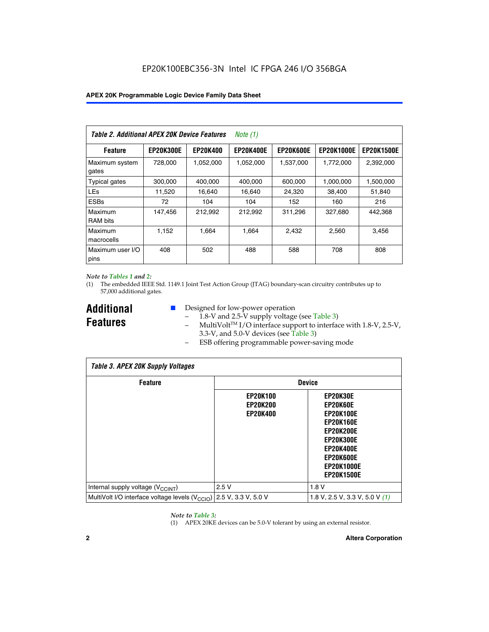| Table 2. Additional APEX 20K Device Features |                  |                 | <i>Note</i> $(1)$ |                  |                   |                   |
|----------------------------------------------|------------------|-----------------|-------------------|------------------|-------------------|-------------------|
| <b>Feature</b>                               | <b>EP20K300E</b> | <b>EP20K400</b> | <b>EP20K400E</b>  | <b>EP20K600E</b> | <b>EP20K1000E</b> | <b>EP20K1500E</b> |
| Maximum system<br>gates                      | 728,000          | 1,052,000       | 1,052,000         | 1,537,000        | 1,772,000         | 2,392,000         |
| <b>Typical gates</b>                         | 300,000          | 400,000         | 400,000           | 600,000          | 1,000,000         | 1,500,000         |
| <b>LEs</b>                                   | 11,520           | 16.640          | 16,640            | 24,320           | 38,400            | 51,840            |
| <b>ESBs</b>                                  | 72               | 104             | 104               | 152              | 160               | 216               |
| Maximum<br><b>RAM bits</b>                   | 147,456          | 212,992         | 212.992           | 311,296          | 327,680           | 442.368           |
| Maximum<br>macrocells                        | 1,152            | 1,664           | 1,664             | 2.432            | 2,560             | 3,456             |
| Maximum user I/O<br>pins                     | 408              | 502             | 488               | 588              | 708               | 808               |

#### *Note to Tables 1 and 2:*

(1) The embedded IEEE Std. 1149.1 Joint Test Action Group (JTAG) boundary-scan circuitry contributes up to 57,000 additional gates.

**Additional Features**

- Designed for low-power operation
	- 1.8-V and 2.5-V supply voltage (see Table 3)
	- $-$  MultiVolt<sup>TM</sup> I/O interface support to interface with 1.8-V, 2.5-V, 3.3-V, and 5.0-V devices (see Table 3)
	- ESB offering programmable power-saving mode

| <b>Table 3. APEX 20K Supply Voltages</b>                                       |                                                       |                                                                                                                                                                          |  |  |  |  |  |
|--------------------------------------------------------------------------------|-------------------------------------------------------|--------------------------------------------------------------------------------------------------------------------------------------------------------------------------|--|--|--|--|--|
| <b>Feature</b>                                                                 | <b>Device</b>                                         |                                                                                                                                                                          |  |  |  |  |  |
|                                                                                | <b>EP20K100</b><br><b>EP20K200</b><br><b>EP20K400</b> | EP20K30E<br>EP20K60E<br><b>EP20K100E</b><br><b>EP20K160E</b><br>EP20K200E<br><b>EP20K300E</b><br><b>EP20K400E</b><br>EP20K600E<br><b>EP20K1000E</b><br><b>EP20K1500E</b> |  |  |  |  |  |
| Internal supply voltage (V <sub>CCINT</sub> )                                  | 2.5V                                                  | 1.8V                                                                                                                                                                     |  |  |  |  |  |
| MultiVolt I/O interface voltage levels $(V_{\text{CCIO}})$ 2.5 V, 3.3 V, 5.0 V |                                                       | 1.8 V, 2.5 V, 3.3 V, 5.0 V $(1)$                                                                                                                                         |  |  |  |  |  |

#### *Note to Table 3:*

(1) APEX 20KE devices can be 5.0-V tolerant by using an external resistor.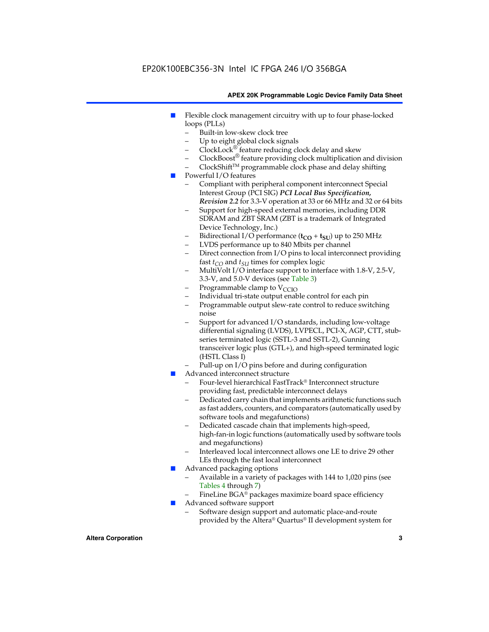### EP20K100EBC356-3N Intel IC FPGA 246 I/O 356BGA

#### **APEX 20K Programmable Logic Device Family Data Sheet**

- Flexible clock management circuitry with up to four phase-locked loops (PLLs)
	- Built-in low-skew clock tree
	- Up to eight global clock signals
	- $ClockLock^{\circledR}$  feature reducing clock delay and skew
	- $ClockBoost^{\circledR}$  feature providing clock multiplication and division
	- ClockShiftTM programmable clock phase and delay shifting
- Powerful I/O features
	- Compliant with peripheral component interconnect Special Interest Group (PCI SIG) *PCI Local Bus Specification, Revision 2.2* for 3.3-V operation at 33 or 66 MHz and 32 or 64 bits
	- Support for high-speed external memories, including DDR SDRAM and ZBT SRAM (ZBT is a trademark of Integrated Device Technology, Inc.)
	- Bidirectional I/O performance  $(t_{CO} + t_{SU})$  up to 250 MHz
	- LVDS performance up to 840 Mbits per channel
	- Direct connection from I/O pins to local interconnect providing fast  $t_{CO}$  and  $t_{SU}$  times for complex logic
	- MultiVolt I/O interface support to interface with 1.8-V, 2.5-V, 3.3-V, and 5.0-V devices (see Table 3)
	- Programmable clamp to  $V_{\text{C}CD}$
	- Individual tri-state output enable control for each pin
	- Programmable output slew-rate control to reduce switching noise
	- Support for advanced I/O standards, including low-voltage differential signaling (LVDS), LVPECL, PCI-X, AGP, CTT, stubseries terminated logic (SSTL-3 and SSTL-2), Gunning transceiver logic plus (GTL+), and high-speed terminated logic (HSTL Class I)
	- Pull-up on I/O pins before and during configuration
- Advanced interconnect structure
	- Four-level hierarchical FastTrack® Interconnect structure providing fast, predictable interconnect delays
	- Dedicated carry chain that implements arithmetic functions such as fast adders, counters, and comparators (automatically used by software tools and megafunctions)
	- Dedicated cascade chain that implements high-speed, high-fan-in logic functions (automatically used by software tools and megafunctions)
	- Interleaved local interconnect allows one LE to drive 29 other LEs through the fast local interconnect
- Advanced packaging options
	- Available in a variety of packages with 144 to 1,020 pins (see Tables 4 through 7)
	- FineLine BGA® packages maximize board space efficiency
- Advanced software support
	- Software design support and automatic place-and-route provided by the Altera® Quartus® II development system for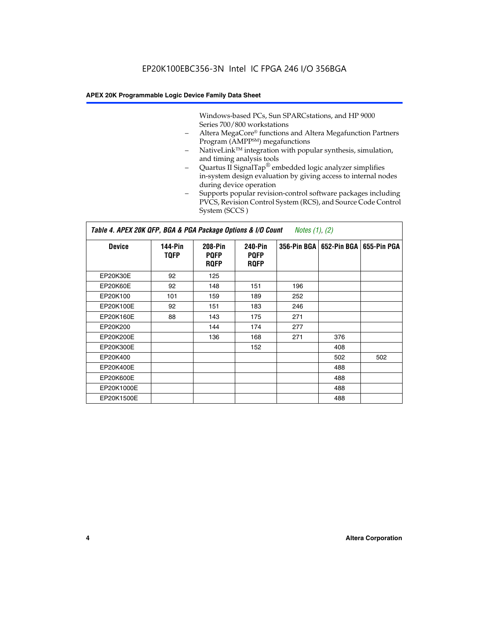Windows-based PCs, Sun SPARCstations, and HP 9000 Series 700/800 workstations

- Altera MegaCore® functions and Altera Megafunction Partners Program (AMPP<sup>SM</sup>) megafunctions
- NativeLink™ integration with popular synthesis, simulation, and timing analysis tools
- Quartus II SignalTap® embedded logic analyzer simplifies in-system design evaluation by giving access to internal nodes during device operation
- Supports popular revision-control software packages including PVCS, Revision Control System (RCS), and Source Code Control System (SCCS )

#### *Table 4. APEX 20K QFP, BGA & PGA Package Options & I/O Count Notes (1), (2)*

| <b>Device</b>   | 144-Pin<br><b>TQFP</b> | 208-Pin<br><b>PQFP</b><br><b>ROFP</b> | 240-Pin<br><b>PQFP</b><br><b>ROFP</b> |     | 356-Pin BGA   652-Pin BGA | 655-Pin PGA |
|-----------------|------------------------|---------------------------------------|---------------------------------------|-----|---------------------------|-------------|
| EP20K30E        | 92                     | 125                                   |                                       |     |                           |             |
| <b>EP20K60E</b> | 92                     | 148                                   | 151                                   | 196 |                           |             |
| EP20K100        | 101                    | 159                                   | 189                                   | 252 |                           |             |
| EP20K100E       | 92                     | 151                                   | 183                                   | 246 |                           |             |
| EP20K160E       | 88                     | 143                                   | 175                                   | 271 |                           |             |
| EP20K200        |                        | 144                                   | 174                                   | 277 |                           |             |
| EP20K200E       |                        | 136                                   | 168                                   | 271 | 376                       |             |
| EP20K300E       |                        |                                       | 152                                   |     | 408                       |             |
| EP20K400        |                        |                                       |                                       |     | 502                       | 502         |
| EP20K400E       |                        |                                       |                                       |     | 488                       |             |
| EP20K600E       |                        |                                       |                                       |     | 488                       |             |
| EP20K1000E      |                        |                                       |                                       |     | 488                       |             |
| EP20K1500E      |                        |                                       |                                       |     | 488                       |             |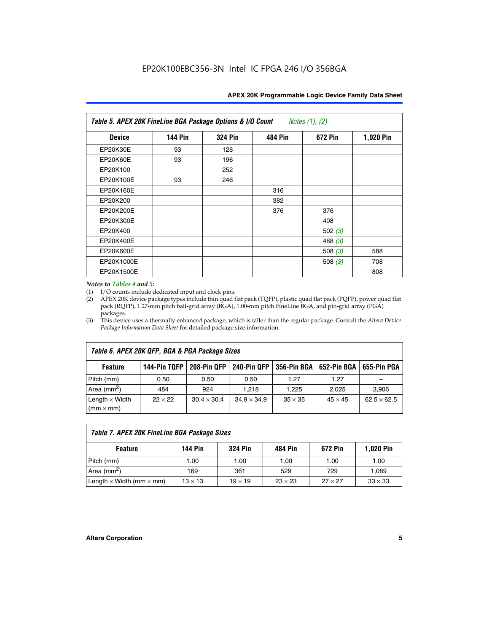| Table 5. APEX 20K FineLine BGA Package Options & I/O Count<br>Notes $(1)$ , $(2)$ |                |                |                |           |           |  |  |  |
|-----------------------------------------------------------------------------------|----------------|----------------|----------------|-----------|-----------|--|--|--|
| <b>Device</b>                                                                     | <b>144 Pin</b> | <b>324 Pin</b> | <b>484 Pin</b> | 672 Pin   | 1,020 Pin |  |  |  |
| EP20K30E                                                                          | 93             | 128            |                |           |           |  |  |  |
| <b>EP20K60E</b>                                                                   | 93             | 196            |                |           |           |  |  |  |
| EP20K100                                                                          |                | 252            |                |           |           |  |  |  |
| EP20K100E                                                                         | 93             | 246            |                |           |           |  |  |  |
| EP20K160E                                                                         |                |                | 316            |           |           |  |  |  |
| EP20K200                                                                          |                |                | 382            |           |           |  |  |  |
| EP20K200E                                                                         |                |                | 376            | 376       |           |  |  |  |
| EP20K300E                                                                         |                |                |                | 408       |           |  |  |  |
| EP20K400                                                                          |                |                |                | 502(3)    |           |  |  |  |
| EP20K400E                                                                         |                |                |                | 488 $(3)$ |           |  |  |  |
| EP20K600E                                                                         |                |                |                | 508 $(3)$ | 588       |  |  |  |
| EP20K1000E                                                                        |                |                |                | 508 $(3)$ | 708       |  |  |  |
| EP20K1500E                                                                        |                |                |                |           | 808       |  |  |  |

#### *Notes to Tables 4 and 5:*

 $\Gamma$ 

(1) I/O counts include dedicated input and clock pins.

(2) APEX 20K device package types include thin quad flat pack (TQFP), plastic quad flat pack (PQFP), power quad flat pack (RQFP), 1.27-mm pitch ball-grid array (BGA), 1.00-mm pitch FineLine BGA, and pin-grid array (PGA) packages.

(3) This device uses a thermally enhanced package, which is taller than the regular package. Consult the *Altera Device Package Information Data Sheet* for detailed package size information.

| Table 6. APEX 20K QFP, BGA & PGA Package Sizes                                                           |                |                    |                    |                |                |                    |  |  |  |
|----------------------------------------------------------------------------------------------------------|----------------|--------------------|--------------------|----------------|----------------|--------------------|--|--|--|
| 144-Pin TQFP<br>240-Pin QFP<br>356-Pin BGA   652-Pin BGA<br>208-Pin QFP<br>655-Pin PGA<br><b>Feature</b> |                |                    |                    |                |                |                    |  |  |  |
| Pitch (mm)                                                                                               | 0.50           | 0.50               | 0.50               | 1.27           | 1.27           |                    |  |  |  |
| Area $(mm^2)$                                                                                            | 484            | 924                | 1.218              | 1.225          | 2.025          | 3,906              |  |  |  |
| Length $\times$ Width<br>$(mm \times mm)$                                                                | $22 \times 22$ | $30.4 \times 30.4$ | $34.9 \times 34.9$ | $35 \times 35$ | $45 \times 45$ | $62.5 \times 62.5$ |  |  |  |

| Table 7. APEX 20K FineLine BGA Package Sizes                                                                                     |      |      |      |      |       |  |  |  |
|----------------------------------------------------------------------------------------------------------------------------------|------|------|------|------|-------|--|--|--|
| <b>324 Pin</b><br><b>1,020 Pin</b><br>144 Pin<br>672 Pin<br>484 Pin<br><b>Feature</b>                                            |      |      |      |      |       |  |  |  |
| Pitch (mm)                                                                                                                       | 1.00 | 1.00 | 1.00 | 1.00 | 1.00  |  |  |  |
| Area ( $mm2$ )                                                                                                                   | 169  | 361  | 529  | 729  | 1,089 |  |  |  |
| $33 \times 33$<br>Length $\times$ Width (mm $\times$ mm)<br>$27 \times 27$<br>$13 \times 13$<br>$23 \times 23$<br>$19 \times 19$ |      |      |      |      |       |  |  |  |

٦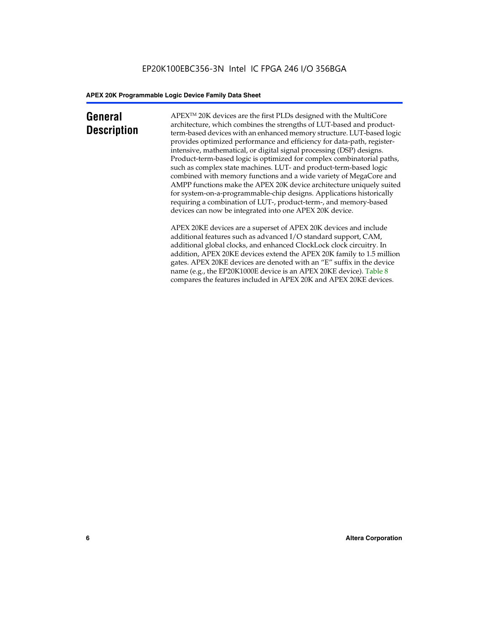### **General Description**

APEXTM 20K devices are the first PLDs designed with the MultiCore architecture, which combines the strengths of LUT-based and productterm-based devices with an enhanced memory structure. LUT-based logic provides optimized performance and efficiency for data-path, registerintensive, mathematical, or digital signal processing (DSP) designs. Product-term-based logic is optimized for complex combinatorial paths, such as complex state machines. LUT- and product-term-based logic combined with memory functions and a wide variety of MegaCore and AMPP functions make the APEX 20K device architecture uniquely suited for system-on-a-programmable-chip designs. Applications historically requiring a combination of LUT-, product-term-, and memory-based devices can now be integrated into one APEX 20K device.

APEX 20KE devices are a superset of APEX 20K devices and include additional features such as advanced I/O standard support, CAM, additional global clocks, and enhanced ClockLock clock circuitry. In addition, APEX 20KE devices extend the APEX 20K family to 1.5 million gates. APEX 20KE devices are denoted with an "E" suffix in the device name (e.g., the EP20K1000E device is an APEX 20KE device). Table 8 compares the features included in APEX 20K and APEX 20KE devices.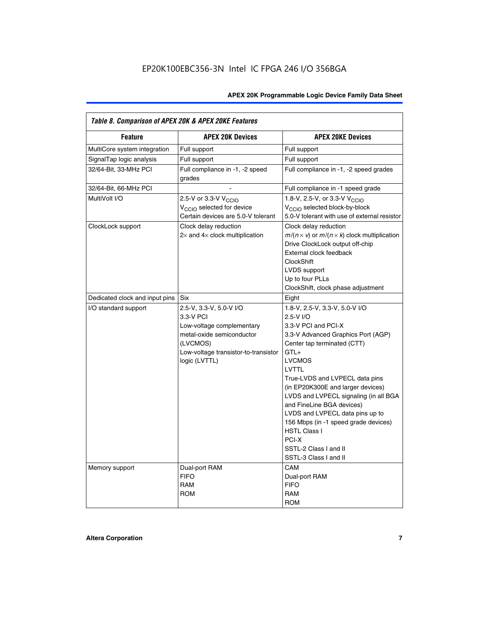| Table 8. Comparison of APEX 20K & APEX 20KE Features |                                                                                                                                                                     |                                                                                                                                                                                                                                                                                                                                                                                                                                                                                       |  |  |  |  |  |
|------------------------------------------------------|---------------------------------------------------------------------------------------------------------------------------------------------------------------------|---------------------------------------------------------------------------------------------------------------------------------------------------------------------------------------------------------------------------------------------------------------------------------------------------------------------------------------------------------------------------------------------------------------------------------------------------------------------------------------|--|--|--|--|--|
| <b>Feature</b>                                       | <b>APEX 20K Devices</b>                                                                                                                                             | <b>APEX 20KE Devices</b>                                                                                                                                                                                                                                                                                                                                                                                                                                                              |  |  |  |  |  |
| MultiCore system integration                         | Full support                                                                                                                                                        | Full support                                                                                                                                                                                                                                                                                                                                                                                                                                                                          |  |  |  |  |  |
| SignalTap logic analysis                             | Full support                                                                                                                                                        | Full support                                                                                                                                                                                                                                                                                                                                                                                                                                                                          |  |  |  |  |  |
| 32/64-Bit, 33-MHz PCI                                | Full compliance in -1, -2 speed<br>grades                                                                                                                           | Full compliance in -1, -2 speed grades                                                                                                                                                                                                                                                                                                                                                                                                                                                |  |  |  |  |  |
| 32/64-Bit, 66-MHz PCI                                |                                                                                                                                                                     | Full compliance in -1 speed grade                                                                                                                                                                                                                                                                                                                                                                                                                                                     |  |  |  |  |  |
| MultiVolt I/O                                        | 2.5-V or 3.3-V V <sub>CCIO</sub><br>V <sub>CCIO</sub> selected for device<br>Certain devices are 5.0-V tolerant                                                     | 1.8-V, 2.5-V, or 3.3-V V <sub>CCIO</sub><br>V <sub>CCIO</sub> selected block-by-block<br>5.0-V tolerant with use of external resistor                                                                                                                                                                                                                                                                                                                                                 |  |  |  |  |  |
| ClockLock support                                    | Clock delay reduction<br>$2\times$ and $4\times$ clock multiplication                                                                                               | Clock delay reduction<br>$m/(n \times v)$ or $m/(n \times k)$ clock multiplication<br>Drive ClockLock output off-chip<br>External clock feedback<br><b>ClockShift</b><br>LVDS support<br>Up to four PLLs<br>ClockShift, clock phase adjustment                                                                                                                                                                                                                                        |  |  |  |  |  |
| Dedicated clock and input pins                       | <b>Six</b>                                                                                                                                                          | Eight                                                                                                                                                                                                                                                                                                                                                                                                                                                                                 |  |  |  |  |  |
| I/O standard support                                 | 2.5-V, 3.3-V, 5.0-V I/O<br>3.3-V PCI<br>Low-voltage complementary<br>metal-oxide semiconductor<br>(LVCMOS)<br>Low-voltage transistor-to-transistor<br>logic (LVTTL) | 1.8-V, 2.5-V, 3.3-V, 5.0-V I/O<br>2.5-V I/O<br>3.3-V PCI and PCI-X<br>3.3-V Advanced Graphics Port (AGP)<br>Center tap terminated (CTT)<br>$GTL+$<br><b>LVCMOS</b><br>LVTTL<br>True-LVDS and LVPECL data pins<br>(in EP20K300E and larger devices)<br>LVDS and LVPECL signaling (in all BGA<br>and FineLine BGA devices)<br>LVDS and LVPECL data pins up to<br>156 Mbps (in -1 speed grade devices)<br><b>HSTL Class I</b><br>PCI-X<br>SSTL-2 Class I and II<br>SSTL-3 Class I and II |  |  |  |  |  |
| Memory support                                       | Dual-port RAM<br><b>FIFO</b><br><b>RAM</b><br><b>ROM</b>                                                                                                            | CAM<br>Dual-port RAM<br><b>FIFO</b><br>RAM<br><b>ROM</b>                                                                                                                                                                                                                                                                                                                                                                                                                              |  |  |  |  |  |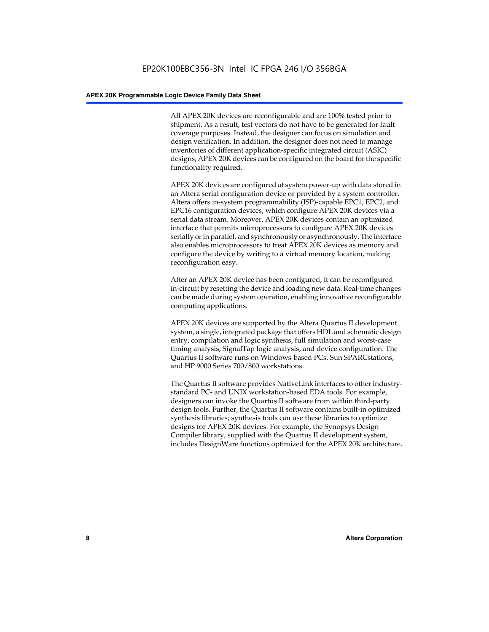All APEX 20K devices are reconfigurable and are 100% tested prior to shipment. As a result, test vectors do not have to be generated for fault coverage purposes. Instead, the designer can focus on simulation and design verification. In addition, the designer does not need to manage inventories of different application-specific integrated circuit (ASIC) designs; APEX 20K devices can be configured on the board for the specific functionality required.

APEX 20K devices are configured at system power-up with data stored in an Altera serial configuration device or provided by a system controller. Altera offers in-system programmability (ISP)-capable EPC1, EPC2, and EPC16 configuration devices, which configure APEX 20K devices via a serial data stream. Moreover, APEX 20K devices contain an optimized interface that permits microprocessors to configure APEX 20K devices serially or in parallel, and synchronously or asynchronously. The interface also enables microprocessors to treat APEX 20K devices as memory and configure the device by writing to a virtual memory location, making reconfiguration easy.

After an APEX 20K device has been configured, it can be reconfigured in-circuit by resetting the device and loading new data. Real-time changes can be made during system operation, enabling innovative reconfigurable computing applications.

APEX 20K devices are supported by the Altera Quartus II development system, a single, integrated package that offers HDL and schematic design entry, compilation and logic synthesis, full simulation and worst-case timing analysis, SignalTap logic analysis, and device configuration. The Quartus II software runs on Windows-based PCs, Sun SPARCstations, and HP 9000 Series 700/800 workstations.

The Quartus II software provides NativeLink interfaces to other industrystandard PC- and UNIX workstation-based EDA tools. For example, designers can invoke the Quartus II software from within third-party design tools. Further, the Quartus II software contains built-in optimized synthesis libraries; synthesis tools can use these libraries to optimize designs for APEX 20K devices. For example, the Synopsys Design Compiler library, supplied with the Quartus II development system, includes DesignWare functions optimized for the APEX 20K architecture.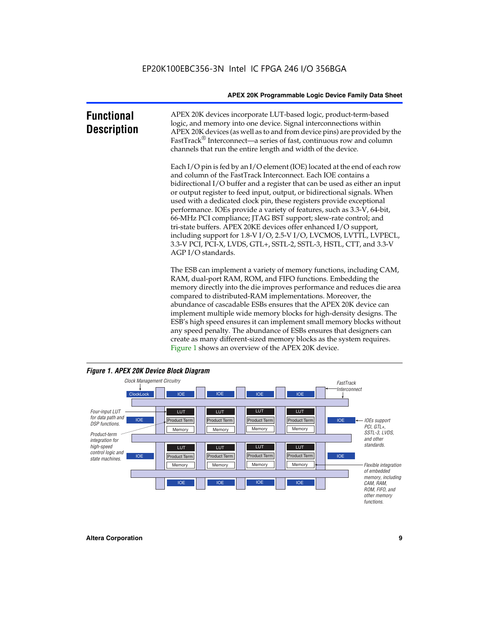| <b>Functional</b><br><b>Description</b> | APEX 20K devices incorporate LUT-based logic, product-term-based<br>logic, and memory into one device. Signal interconnections within<br>APEX 20K devices (as well as to and from device pins) are provided by the<br>FastTrack® Interconnect—a series of fast, continuous row and column<br>channels that run the entire length and width of the device.                                                                                                                                                                                                                                                                                                                                                                                                          |
|-----------------------------------------|--------------------------------------------------------------------------------------------------------------------------------------------------------------------------------------------------------------------------------------------------------------------------------------------------------------------------------------------------------------------------------------------------------------------------------------------------------------------------------------------------------------------------------------------------------------------------------------------------------------------------------------------------------------------------------------------------------------------------------------------------------------------|
|                                         | Each I/O pin is fed by an I/O element (IOE) located at the end of each row<br>and column of the FastTrack Interconnect. Each IOE contains a<br>bidirectional I/O buffer and a register that can be used as either an input<br>or output register to feed input, output, or bidirectional signals. When<br>used with a dedicated clock pin, these registers provide exceptional<br>performance. IOEs provide a variety of features, such as 3.3-V, 64-bit,<br>66-MHz PCI compliance; JTAG BST support; slew-rate control; and<br>tri-state buffers. APEX 20KE devices offer enhanced I/O support,<br>including support for 1.8-V I/O, 2.5-V I/O, LVCMOS, LVTTL, LVPECL,<br>3.3-V PCI, PCI-X, LVDS, GTL+, SSTL-2, SSTL-3, HSTL, CTT, and 3.3-V<br>AGP I/O standards. |
|                                         | The ESB can implement a variety of memory functions, including CAM,<br>RAM, dual-port RAM, ROM, and FIFO functions. Embedding the<br>memory directly into the die improves performance and reduces die area<br>compared to distributed-RAM implementations. Moreover, the<br>abundance of cascadable ESBs ensures that the APEX 20K device can<br>implement multiple wide memory blocks for high-density designs. The<br>ESB's high speed ensures it can implement small memory blocks without<br>any speed penalty. The abundance of ESBs ensures that designers can                                                                                                                                                                                              |



create as many different-sized memory blocks as the system requires.

Figure 1 shows an overview of the APEX 20K device.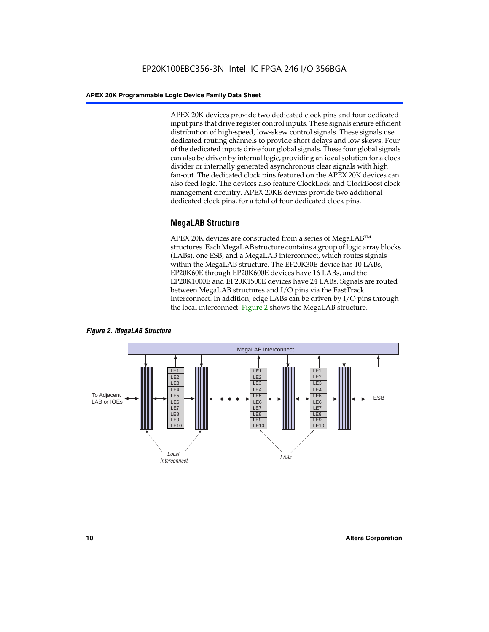APEX 20K devices provide two dedicated clock pins and four dedicated input pins that drive register control inputs. These signals ensure efficient distribution of high-speed, low-skew control signals. These signals use dedicated routing channels to provide short delays and low skews. Four of the dedicated inputs drive four global signals. These four global signals can also be driven by internal logic, providing an ideal solution for a clock divider or internally generated asynchronous clear signals with high fan-out. The dedicated clock pins featured on the APEX 20K devices can also feed logic. The devices also feature ClockLock and ClockBoost clock management circuitry. APEX 20KE devices provide two additional dedicated clock pins, for a total of four dedicated clock pins.

#### **MegaLAB Structure**

APEX 20K devices are constructed from a series of MegaLAB<sup>™</sup> structures. Each MegaLAB structure contains a group of logic array blocks (LABs), one ESB, and a MegaLAB interconnect, which routes signals within the MegaLAB structure. The EP20K30E device has 10 LABs, EP20K60E through EP20K600E devices have 16 LABs, and the EP20K1000E and EP20K1500E devices have 24 LABs. Signals are routed between MegaLAB structures and I/O pins via the FastTrack Interconnect. In addition, edge LABs can be driven by I/O pins through the local interconnect. Figure 2 shows the MegaLAB structure.



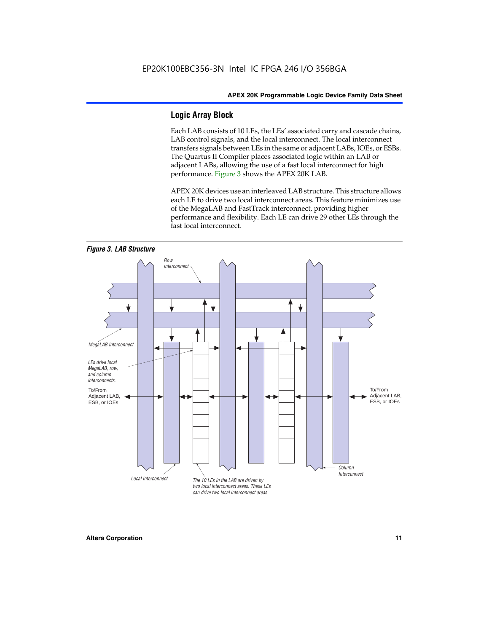#### **Logic Array Block**

Each LAB consists of 10 LEs, the LEs' associated carry and cascade chains, LAB control signals, and the local interconnect. The local interconnect transfers signals between LEs in the same or adjacent LABs, IOEs, or ESBs. The Quartus II Compiler places associated logic within an LAB or adjacent LABs, allowing the use of a fast local interconnect for high performance. Figure 3 shows the APEX 20K LAB.

APEX 20K devices use an interleaved LAB structure. This structure allows each LE to drive two local interconnect areas. This feature minimizes use of the MegaLAB and FastTrack interconnect, providing higher performance and flexibility. Each LE can drive 29 other LEs through the fast local interconnect.

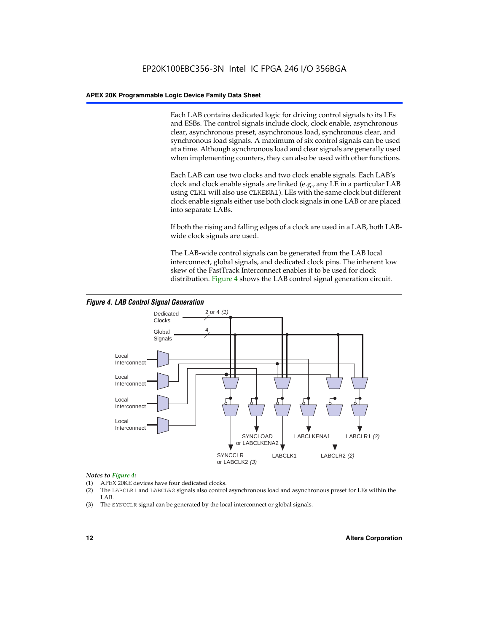Each LAB contains dedicated logic for driving control signals to its LEs and ESBs. The control signals include clock, clock enable, asynchronous clear, asynchronous preset, asynchronous load, synchronous clear, and synchronous load signals. A maximum of six control signals can be used at a time. Although synchronous load and clear signals are generally used when implementing counters, they can also be used with other functions.

Each LAB can use two clocks and two clock enable signals. Each LAB's clock and clock enable signals are linked (e.g., any LE in a particular LAB using CLK1 will also use CLKENA1). LEs with the same clock but different clock enable signals either use both clock signals in one LAB or are placed into separate LABs.

If both the rising and falling edges of a clock are used in a LAB, both LABwide clock signals are used.

The LAB-wide control signals can be generated from the LAB local interconnect, global signals, and dedicated clock pins. The inherent low skew of the FastTrack Interconnect enables it to be used for clock distribution. Figure 4 shows the LAB control signal generation circuit.



#### *Figure 4. LAB Control Signal Generation*

#### *Notes to Figure 4:*

- (1) APEX 20KE devices have four dedicated clocks.
- (2) The LABCLR1 and LABCLR2 signals also control asynchronous load and asynchronous preset for LEs within the LAB.
- (3) The SYNCCLR signal can be generated by the local interconnect or global signals.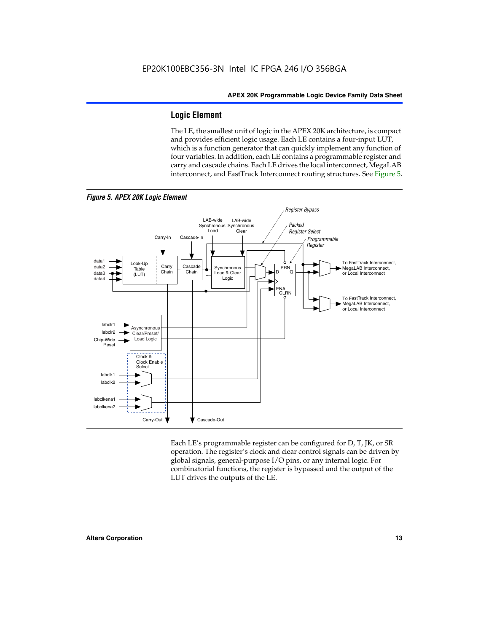#### **Logic Element**

The LE, the smallest unit of logic in the APEX 20K architecture, is compact and provides efficient logic usage. Each LE contains a four-input LUT, which is a function generator that can quickly implement any function of four variables. In addition, each LE contains a programmable register and carry and cascade chains. Each LE drives the local interconnect, MegaLAB interconnect, and FastTrack Interconnect routing structures. See Figure 5.



Each LE's programmable register can be configured for D, T, JK, or SR operation. The register's clock and clear control signals can be driven by global signals, general-purpose I/O pins, or any internal logic. For combinatorial functions, the register is bypassed and the output of the LUT drives the outputs of the LE.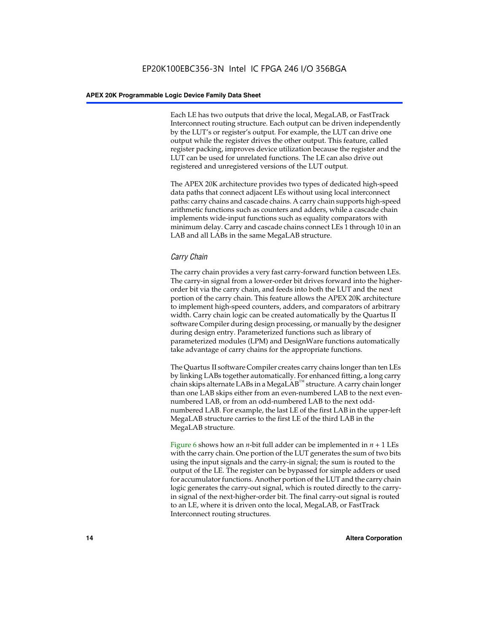Each LE has two outputs that drive the local, MegaLAB, or FastTrack Interconnect routing structure. Each output can be driven independently by the LUT's or register's output. For example, the LUT can drive one output while the register drives the other output. This feature, called register packing, improves device utilization because the register and the LUT can be used for unrelated functions. The LE can also drive out registered and unregistered versions of the LUT output.

The APEX 20K architecture provides two types of dedicated high-speed data paths that connect adjacent LEs without using local interconnect paths: carry chains and cascade chains. A carry chain supports high-speed arithmetic functions such as counters and adders, while a cascade chain implements wide-input functions such as equality comparators with minimum delay. Carry and cascade chains connect LEs 1 through 10 in an LAB and all LABs in the same MegaLAB structure.

#### *Carry Chain*

The carry chain provides a very fast carry-forward function between LEs. The carry-in signal from a lower-order bit drives forward into the higherorder bit via the carry chain, and feeds into both the LUT and the next portion of the carry chain. This feature allows the APEX 20K architecture to implement high-speed counters, adders, and comparators of arbitrary width. Carry chain logic can be created automatically by the Quartus II software Compiler during design processing, or manually by the designer during design entry. Parameterized functions such as library of parameterized modules (LPM) and DesignWare functions automatically take advantage of carry chains for the appropriate functions.

The Quartus II software Compiler creates carry chains longer than ten LEs by linking LABs together automatically. For enhanced fitting, a long carry chain skips alternate LABs in a MegaLAB<sup>™</sup> structure. A carry chain longer than one LAB skips either from an even-numbered LAB to the next evennumbered LAB, or from an odd-numbered LAB to the next oddnumbered LAB. For example, the last LE of the first LAB in the upper-left MegaLAB structure carries to the first LE of the third LAB in the MegaLAB structure.

Figure 6 shows how an *n*-bit full adder can be implemented in *n* + 1 LEs with the carry chain. One portion of the LUT generates the sum of two bits using the input signals and the carry-in signal; the sum is routed to the output of the LE. The register can be bypassed for simple adders or used for accumulator functions. Another portion of the LUT and the carry chain logic generates the carry-out signal, which is routed directly to the carryin signal of the next-higher-order bit. The final carry-out signal is routed to an LE, where it is driven onto the local, MegaLAB, or FastTrack Interconnect routing structures.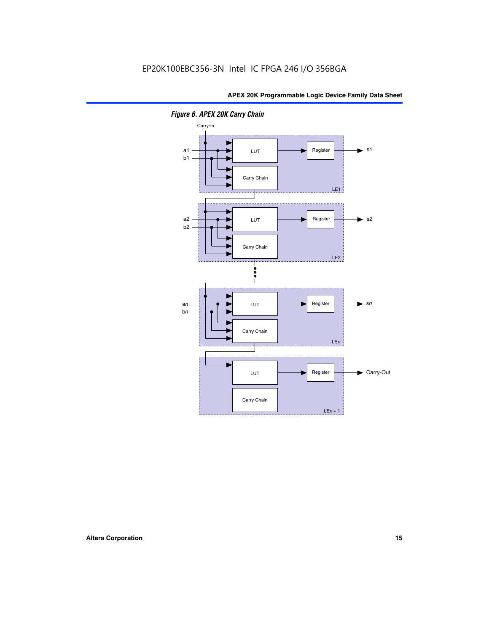

*Figure 6. APEX 20K Carry Chain*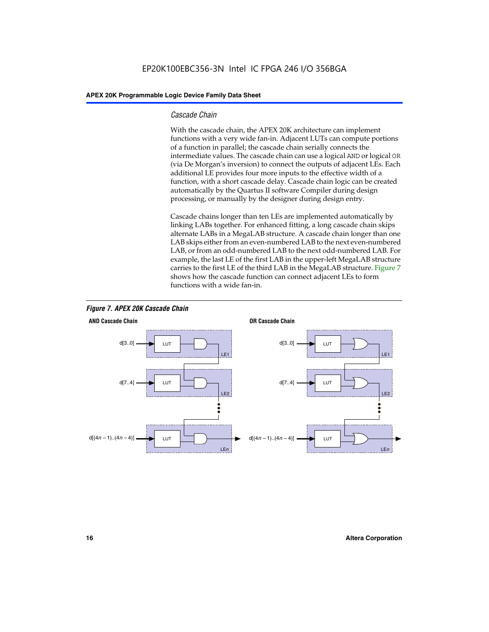#### *Cascade Chain*

With the cascade chain, the APEX 20K architecture can implement functions with a very wide fan-in. Adjacent LUTs can compute portions of a function in parallel; the cascade chain serially connects the intermediate values. The cascade chain can use a logical AND or logical OR (via De Morgan's inversion) to connect the outputs of adjacent LEs. Each additional LE provides four more inputs to the effective width of a function, with a short cascade delay. Cascade chain logic can be created automatically by the Quartus II software Compiler during design processing, or manually by the designer during design entry.

Cascade chains longer than ten LEs are implemented automatically by linking LABs together. For enhanced fitting, a long cascade chain skips alternate LABs in a MegaLAB structure. A cascade chain longer than one LAB skips either from an even-numbered LAB to the next even-numbered LAB, or from an odd-numbered LAB to the next odd-numbered LAB. For example, the last LE of the first LAB in the upper-left MegaLAB structure carries to the first LE of the third LAB in the MegaLAB structure. Figure 7 shows how the cascade function can connect adjacent LEs to form functions with a wide fan-in.



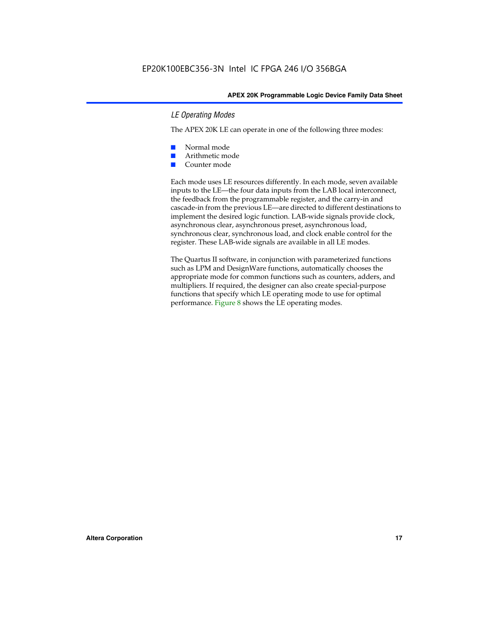#### *LE Operating Modes*

The APEX 20K LE can operate in one of the following three modes:

- Normal mode
- Arithmetic mode
- Counter mode

Each mode uses LE resources differently. In each mode, seven available inputs to the LE—the four data inputs from the LAB local interconnect, the feedback from the programmable register, and the carry-in and cascade-in from the previous LE—are directed to different destinations to implement the desired logic function. LAB-wide signals provide clock, asynchronous clear, asynchronous preset, asynchronous load, synchronous clear, synchronous load, and clock enable control for the register. These LAB-wide signals are available in all LE modes.

The Quartus II software, in conjunction with parameterized functions such as LPM and DesignWare functions, automatically chooses the appropriate mode for common functions such as counters, adders, and multipliers. If required, the designer can also create special-purpose functions that specify which LE operating mode to use for optimal performance. Figure 8 shows the LE operating modes.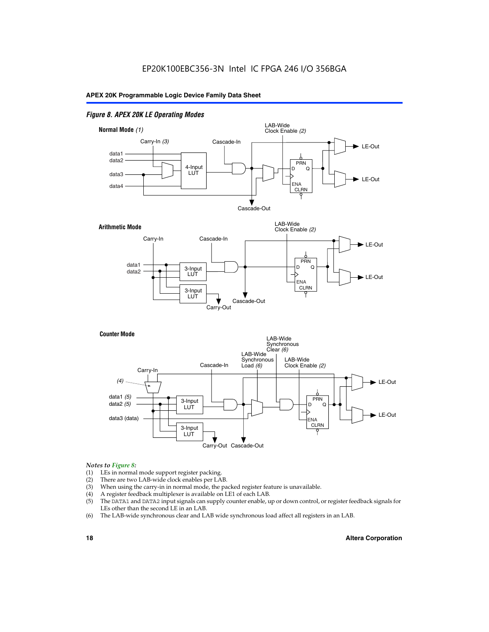#### *Figure 8. APEX 20K LE Operating Modes*



#### *Notes to Figure 8:*

- (1) LEs in normal mode support register packing.
- (2) There are two LAB-wide clock enables per LAB.
- (3) When using the carry-in in normal mode, the packed register feature is unavailable.
- (4) A register feedback multiplexer is available on LE1 of each LAB.
- (5) The DATA1 and DATA2 input signals can supply counter enable, up or down control, or register feedback signals for LEs other than the second LE in an LAB.
- (6) The LAB-wide synchronous clear and LAB wide synchronous load affect all registers in an LAB.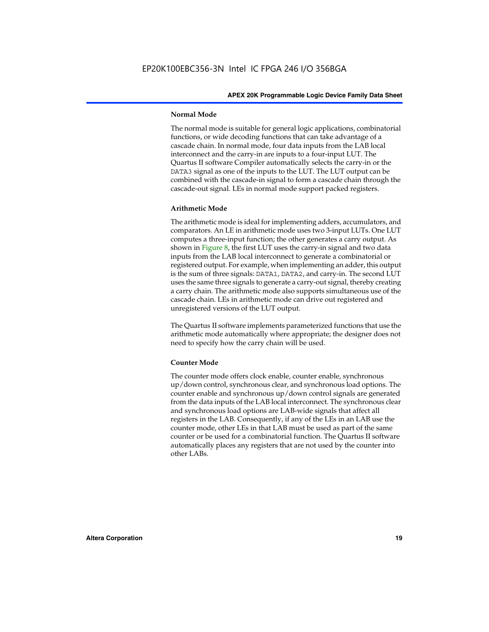#### **Normal Mode**

The normal mode is suitable for general logic applications, combinatorial functions, or wide decoding functions that can take advantage of a cascade chain. In normal mode, four data inputs from the LAB local interconnect and the carry-in are inputs to a four-input LUT. The Quartus II software Compiler automatically selects the carry-in or the DATA3 signal as one of the inputs to the LUT. The LUT output can be combined with the cascade-in signal to form a cascade chain through the cascade-out signal. LEs in normal mode support packed registers.

#### **Arithmetic Mode**

The arithmetic mode is ideal for implementing adders, accumulators, and comparators. An LE in arithmetic mode uses two 3-input LUTs. One LUT computes a three-input function; the other generates a carry output. As shown in Figure 8, the first LUT uses the carry-in signal and two data inputs from the LAB local interconnect to generate a combinatorial or registered output. For example, when implementing an adder, this output is the sum of three signals: DATA1, DATA2, and carry-in. The second LUT uses the same three signals to generate a carry-out signal, thereby creating a carry chain. The arithmetic mode also supports simultaneous use of the cascade chain. LEs in arithmetic mode can drive out registered and unregistered versions of the LUT output.

The Quartus II software implements parameterized functions that use the arithmetic mode automatically where appropriate; the designer does not need to specify how the carry chain will be used.

#### **Counter Mode**

The counter mode offers clock enable, counter enable, synchronous up/down control, synchronous clear, and synchronous load options. The counter enable and synchronous up/down control signals are generated from the data inputs of the LAB local interconnect. The synchronous clear and synchronous load options are LAB-wide signals that affect all registers in the LAB. Consequently, if any of the LEs in an LAB use the counter mode, other LEs in that LAB must be used as part of the same counter or be used for a combinatorial function. The Quartus II software automatically places any registers that are not used by the counter into other LABs.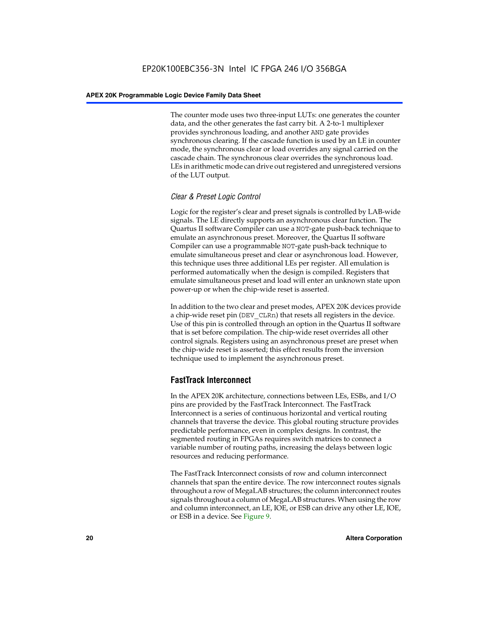The counter mode uses two three-input LUTs: one generates the counter data, and the other generates the fast carry bit. A 2-to-1 multiplexer provides synchronous loading, and another AND gate provides synchronous clearing. If the cascade function is used by an LE in counter mode, the synchronous clear or load overrides any signal carried on the cascade chain. The synchronous clear overrides the synchronous load. LEs in arithmetic mode can drive out registered and unregistered versions of the LUT output.

#### *Clear & Preset Logic Control*

Logic for the register's clear and preset signals is controlled by LAB-wide signals. The LE directly supports an asynchronous clear function. The Quartus II software Compiler can use a NOT-gate push-back technique to emulate an asynchronous preset. Moreover, the Quartus II software Compiler can use a programmable NOT-gate push-back technique to emulate simultaneous preset and clear or asynchronous load. However, this technique uses three additional LEs per register. All emulation is performed automatically when the design is compiled. Registers that emulate simultaneous preset and load will enter an unknown state upon power-up or when the chip-wide reset is asserted.

In addition to the two clear and preset modes, APEX 20K devices provide a chip-wide reset pin (DEV\_CLRn) that resets all registers in the device. Use of this pin is controlled through an option in the Quartus II software that is set before compilation. The chip-wide reset overrides all other control signals. Registers using an asynchronous preset are preset when the chip-wide reset is asserted; this effect results from the inversion technique used to implement the asynchronous preset.

#### **FastTrack Interconnect**

In the APEX 20K architecture, connections between LEs, ESBs, and I/O pins are provided by the FastTrack Interconnect. The FastTrack Interconnect is a series of continuous horizontal and vertical routing channels that traverse the device. This global routing structure provides predictable performance, even in complex designs. In contrast, the segmented routing in FPGAs requires switch matrices to connect a variable number of routing paths, increasing the delays between logic resources and reducing performance.

The FastTrack Interconnect consists of row and column interconnect channels that span the entire device. The row interconnect routes signals throughout a row of MegaLAB structures; the column interconnect routes signals throughout a column of MegaLAB structures. When using the row and column interconnect, an LE, IOE, or ESB can drive any other LE, IOE, or ESB in a device. See Figure 9.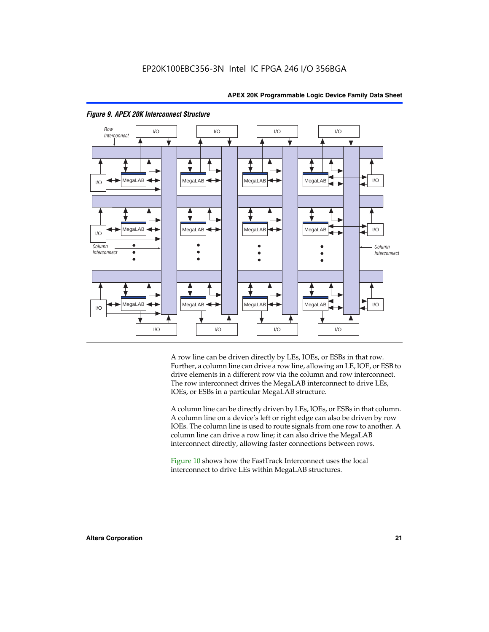

#### *Figure 9. APEX 20K Interconnect Structure*

A row line can be driven directly by LEs, IOEs, or ESBs in that row. Further, a column line can drive a row line, allowing an LE, IOE, or ESB to drive elements in a different row via the column and row interconnect. The row interconnect drives the MegaLAB interconnect to drive LEs, IOEs, or ESBs in a particular MegaLAB structure.

A column line can be directly driven by LEs, IOEs, or ESBs in that column. A column line on a device's left or right edge can also be driven by row IOEs. The column line is used to route signals from one row to another. A column line can drive a row line; it can also drive the MegaLAB interconnect directly, allowing faster connections between rows.

Figure 10 shows how the FastTrack Interconnect uses the local interconnect to drive LEs within MegaLAB structures.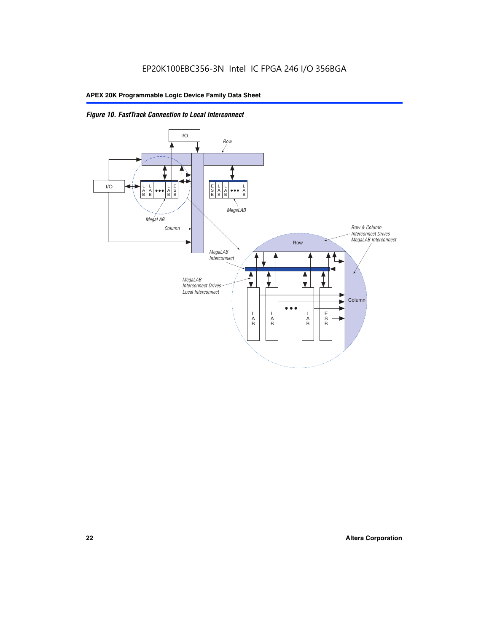

*Figure 10. FastTrack Connection to Local Interconnect*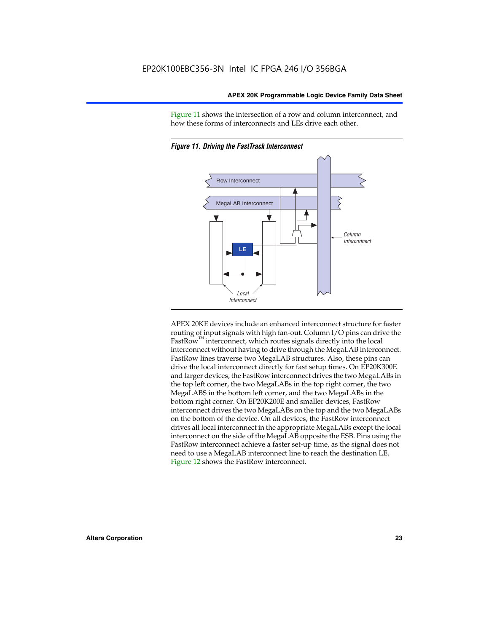Figure 11 shows the intersection of a row and column interconnect, and how these forms of interconnects and LEs drive each other.



*Figure 11. Driving the FastTrack Interconnect*

APEX 20KE devices include an enhanced interconnect structure for faster routing of input signals with high fan-out. Column I/O pins can drive the FastRow<sup>™</sup> interconnect, which routes signals directly into the local interconnect without having to drive through the MegaLAB interconnect. FastRow lines traverse two MegaLAB structures. Also, these pins can drive the local interconnect directly for fast setup times. On EP20K300E and larger devices, the FastRow interconnect drives the two MegaLABs in the top left corner, the two MegaLABs in the top right corner, the two MegaLABS in the bottom left corner, and the two MegaLABs in the bottom right corner. On EP20K200E and smaller devices, FastRow interconnect drives the two MegaLABs on the top and the two MegaLABs on the bottom of the device. On all devices, the FastRow interconnect drives all local interconnect in the appropriate MegaLABs except the local interconnect on the side of the MegaLAB opposite the ESB. Pins using the FastRow interconnect achieve a faster set-up time, as the signal does not need to use a MegaLAB interconnect line to reach the destination LE. Figure 12 shows the FastRow interconnect.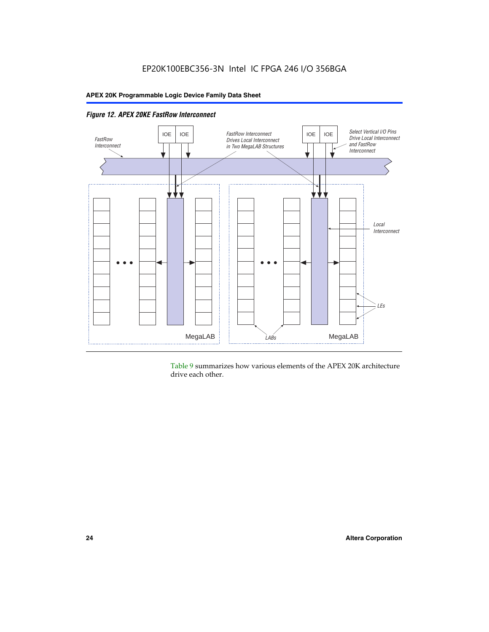

*Figure 12. APEX 20KE FastRow Interconnect*

Table 9 summarizes how various elements of the APEX 20K architecture drive each other.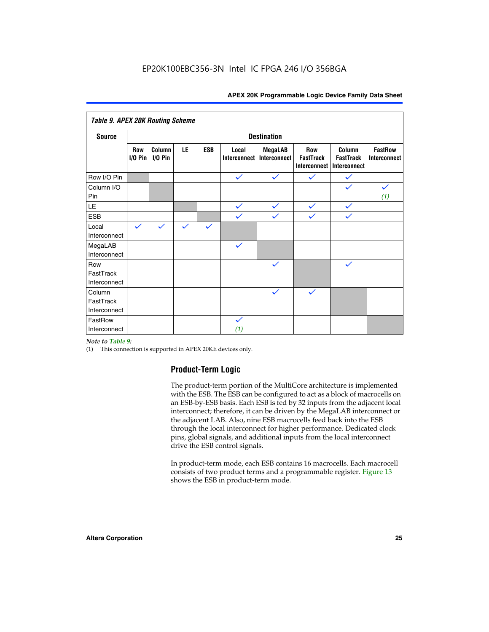| <b>Table 9. APEX 20K Routing Scheme</b> |                          |                      |              |              |                              |                                |                                                |                                            |                                |
|-----------------------------------------|--------------------------|----------------------|--------------|--------------|------------------------------|--------------------------------|------------------------------------------------|--------------------------------------------|--------------------------------|
| <b>Source</b>                           | <b>Destination</b>       |                      |              |              |                              |                                |                                                |                                            |                                |
|                                         | <b>Row</b><br>$I/O P$ in | Column<br>$I/O P$ in | LE           | <b>ESB</b>   | Local<br><b>Interconnect</b> | <b>MegaLAB</b><br>Interconnect | <b>Row</b><br><b>FastTrack</b><br>Interconnect | Column<br><b>FastTrack</b><br>Interconnect | <b>FastRow</b><br>Interconnect |
| Row I/O Pin                             |                          |                      |              |              | $\checkmark$                 | $\checkmark$                   | $\checkmark$                                   | $\checkmark$                               |                                |
| Column I/O<br>Pin                       |                          |                      |              |              |                              |                                |                                                | $\checkmark$                               | $\checkmark$<br>(1)            |
| LE                                      |                          |                      |              |              | $\checkmark$                 | $\checkmark$                   | $\checkmark$                                   | $\checkmark$                               |                                |
| <b>ESB</b>                              |                          |                      |              |              | $\checkmark$                 | $\checkmark$                   | $\checkmark$                                   | $\checkmark$                               |                                |
| Local<br>Interconnect                   | $\checkmark$             | $\checkmark$         | $\checkmark$ | $\checkmark$ |                              |                                |                                                |                                            |                                |
| MegaLAB<br>Interconnect                 |                          |                      |              |              | $\checkmark$                 |                                |                                                |                                            |                                |
| Row<br>FastTrack<br>Interconnect        |                          |                      |              |              |                              | $\checkmark$                   |                                                | $\checkmark$                               |                                |
| Column<br>FastTrack<br>Interconnect     |                          |                      |              |              |                              | $\checkmark$                   | $\checkmark$                                   |                                            |                                |
| FastRow<br>Interconnect                 |                          |                      |              |              | $\checkmark$<br>(1)          |                                |                                                |                                            |                                |

#### *Note to Table 9:*

(1) This connection is supported in APEX 20KE devices only.

#### **Product-Term Logic**

The product-term portion of the MultiCore architecture is implemented with the ESB. The ESB can be configured to act as a block of macrocells on an ESB-by-ESB basis. Each ESB is fed by 32 inputs from the adjacent local interconnect; therefore, it can be driven by the MegaLAB interconnect or the adjacent LAB. Also, nine ESB macrocells feed back into the ESB through the local interconnect for higher performance. Dedicated clock pins, global signals, and additional inputs from the local interconnect drive the ESB control signals.

In product-term mode, each ESB contains 16 macrocells. Each macrocell consists of two product terms and a programmable register. Figure 13 shows the ESB in product-term mode.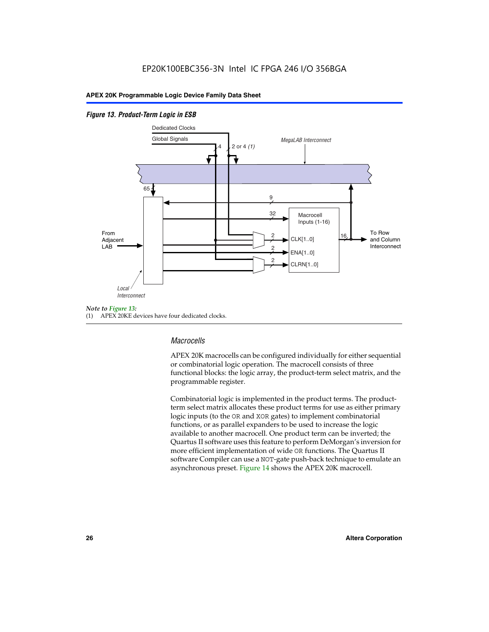#### *Figure 13. Product-Term Logic in ESB*



(1) APEX 20KE devices have four dedicated clocks.

#### *Macrocells*

APEX 20K macrocells can be configured individually for either sequential or combinatorial logic operation. The macrocell consists of three functional blocks: the logic array, the product-term select matrix, and the programmable register.

Combinatorial logic is implemented in the product terms. The productterm select matrix allocates these product terms for use as either primary logic inputs (to the OR and XOR gates) to implement combinatorial functions, or as parallel expanders to be used to increase the logic available to another macrocell. One product term can be inverted; the Quartus II software uses this feature to perform DeMorgan's inversion for more efficient implementation of wide OR functions. The Quartus II software Compiler can use a NOT-gate push-back technique to emulate an asynchronous preset. Figure 14 shows the APEX 20K macrocell.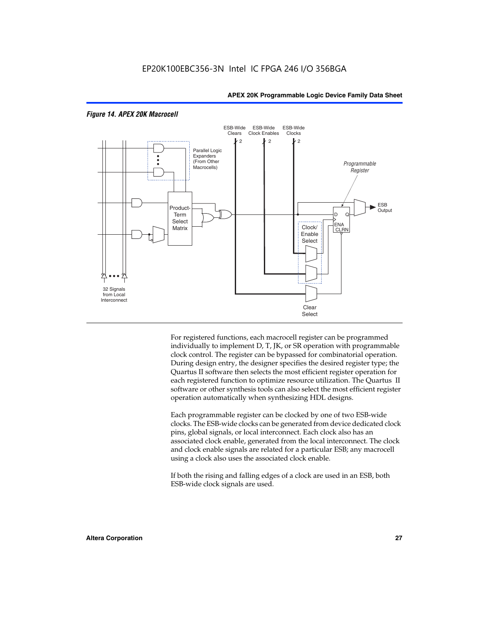

#### *Figure 14. APEX 20K Macrocell*

For registered functions, each macrocell register can be programmed individually to implement D, T, JK, or SR operation with programmable clock control. The register can be bypassed for combinatorial operation. During design entry, the designer specifies the desired register type; the Quartus II software then selects the most efficient register operation for each registered function to optimize resource utilization. The Quartus II software or other synthesis tools can also select the most efficient register operation automatically when synthesizing HDL designs.

Each programmable register can be clocked by one of two ESB-wide clocks. The ESB-wide clocks can be generated from device dedicated clock pins, global signals, or local interconnect. Each clock also has an associated clock enable, generated from the local interconnect. The clock and clock enable signals are related for a particular ESB; any macrocell using a clock also uses the associated clock enable.

If both the rising and falling edges of a clock are used in an ESB, both ESB-wide clock signals are used.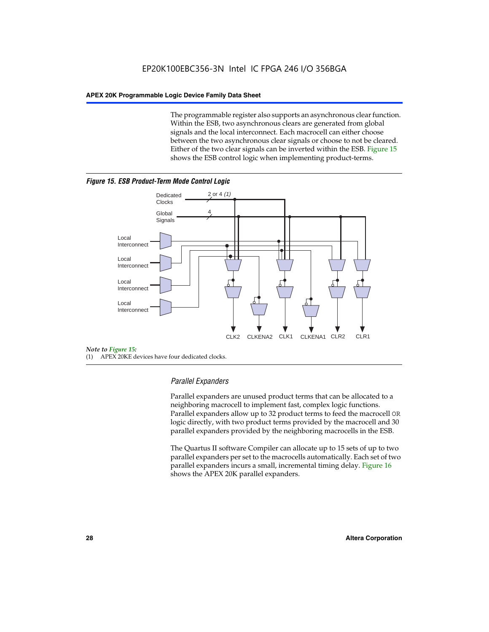The programmable register also supports an asynchronous clear function. Within the ESB, two asynchronous clears are generated from global signals and the local interconnect. Each macrocell can either choose between the two asynchronous clear signals or choose to not be cleared. Either of the two clear signals can be inverted within the ESB. Figure 15 shows the ESB control logic when implementing product-terms.





(1) APEX 20KE devices have four dedicated clocks.

#### *Parallel Expanders*

Parallel expanders are unused product terms that can be allocated to a neighboring macrocell to implement fast, complex logic functions. Parallel expanders allow up to 32 product terms to feed the macrocell OR logic directly, with two product terms provided by the macrocell and 30 parallel expanders provided by the neighboring macrocells in the ESB.

The Quartus II software Compiler can allocate up to 15 sets of up to two parallel expanders per set to the macrocells automatically. Each set of two parallel expanders incurs a small, incremental timing delay. Figure 16 shows the APEX 20K parallel expanders.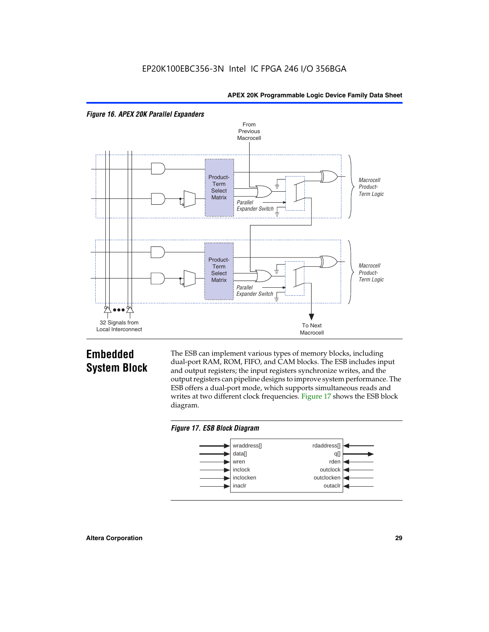



# **Embedded System Block**

The ESB can implement various types of memory blocks, including dual-port RAM, ROM, FIFO, and CAM blocks. The ESB includes input and output registers; the input registers synchronize writes, and the output registers can pipeline designs to improve system performance. The ESB offers a dual-port mode, which supports simultaneous reads and writes at two different clock frequencies. Figure 17 shows the ESB block diagram.



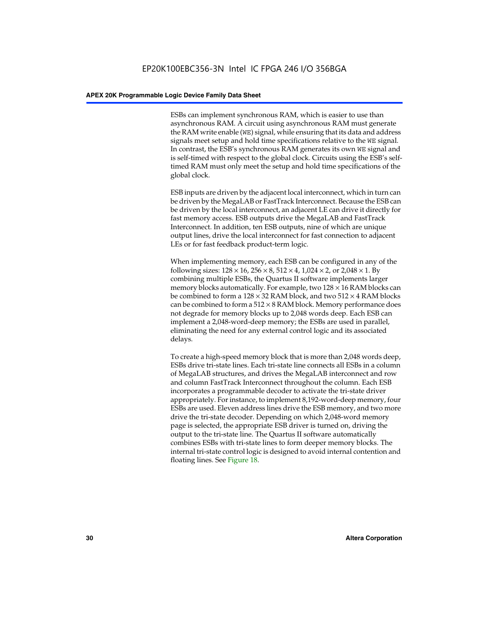ESBs can implement synchronous RAM, which is easier to use than asynchronous RAM. A circuit using asynchronous RAM must generate the RAM write enable (WE) signal, while ensuring that its data and address signals meet setup and hold time specifications relative to the WE signal. In contrast, the ESB's synchronous RAM generates its own WE signal and is self-timed with respect to the global clock. Circuits using the ESB's selftimed RAM must only meet the setup and hold time specifications of the global clock.

ESB inputs are driven by the adjacent local interconnect, which in turn can be driven by the MegaLAB or FastTrack Interconnect. Because the ESB can be driven by the local interconnect, an adjacent LE can drive it directly for fast memory access. ESB outputs drive the MegaLAB and FastTrack Interconnect. In addition, ten ESB outputs, nine of which are unique output lines, drive the local interconnect for fast connection to adjacent LEs or for fast feedback product-term logic.

When implementing memory, each ESB can be configured in any of the following sizes:  $128 \times 16$ ,  $256 \times 8$ ,  $512 \times 4$ ,  $1,024 \times 2$ , or  $2,048 \times 1$ . By combining multiple ESBs, the Quartus II software implements larger memory blocks automatically. For example, two  $128 \times 16$  RAM blocks can be combined to form a  $128 \times 32$  RAM block, and two  $512 \times 4$  RAM blocks can be combined to form a  $512 \times 8$  RAM block. Memory performance does not degrade for memory blocks up to 2,048 words deep. Each ESB can implement a 2,048-word-deep memory; the ESBs are used in parallel, eliminating the need for any external control logic and its associated delays.

To create a high-speed memory block that is more than 2,048 words deep, ESBs drive tri-state lines. Each tri-state line connects all ESBs in a column of MegaLAB structures, and drives the MegaLAB interconnect and row and column FastTrack Interconnect throughout the column. Each ESB incorporates a programmable decoder to activate the tri-state driver appropriately. For instance, to implement 8,192-word-deep memory, four ESBs are used. Eleven address lines drive the ESB memory, and two more drive the tri-state decoder. Depending on which 2,048-word memory page is selected, the appropriate ESB driver is turned on, driving the output to the tri-state line. The Quartus II software automatically combines ESBs with tri-state lines to form deeper memory blocks. The internal tri-state control logic is designed to avoid internal contention and floating lines. See Figure 18.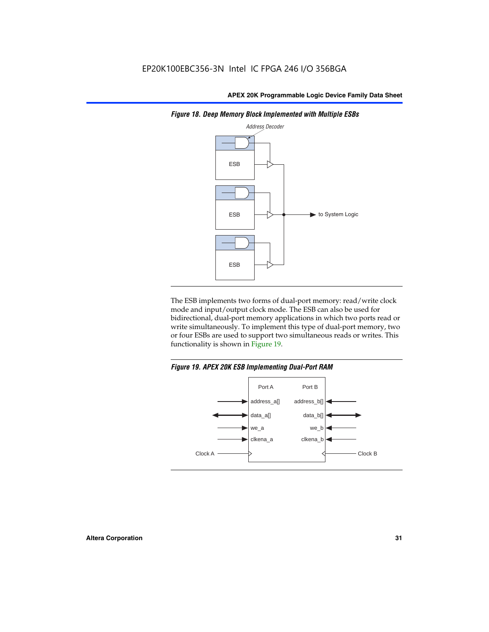

*Figure 18. Deep Memory Block Implemented with Multiple ESBs*

The ESB implements two forms of dual-port memory: read/write clock mode and input/output clock mode. The ESB can also be used for bidirectional, dual-port memory applications in which two ports read or write simultaneously. To implement this type of dual-port memory, two or four ESBs are used to support two simultaneous reads or writes. This functionality is shown in Figure 19.

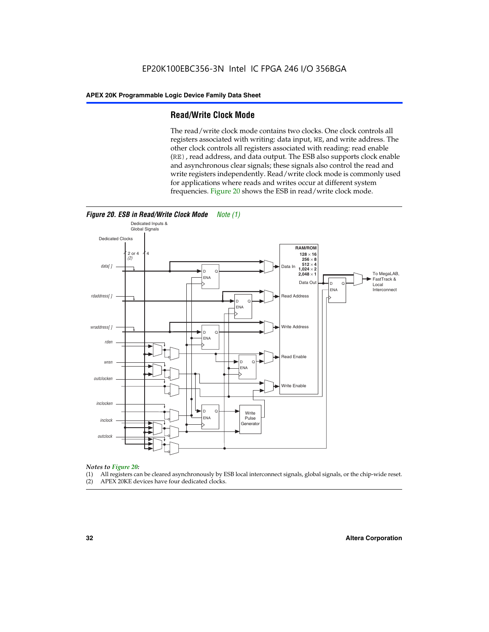#### **Read/Write Clock Mode**

The read/write clock mode contains two clocks. One clock controls all registers associated with writing: data input, WE, and write address. The other clock controls all registers associated with reading: read enable (RE), read address, and data output. The ESB also supports clock enable and asynchronous clear signals; these signals also control the read and write registers independently. Read/write clock mode is commonly used for applications where reads and writes occur at different system frequencies. Figure 20 shows the ESB in read/write clock mode.



# *Notes to Figure 20:*

- (1) All registers can be cleared asynchronously by ESB local interconnect signals, global signals, or the chip-wide reset.
- (2) APEX 20KE devices have four dedicated clocks.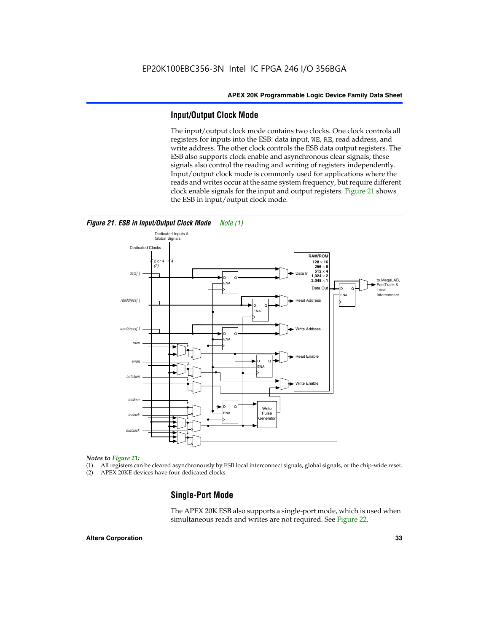#### **Input/Output Clock Mode**

The input/output clock mode contains two clocks. One clock controls all registers for inputs into the ESB: data input, WE, RE, read address, and write address. The other clock controls the ESB data output registers. The ESB also supports clock enable and asynchronous clear signals; these signals also control the reading and writing of registers independently. Input/output clock mode is commonly used for applications where the reads and writes occur at the same system frequency, but require different clock enable signals for the input and output registers. Figure 21 shows the ESB in input/output clock mode.



*Figure 21. ESB in Input/Output Clock Mode Note (1)*

#### *Notes to Figure 21:*

(1) All registers can be cleared asynchronously by ESB local interconnect signals, global signals, or the chip-wide reset.

(2) APEX 20KE devices have four dedicated clocks.

#### **Single-Port Mode**

The APEX 20K ESB also supports a single-port mode, which is used when simultaneous reads and writes are not required. See Figure 22.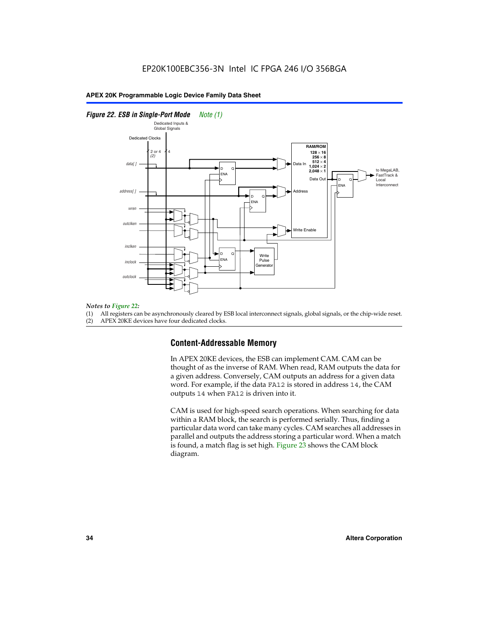#### *Figure 22. ESB in Single-Port Mode Note (1)*



#### *Notes to Figure 22:*

(1) All registers can be asynchronously cleared by ESB local interconnect signals, global signals, or the chip-wide reset.

(2) APEX 20KE devices have four dedicated clocks.

#### **Content-Addressable Memory**

In APEX 20KE devices, the ESB can implement CAM. CAM can be thought of as the inverse of RAM. When read, RAM outputs the data for a given address. Conversely, CAM outputs an address for a given data word. For example, if the data FA12 is stored in address 14, the CAM outputs 14 when FA12 is driven into it.

CAM is used for high-speed search operations. When searching for data within a RAM block, the search is performed serially. Thus, finding a particular data word can take many cycles. CAM searches all addresses in parallel and outputs the address storing a particular word. When a match is found, a match flag is set high. Figure 23 shows the CAM block diagram.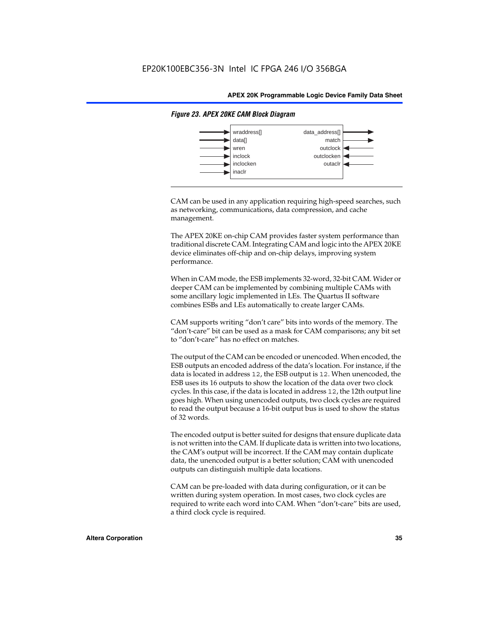

#### *Figure 23. APEX 20KE CAM Block Diagram*

CAM can be used in any application requiring high-speed searches, such as networking, communications, data compression, and cache management.

The APEX 20KE on-chip CAM provides faster system performance than traditional discrete CAM. Integrating CAM and logic into the APEX 20KE device eliminates off-chip and on-chip delays, improving system performance.

When in CAM mode, the ESB implements 32-word, 32-bit CAM. Wider or deeper CAM can be implemented by combining multiple CAMs with some ancillary logic implemented in LEs. The Quartus II software combines ESBs and LEs automatically to create larger CAMs.

CAM supports writing "don't care" bits into words of the memory. The "don't-care" bit can be used as a mask for CAM comparisons; any bit set to "don't-care" has no effect on matches.

The output of the CAM can be encoded or unencoded. When encoded, the ESB outputs an encoded address of the data's location. For instance, if the data is located in address 12, the ESB output is 12. When unencoded, the ESB uses its 16 outputs to show the location of the data over two clock cycles. In this case, if the data is located in address 12, the 12th output line goes high. When using unencoded outputs, two clock cycles are required to read the output because a 16-bit output bus is used to show the status of 32 words.

The encoded output is better suited for designs that ensure duplicate data is not written into the CAM. If duplicate data is written into two locations, the CAM's output will be incorrect. If the CAM may contain duplicate data, the unencoded output is a better solution; CAM with unencoded outputs can distinguish multiple data locations.

CAM can be pre-loaded with data during configuration, or it can be written during system operation. In most cases, two clock cycles are required to write each word into CAM. When "don't-care" bits are used, a third clock cycle is required.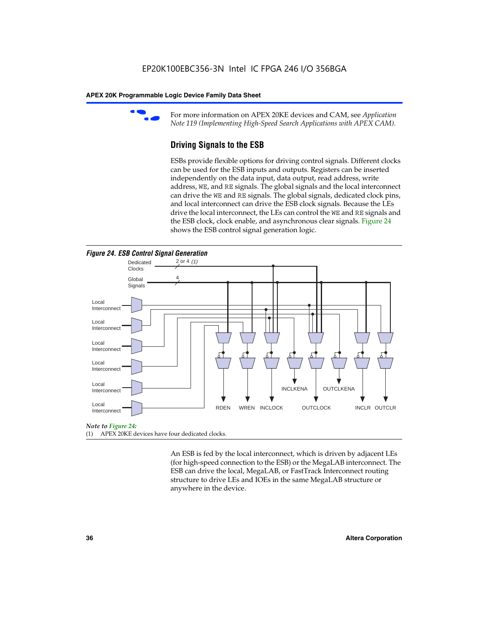

For more information on APEX 20KE devices and CAM, see *Application Note 119 (Implementing High-Speed Search Applications with APEX CAM).*

# **Driving Signals to the ESB**

ESBs provide flexible options for driving control signals. Different clocks can be used for the ESB inputs and outputs. Registers can be inserted independently on the data input, data output, read address, write address, WE, and RE signals. The global signals and the local interconnect can drive the WE and RE signals. The global signals, dedicated clock pins, and local interconnect can drive the ESB clock signals. Because the LEs drive the local interconnect, the LEs can control the WE and RE signals and the ESB clock, clock enable, and asynchronous clear signals. Figure 24 shows the ESB control signal generation logic.





#### *Note to Figure 24:*

(1) APEX 20KE devices have four dedicated clocks.

An ESB is fed by the local interconnect, which is driven by adjacent LEs (for high-speed connection to the ESB) or the MegaLAB interconnect. The ESB can drive the local, MegaLAB, or FastTrack Interconnect routing structure to drive LEs and IOEs in the same MegaLAB structure or anywhere in the device.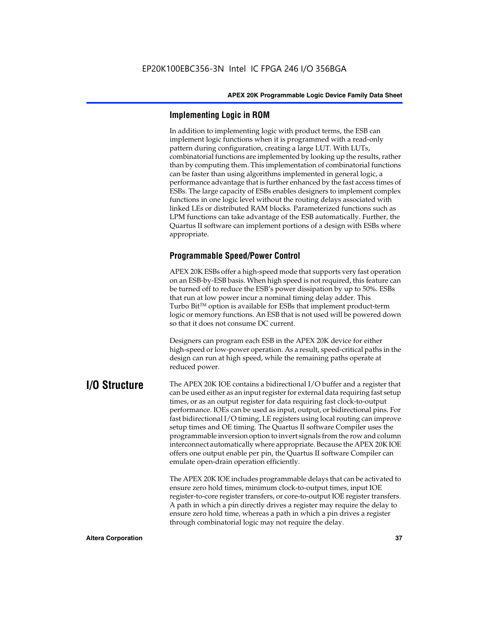# **Implementing Logic in ROM**

In addition to implementing logic with product terms, the ESB can implement logic functions when it is programmed with a read-only pattern during configuration, creating a large LUT. With LUTs, combinatorial functions are implemented by looking up the results, rather than by computing them. This implementation of combinatorial functions can be faster than using algorithms implemented in general logic, a performance advantage that is further enhanced by the fast access times of ESBs. The large capacity of ESBs enables designers to implement complex functions in one logic level without the routing delays associated with linked LEs or distributed RAM blocks. Parameterized functions such as LPM functions can take advantage of the ESB automatically. Further, the Quartus II software can implement portions of a design with ESBs where appropriate.

# **Programmable Speed/Power Control**

APEX 20K ESBs offer a high-speed mode that supports very fast operation on an ESB-by-ESB basis. When high speed is not required, this feature can be turned off to reduce the ESB's power dissipation by up to 50%. ESBs that run at low power incur a nominal timing delay adder. This Turbo  $Bit^{TM}$  option is available for ESBs that implement product-term logic or memory functions. An ESB that is not used will be powered down so that it does not consume DC current.

Designers can program each ESB in the APEX 20K device for either high-speed or low-power operation. As a result, speed-critical paths in the design can run at high speed, while the remaining paths operate at reduced power.

**I/O Structure** The APEX 20K IOE contains a bidirectional I/O buffer and a register that can be used either as an input register for external data requiring fast setup times, or as an output register for data requiring fast clock-to-output performance. IOEs can be used as input, output, or bidirectional pins. For fast bidirectional I/O timing, LE registers using local routing can improve setup times and OE timing. The Quartus II software Compiler uses the programmable inversion option to invert signals from the row and column interconnect automatically where appropriate. Because the APEX 20K IOE offers one output enable per pin, the Quartus II software Compiler can emulate open-drain operation efficiently.

> The APEX 20K IOE includes programmable delays that can be activated to ensure zero hold times, minimum clock-to-output times, input IOE register-to-core register transfers, or core-to-output IOE register transfers. A path in which a pin directly drives a register may require the delay to ensure zero hold time, whereas a path in which a pin drives a register through combinatorial logic may not require the delay.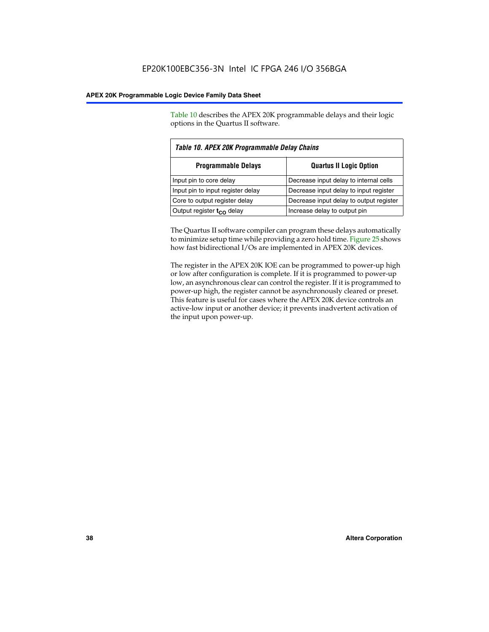Table 10 describes the APEX 20K programmable delays and their logic options in the Quartus II software.

| Table 10. APEX 20K Programmable Delay Chains |                                         |  |  |  |
|----------------------------------------------|-----------------------------------------|--|--|--|
| <b>Programmable Delays</b>                   | <b>Quartus II Logic Option</b>          |  |  |  |
| Input pin to core delay                      | Decrease input delay to internal cells  |  |  |  |
| Input pin to input register delay            | Decrease input delay to input register  |  |  |  |
| Core to output register delay                | Decrease input delay to output register |  |  |  |
| Output register $t_{\rm CO}$ delay           | Increase delay to output pin            |  |  |  |

The Quartus II software compiler can program these delays automatically to minimize setup time while providing a zero hold time. Figure 25 shows how fast bidirectional I/Os are implemented in APEX 20K devices.

The register in the APEX 20K IOE can be programmed to power-up high or low after configuration is complete. If it is programmed to power-up low, an asynchronous clear can control the register. If it is programmed to power-up high, the register cannot be asynchronously cleared or preset. This feature is useful for cases where the APEX 20K device controls an active-low input or another device; it prevents inadvertent activation of the input upon power-up.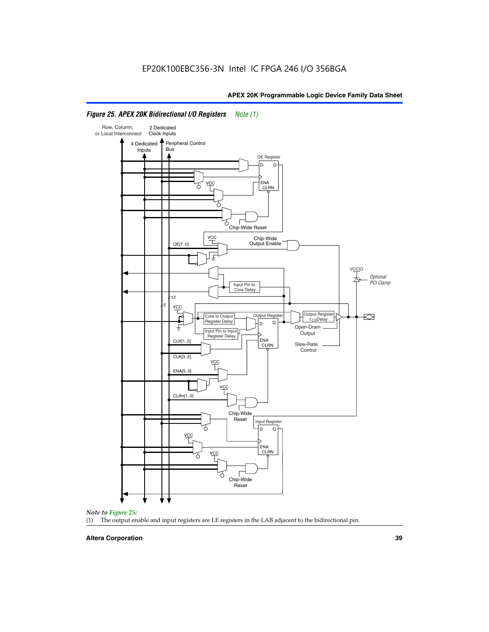

# *Figure 25. APEX 20K Bidirectional I/O Registers Note (1)*



#### **Altera Corporation 39**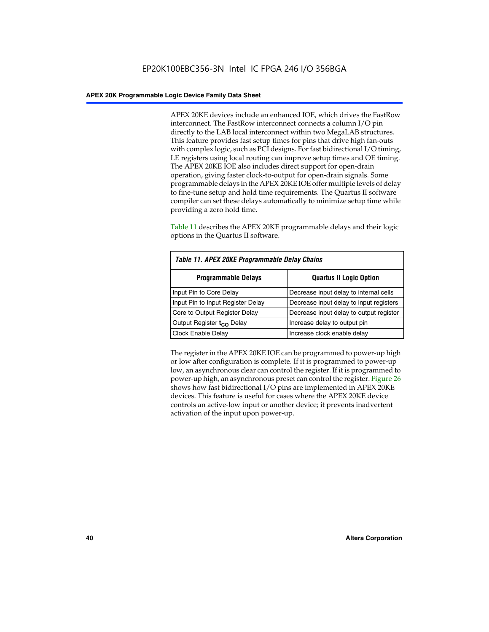APEX 20KE devices include an enhanced IOE, which drives the FastRow interconnect. The FastRow interconnect connects a column I/O pin directly to the LAB local interconnect within two MegaLAB structures. This feature provides fast setup times for pins that drive high fan-outs with complex logic, such as PCI designs. For fast bidirectional I/O timing, LE registers using local routing can improve setup times and OE timing. The APEX 20KE IOE also includes direct support for open-drain operation, giving faster clock-to-output for open-drain signals. Some programmable delays in the APEX 20KE IOE offer multiple levels of delay to fine-tune setup and hold time requirements. The Quartus II software compiler can set these delays automatically to minimize setup time while providing a zero hold time.

Table 11 describes the APEX 20KE programmable delays and their logic options in the Quartus II software.

| Table 11. APEX 20KE Programmable Delay Chains |                                         |  |  |  |
|-----------------------------------------------|-----------------------------------------|--|--|--|
| <b>Programmable Delays</b>                    | <b>Quartus II Logic Option</b>          |  |  |  |
| Input Pin to Core Delay                       | Decrease input delay to internal cells  |  |  |  |
| Input Pin to Input Register Delay             | Decrease input delay to input registers |  |  |  |
| Core to Output Register Delay                 | Decrease input delay to output register |  |  |  |
| Output Register t <sub>CO</sub> Delay         | Increase delay to output pin            |  |  |  |
| Clock Enable Delay                            | Increase clock enable delay             |  |  |  |

The register in the APEX 20KE IOE can be programmed to power-up high or low after configuration is complete. If it is programmed to power-up low, an asynchronous clear can control the register. If it is programmed to power-up high, an asynchronous preset can control the register. Figure 26 shows how fast bidirectional I/O pins are implemented in APEX 20KE devices. This feature is useful for cases where the APEX 20KE device controls an active-low input or another device; it prevents inadvertent activation of the input upon power-up.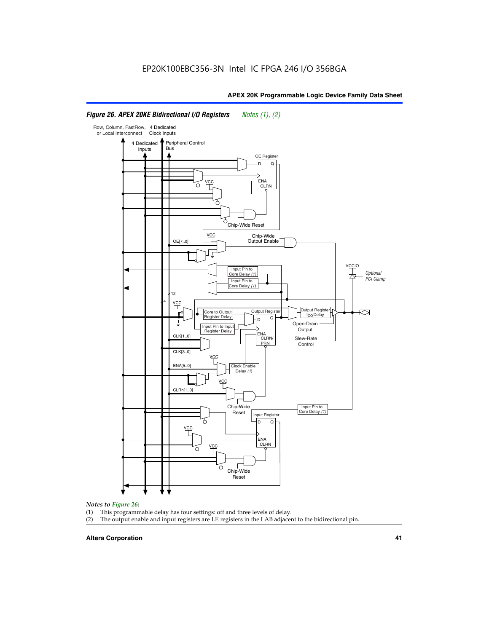#### Row, Column, FastRow, 4 Dedicated or Local Interconnect Clock Inputs Peripheral Control 4 Dedicated **Bus** Inputs OE Register D Q ENA VCC CLRN 7 Chip-Wide Reset vcc Chip-Wide Output Enable OE[7..0] VC Input Pin to **Optional** Core Delay (1) PCI Clamp Input Pin to Core Delay (1) 12 4 **VCC** Output Register **Output Registe**  $\approx$ Core to Output | Output Hegister | Durbut Tropieding | Contput Tropieding | Durbut Tropieding | Output Tropied<br>Register Delay | Durbut Tropieding | Contput Tropieding | Contput Tropieding | O t<sub>CO</sub>Delay  $D$  Q ŧ Open-Drain Input Pin to Input **Output** Register Delay ENA CLK[1..0] CLRN/ Slew-Rate PR<sub>N</sub> Control CLK[3..0] VCC ENA[5..0] Clock Enable Delay (1) VCC CLRn[1..0] Chip-Wide Input Pin to Core Delay (1) Reset Input Register D Q <u>vcc</u> .<br>ENA CLRN **VCC** Chip-Wide Reset

# *Figure 26. APEX 20KE Bidirectional I/O Registers Notes (1), (2)*

#### *Notes to Figure 26:*

- (1) This programmable delay has four settings: off and three levels of delay.<br>(2) The output enable and input registers are LE registers in the LAB adjacer
- The output enable and input registers are LE registers in the LAB adjacent to the bidirectional pin.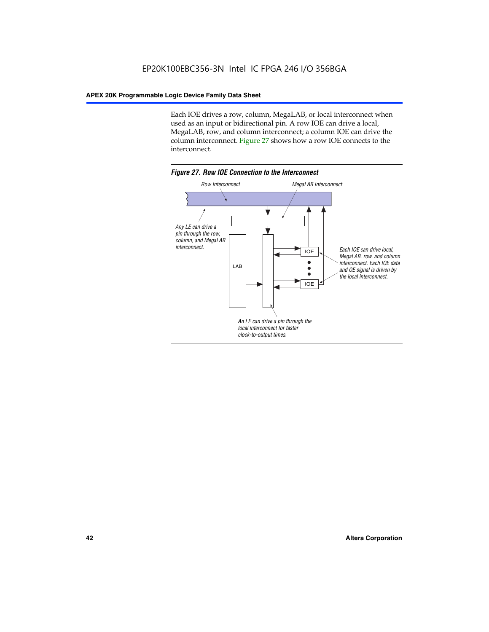Each IOE drives a row, column, MegaLAB, or local interconnect when used as an input or bidirectional pin. A row IOE can drive a local, MegaLAB, row, and column interconnect; a column IOE can drive the column interconnect. Figure 27 shows how a row IOE connects to the interconnect.

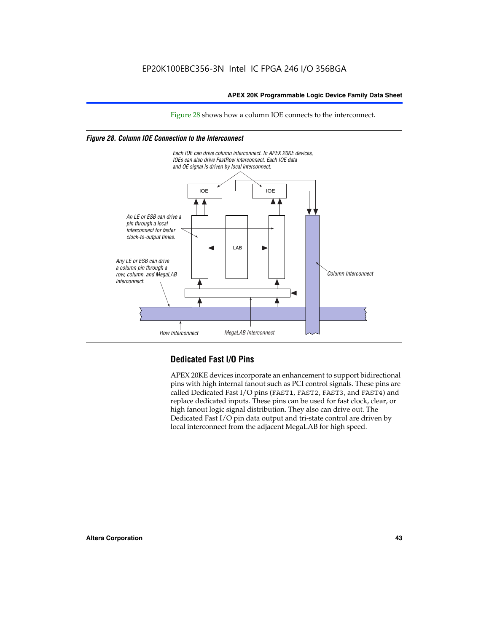Figure 28 shows how a column IOE connects to the interconnect.

# *Figure 28. Column IOE Connection to the Interconnect*



# **Dedicated Fast I/O Pins**

APEX 20KE devices incorporate an enhancement to support bidirectional pins with high internal fanout such as PCI control signals. These pins are called Dedicated Fast I/O pins (FAST1, FAST2, FAST3, and FAST4) and replace dedicated inputs. These pins can be used for fast clock, clear, or high fanout logic signal distribution. They also can drive out. The Dedicated Fast I/O pin data output and tri-state control are driven by local interconnect from the adjacent MegaLAB for high speed.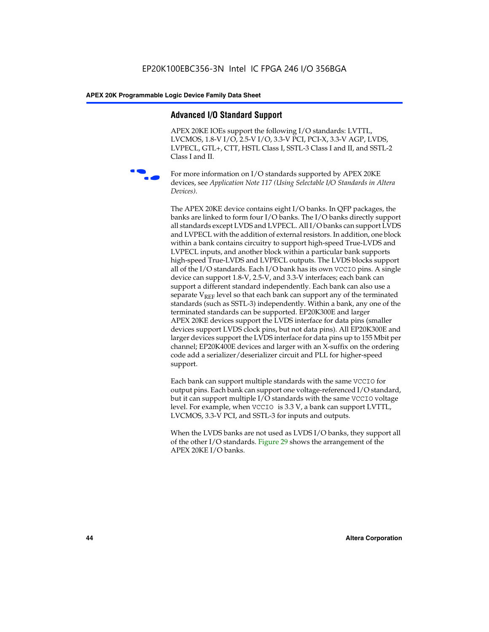# **Advanced I/O Standard Support**

APEX 20KE IOEs support the following I/O standards: LVTTL, LVCMOS, 1.8-V I/O, 2.5-V I/O, 3.3-V PCI, PCI-X, 3.3-V AGP, LVDS, LVPECL, GTL+, CTT, HSTL Class I, SSTL-3 Class I and II, and SSTL-2 Class I and II.



For more information on I/O standards supported by APEX 20KE devices, see *Application Note 117 (Using Selectable I/O Standards in Altera Devices)*.

The APEX 20KE device contains eight I/O banks. In QFP packages, the banks are linked to form four I/O banks. The I/O banks directly support all standards except LVDS and LVPECL. All I/O banks can support LVDS and LVPECL with the addition of external resistors. In addition, one block within a bank contains circuitry to support high-speed True-LVDS and LVPECL inputs, and another block within a particular bank supports high-speed True-LVDS and LVPECL outputs. The LVDS blocks support all of the I/O standards. Each I/O bank has its own VCCIO pins. A single device can support 1.8-V, 2.5-V, and 3.3-V interfaces; each bank can support a different standard independently. Each bank can also use a separate  $V_{\text{REF}}$  level so that each bank can support any of the terminated standards (such as SSTL-3) independently. Within a bank, any one of the terminated standards can be supported. EP20K300E and larger APEX 20KE devices support the LVDS interface for data pins (smaller devices support LVDS clock pins, but not data pins). All EP20K300E and larger devices support the LVDS interface for data pins up to 155 Mbit per channel; EP20K400E devices and larger with an X-suffix on the ordering code add a serializer/deserializer circuit and PLL for higher-speed support.

Each bank can support multiple standards with the same VCCIO for output pins. Each bank can support one voltage-referenced I/O standard, but it can support multiple I/O standards with the same VCCIO voltage level. For example, when VCCIO is 3.3 V, a bank can support LVTTL, LVCMOS, 3.3-V PCI, and SSTL-3 for inputs and outputs.

When the LVDS banks are not used as LVDS I/O banks, they support all of the other I/O standards. Figure 29 shows the arrangement of the APEX 20KE I/O banks.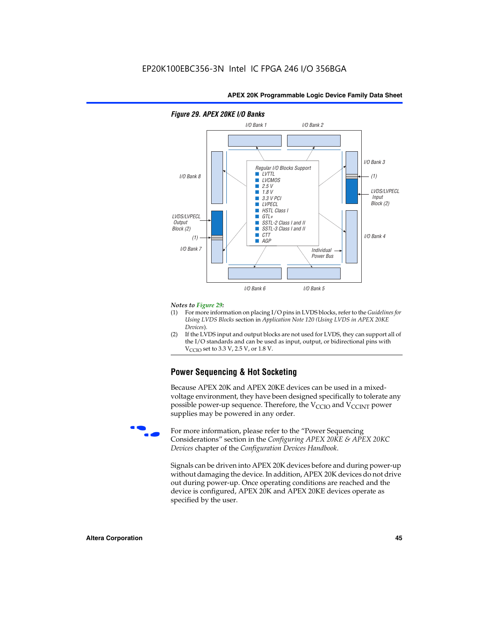

# *Figure 29. APEX 20KE I/O Banks*

#### *Notes to Figure 29:*

- (1) For more information on placing I/O pins in LVDS blocks, refer to the *Guidelines for Using LVDS Blocks* section in *Application Note 120 (Using LVDS in APEX 20KE Devices*).
- (2) If the LVDS input and output blocks are not used for LVDS, they can support all of the I/O standards and can be used as input, output, or bidirectional pins with  $V_{\text{C} \cap \text{O}}$  set to 3.3 V, 2.5 V, or 1.8 V.

# **Power Sequencing & Hot Socketing**

Because APEX 20K and APEX 20KE devices can be used in a mixedvoltage environment, they have been designed specifically to tolerate any possible power-up sequence. Therefore, the  $V_{\text{CCIO}}$  and  $V_{\text{CCINT}}$  power supplies may be powered in any order.

For more information, please refer to the "Power Sequencing Considerations" section in the *Configuring APEX 20KE & APEX 20KC Devices* chapter of the *Configuration Devices Handbook*.

Signals can be driven into APEX 20K devices before and during power-up without damaging the device. In addition, APEX 20K devices do not drive out during power-up. Once operating conditions are reached and the device is configured, APEX 20K and APEX 20KE devices operate as specified by the user.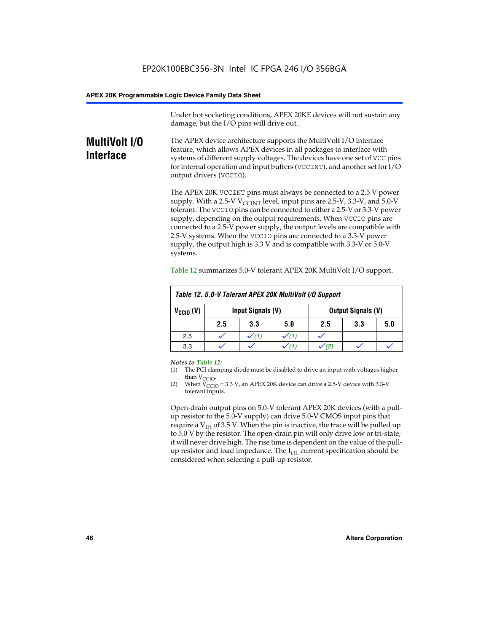Under hot socketing conditions, APEX 20KE devices will not sustain any damage, but the I/O pins will drive out.

# **MultiVolt I/O Interface**

The APEX device architecture supports the MultiVolt I/O interface feature, which allows APEX devices in all packages to interface with systems of different supply voltages. The devices have one set of VCC pins for internal operation and input buffers (VCCINT), and another set for I/O output drivers (VCCIO).

The APEX 20K VCCINT pins must always be connected to a 2.5 V power supply. With a 2.5-V  $V_{\text{CCMT}}$  level, input pins are 2.5-V, 3.3-V, and 5.0-V tolerant. The VCCIO pins can be connected to either a 2.5-V or 3.3-V power supply, depending on the output requirements. When VCCIO pins are connected to a 2.5-V power supply, the output levels are compatible with 2.5-V systems. When the VCCIO pins are connected to a 3.3-V power supply, the output high is 3.3 V and is compatible with 3.3-V or 5.0-V systems.

| Table 12. 5.0-V Tolerant APEX 20K MultiVolt I/O Support |                                                |                  |     |     |     |     |
|---------------------------------------------------------|------------------------------------------------|------------------|-----|-----|-----|-----|
| $V_{\text{CCIO}}(V)$                                    | Input Signals (V)<br><b>Output Signals (V)</b> |                  |     |     |     |     |
|                                                         | 2.5                                            | 3.3              | 5.0 | 2.5 | 3.3 | 5.0 |
| 2.5                                                     |                                                | $\checkmark$ (1) |     |     |     |     |
| 3.3                                                     |                                                |                  |     |     |     |     |

Table 12 summarizes 5.0-V tolerant APEX 20K MultiVolt I/O support.

#### *Notes to Table 12:*

- (1) The PCI clamping diode must be disabled to drive an input with voltages higher than  $V_{CCIO}$ .
- (2) When  $V_{CCIO} = 3.3 V$ , an APEX 20K device can drive a 2.5-V device with 3.3-V tolerant inputs.

Open-drain output pins on 5.0-V tolerant APEX 20K devices (with a pullup resistor to the 5.0-V supply) can drive 5.0-V CMOS input pins that require a  $V_{IH}$  of 3.5 V. When the pin is inactive, the trace will be pulled up to 5.0 V by the resistor. The open-drain pin will only drive low or tri-state; it will never drive high. The rise time is dependent on the value of the pullup resistor and load impedance. The  $I_{OI}$  current specification should be considered when selecting a pull-up resistor.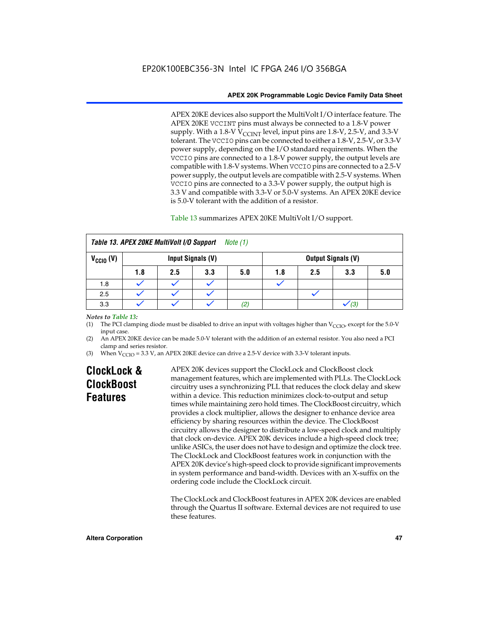APEX 20KE devices also support the MultiVolt I/O interface feature. The APEX 20KE VCCINT pins must always be connected to a 1.8-V power supply. With a 1.8-V  $V_{\text{CCINT}}$  level, input pins are 1.8-V, 2.5-V, and 3.3-V tolerant. The VCCIO pins can be connected to either a 1.8-V, 2.5-V, or 3.3-V power supply, depending on the I/O standard requirements. When the VCCIO pins are connected to a 1.8-V power supply, the output levels are compatible with 1.8-V systems. When VCCIO pins are connected to a 2.5-V power supply, the output levels are compatible with 2.5-V systems. When VCCIO pins are connected to a 3.3-V power supply, the output high is 3.3 V and compatible with 3.3-V or 5.0-V systems. An APEX 20KE device is 5.0-V tolerant with the addition of a resistor.

# Table 13 summarizes APEX 20KE MultiVolt I/O support.

|                      | Table 13. APEX 20KE MultiVolt I/O Support<br>Note (1) |     |                   |     |     |     |                           |     |
|----------------------|-------------------------------------------------------|-----|-------------------|-----|-----|-----|---------------------------|-----|
| $V_{\text{CCIO}}(V)$ |                                                       |     | Input Signals (V) |     |     |     | <b>Output Signals (V)</b> |     |
|                      | 1.8                                                   | 2.5 | 3.3               | 5.0 | 1.8 | 2.5 | 3.3                       | 5.0 |
| 1.8                  |                                                       |     |                   |     |     |     |                           |     |
| 2.5                  |                                                       |     |                   |     |     |     |                           |     |
| 3.3                  |                                                       |     |                   | (2) |     |     | (3)                       |     |

# *Notes to Table 13:*

(1) The PCI clamping diode must be disabled to drive an input with voltages higher than  $V_{CCIO}$ , except for the 5.0-V input case.

(2) An APEX 20KE device can be made 5.0-V tolerant with the addition of an external resistor. You also need a PCI clamp and series resistor.

(3) When  $V_{\text{CCIO}} = 3.3$  V, an APEX 20KE device can drive a 2.5-V device with 3.3-V tolerant inputs.

# **ClockLock & ClockBoost Features**

APEX 20K devices support the ClockLock and ClockBoost clock management features, which are implemented with PLLs. The ClockLock circuitry uses a synchronizing PLL that reduces the clock delay and skew within a device. This reduction minimizes clock-to-output and setup times while maintaining zero hold times. The ClockBoost circuitry, which provides a clock multiplier, allows the designer to enhance device area efficiency by sharing resources within the device. The ClockBoost circuitry allows the designer to distribute a low-speed clock and multiply that clock on-device. APEX 20K devices include a high-speed clock tree; unlike ASICs, the user does not have to design and optimize the clock tree. The ClockLock and ClockBoost features work in conjunction with the APEX 20K device's high-speed clock to provide significant improvements in system performance and band-width. Devices with an X-suffix on the ordering code include the ClockLock circuit.

The ClockLock and ClockBoost features in APEX 20K devices are enabled through the Quartus II software. External devices are not required to use these features.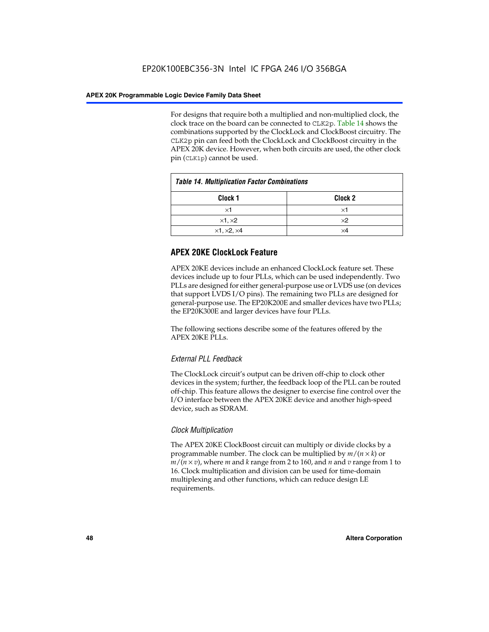For designs that require both a multiplied and non-multiplied clock, the clock trace on the board can be connected to CLK2p. Table 14 shows the combinations supported by the ClockLock and ClockBoost circuitry. The CLK2p pin can feed both the ClockLock and ClockBoost circuitry in the APEX 20K device. However, when both circuits are used, the other clock pin (CLK1p) cannot be used.

| <b>Table 14. Multiplication Factor Combinations</b> |                    |  |
|-----------------------------------------------------|--------------------|--|
| Clock <sub>1</sub>                                  | Clock <sub>2</sub> |  |
| $\times$ 1                                          | ×1                 |  |
| $\times$ 1, $\times$ 2                              | $\times 2$         |  |
| $\times$ 1, $\times$ 2, $\times$ 4                  | ×4                 |  |

# **APEX 20KE ClockLock Feature**

APEX 20KE devices include an enhanced ClockLock feature set. These devices include up to four PLLs, which can be used independently. Two PLLs are designed for either general-purpose use or LVDS use (on devices that support LVDS I/O pins). The remaining two PLLs are designed for general-purpose use. The EP20K200E and smaller devices have two PLLs; the EP20K300E and larger devices have four PLLs.

The following sections describe some of the features offered by the APEX 20KE PLLs.

# *External PLL Feedback*

The ClockLock circuit's output can be driven off-chip to clock other devices in the system; further, the feedback loop of the PLL can be routed off-chip. This feature allows the designer to exercise fine control over the I/O interface between the APEX 20KE device and another high-speed device, such as SDRAM.

# *Clock Multiplication*

The APEX 20KE ClockBoost circuit can multiply or divide clocks by a programmable number. The clock can be multiplied by *m*/(*n* × *k*) or  $m/(n \times v)$ , where *m* and *k* range from 2 to 160, and *n* and *v* range from 1 to 16. Clock multiplication and division can be used for time-domain multiplexing and other functions, which can reduce design LE requirements.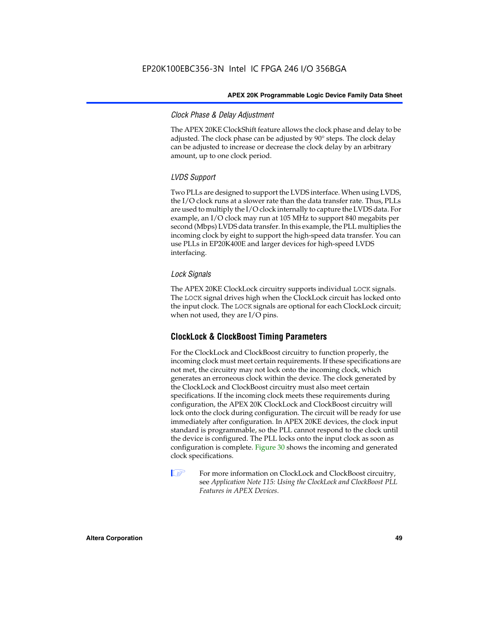# *Clock Phase & Delay Adjustment*

The APEX 20KE ClockShift feature allows the clock phase and delay to be adjusted. The clock phase can be adjusted by 90° steps. The clock delay can be adjusted to increase or decrease the clock delay by an arbitrary amount, up to one clock period.

# *LVDS Support*

Two PLLs are designed to support the LVDS interface. When using LVDS, the I/O clock runs at a slower rate than the data transfer rate. Thus, PLLs are used to multiply the I/O clock internally to capture the LVDS data. For example, an I/O clock may run at 105 MHz to support 840 megabits per second (Mbps) LVDS data transfer. In this example, the PLL multiplies the incoming clock by eight to support the high-speed data transfer. You can use PLLs in EP20K400E and larger devices for high-speed LVDS interfacing.

# *Lock Signals*

The APEX 20KE ClockLock circuitry supports individual LOCK signals. The LOCK signal drives high when the ClockLock circuit has locked onto the input clock. The LOCK signals are optional for each ClockLock circuit; when not used, they are I/O pins.

# **ClockLock & ClockBoost Timing Parameters**

For the ClockLock and ClockBoost circuitry to function properly, the incoming clock must meet certain requirements. If these specifications are not met, the circuitry may not lock onto the incoming clock, which generates an erroneous clock within the device. The clock generated by the ClockLock and ClockBoost circuitry must also meet certain specifications. If the incoming clock meets these requirements during configuration, the APEX 20K ClockLock and ClockBoost circuitry will lock onto the clock during configuration. The circuit will be ready for use immediately after configuration. In APEX 20KE devices, the clock input standard is programmable, so the PLL cannot respond to the clock until the device is configured. The PLL locks onto the input clock as soon as configuration is complete. Figure 30 shows the incoming and generated clock specifications.

 $\mathbb{I} \mathcal{F}$  For more information on ClockLock and ClockBoost circuitry, see *Application Note 115: Using the ClockLock and ClockBoost PLL Features in APEX Devices*.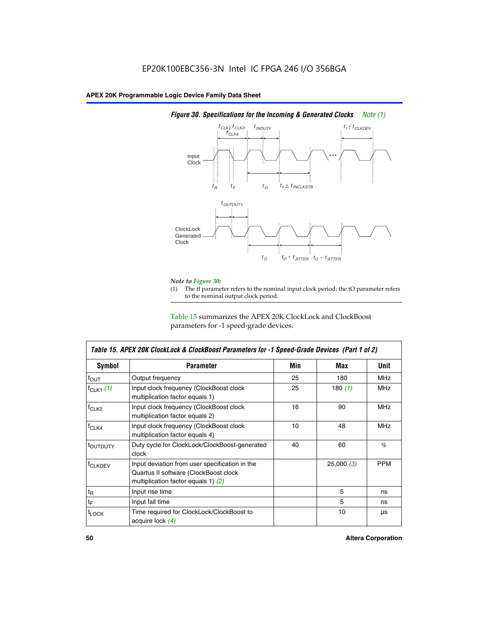

# *Figure 30. Specifications for the Incoming & Generated Clocks Note (1)*

# *Note to Figure 30:*

The tI parameter refers to the nominal input clock period; the tO parameter refers to the nominal output clock period.

Table 15 summarizes the APEX 20K ClockLock and ClockBoost parameters for -1 speed-grade devices.

| <b>Symbol</b>                                                                                                                                       | <b>Parameter</b>                                                           | Min | Max       | <b>Unit</b> |
|-----------------------------------------------------------------------------------------------------------------------------------------------------|----------------------------------------------------------------------------|-----|-----------|-------------|
| $f_{OUT}$                                                                                                                                           | Output frequency                                                           | 25  | 180       | MHz         |
| $f_{CLK1}$ $(1)$                                                                                                                                    | Input clock frequency (ClockBoost clock<br>multiplication factor equals 1) | 25  | 180 $(1)$ | <b>MHz</b>  |
| $f_{CLK2}$                                                                                                                                          | Input clock frequency (ClockBoost clock<br>multiplication factor equals 2) | 16  | 90        | <b>MHz</b>  |
| $f_{CLK4}$                                                                                                                                          | Input clock frequency (ClockBoost clock<br>multiplication factor equals 4) | 10  | 48        | <b>MHz</b>  |
| toutputy                                                                                                                                            | Duty cycle for ClockLock/ClockBoost-generated<br>clock                     | 40  | 60        | %           |
| Input deviation from user specification in the<br><b>f</b> CLKDEV<br>Quartus II software (ClockBoost clock<br>multiplication factor equals 1) $(2)$ |                                                                            |     | 25,000(3) | <b>PPM</b>  |
| $t_{\mathsf{R}}$                                                                                                                                    | Input rise time                                                            |     | 5         | ns          |
| $t_{\mathsf{F}}$                                                                                                                                    | Input fall time                                                            |     | 5         | ns          |
| <sup>t</sup> LOCK                                                                                                                                   | Time required for ClockLock/ClockBoost to<br>acquire lock (4)              |     | 10        | μs          |

 $\mathsf I$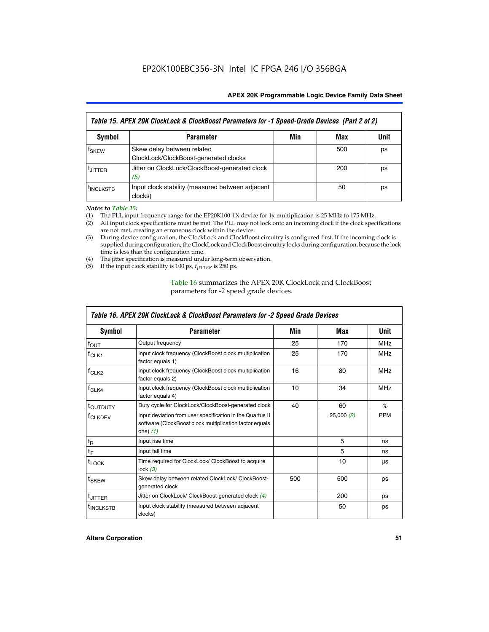| Table 15. APEX 20K ClockLock & ClockBoost Parameters for -1 Speed-Grade Devices (Part 2 of 2) |                                                                     |     |     |      |
|-----------------------------------------------------------------------------------------------|---------------------------------------------------------------------|-----|-----|------|
| <b>Symbol</b>                                                                                 | <b>Parameter</b>                                                    | Min | Max | Unit |
| t <sub>SKEW</sub>                                                                             | Skew delay between related<br>ClockLock/ClockBoost-generated clocks |     | 500 | ps   |
| <b>UITTER</b>                                                                                 | Jitter on ClockLock/ClockBoost-generated clock<br>(5)               |     | 200 | ps   |
| <b>INCLKSTB</b>                                                                               | Input clock stability (measured between adjacent<br>clocks)         |     | 50  | ps   |

*Notes to Table 15:*

- (1) The PLL input frequency range for the EP20K100-1X device for 1x multiplication is 25 MHz to 175 MHz.
- (2) All input clock specifications must be met. The PLL may not lock onto an incoming clock if the clock specifications are not met, creating an erroneous clock within the device.
- (3) During device configuration, the ClockLock and ClockBoost circuitry is configured first. If the incoming clock is supplied during configuration, the ClockLock and ClockBoost circuitry locks during configuration, because the lock time is less than the configuration time.
- (4) The jitter specification is measured under long-term observation.
- (5) If the input clock stability is 100 ps,  $t_{\text{JITTER}}$  is 250 ps.

# Table 16 summarizes the APEX 20K ClockLock and ClockBoost parameters for -2 speed grade devices.

| Symbol                                                                                | <b>Parameter</b>                                                                                                                   | Min | Max       | Unit       |
|---------------------------------------------------------------------------------------|------------------------------------------------------------------------------------------------------------------------------------|-----|-----------|------------|
| $f_{\text{OUT}}$                                                                      | Output frequency                                                                                                                   | 25  | 170       | <b>MHz</b> |
| <sup>T</sup> CLK1                                                                     | Input clock frequency (ClockBoost clock multiplication<br>factor equals 1)                                                         | 25  | 170       | <b>MHz</b> |
| $f_{CLK2}$                                                                            | Input clock frequency (ClockBoost clock multiplication<br>factor equals 2)                                                         |     | 80        | <b>MHz</b> |
| Input clock frequency (ClockBoost clock multiplication<br>$tCLK4$<br>factor equals 4) |                                                                                                                                    | 10  | 34        | <b>MHz</b> |
| <sup>t</sup> OUTDUTY                                                                  | Duty cycle for ClockLock/ClockBoost-generated clock                                                                                | 40  | 60        | $\%$       |
| <sup>T</sup> CLKDEV                                                                   | Input deviation from user specification in the Quartus II<br>software (ClockBoost clock multiplication factor equals<br>one) $(1)$ |     | 25,000(2) | <b>PPM</b> |
| $t_{\mathsf{R}}$                                                                      | Input rise time                                                                                                                    |     | 5         | ns         |
| $t_F$                                                                                 | Input fall time                                                                                                                    |     | 5         | ns         |
| $t_{\text{LOCK}}$                                                                     | Time required for ClockLock/ ClockBoost to acquire<br>lock $(3)$                                                                   |     | 10        | μs         |
| t <sub>SKEW</sub>                                                                     | Skew delay between related ClockLock/ ClockBoost-<br>generated clock                                                               | 500 | 500       | ps         |
| t <sub>JITTER</sub>                                                                   | Jitter on ClockLock/ ClockBoost-generated clock (4)                                                                                |     | 200       | ps         |
| <sup>I</sup> INCLKSTB                                                                 | Input clock stability (measured between adjacent<br>clocks)                                                                        |     | 50        | ps         |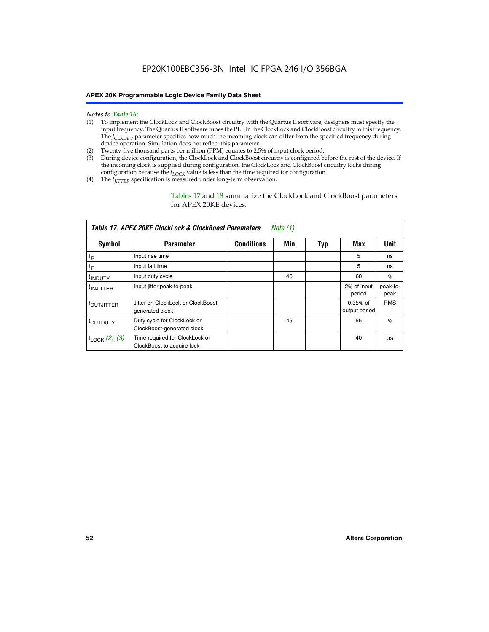- *Notes to Table 16:* (1) To implement the ClockLock and ClockBoost circuitry with the Quartus II software, designers must specify the input frequency. The Quartus II software tunes the PLL in the ClockLock and ClockBoost circuitry to this frequency. The *f<sub>CLKDEV</sub>* parameter specifies how much the incoming clock can differ from the specified frequency during device operation. Simulation does not reflect this parameter.
- (2) Twenty-five thousand parts per million (PPM) equates to 2.5% of input clock period.
- (3) During device configuration, the ClockLock and ClockBoost circuitry is configured before the rest of the device. If the incoming clock is supplied during configuration, the ClockLock and ClockBoost circuitry locks during configuration because the  $t_{LOCK}$  value is less than the time required for configuration.
- (4) The  $t_{\text{ITTTER}}$  specification is measured under long-term observation.

Tables 17 and 18 summarize the ClockLock and ClockBoost parameters for APEX 20KE devices.

|                            | Table 17. APEX 20KE ClockLock & ClockBoost Parameters        |                   | Note (1) |     |                             |                  |
|----------------------------|--------------------------------------------------------------|-------------------|----------|-----|-----------------------------|------------------|
| Symbol                     | <b>Parameter</b>                                             | <b>Conditions</b> | Min      | Typ | Max                         | <b>Unit</b>      |
| $t_{R}$                    | Input rise time                                              |                   |          |     | 5                           | ns               |
| tF                         | Input fall time                                              |                   |          |     | 5                           | ns               |
| <sup>t</sup> INDUTY        | Input duty cycle                                             |                   | 40       |     | 60                          | %                |
| <sup>t</sup> INJITTER      | Input jitter peak-to-peak                                    |                   |          |     | 2% of input<br>period       | peak-to-<br>peak |
| <sup>t</sup> OUTJITTER     | Jitter on ClockLock or ClockBoost-<br>generated clock        |                   |          |     | $0.35%$ of<br>output period | <b>RMS</b>       |
| t <sub>outputy</sub>       | Duty cycle for ClockLock or<br>ClockBoost-generated clock    |                   | 45       |     | 55                          | $\%$             |
| $t_{\text{LOCK}}$ (2), (3) | Time required for ClockLock or<br>ClockBoost to acquire lock |                   |          |     | 40                          | μs               |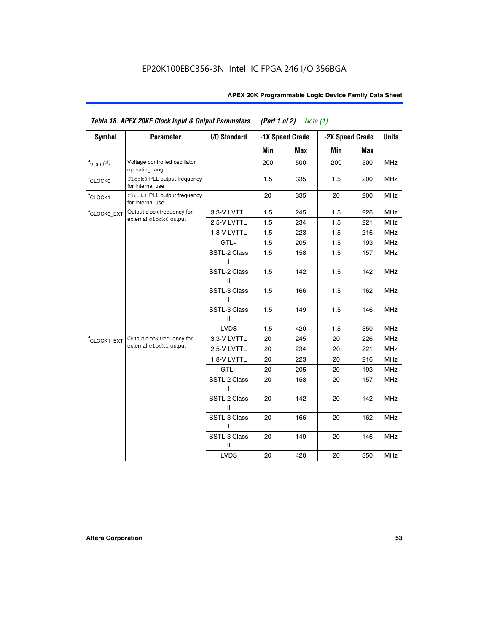| <b>Symbol</b>           | <b>Parameter</b>                                 | I/O Standard      |     | -1X Speed Grade |                 |     | <b>Units</b> |
|-------------------------|--------------------------------------------------|-------------------|-----|-----------------|-----------------|-----|--------------|
|                         |                                                  |                   |     |                 | -2X Speed Grade |     |              |
|                         |                                                  |                   | Min | Max             | Min             | Max |              |
| $f_{VCO}$ $(4)$         | Voltage controlled oscillator<br>operating range |                   | 200 | 500             | 200             | 500 | <b>MHz</b>   |
| f <sub>CLOCK0</sub>     | Clock0 PLL output frequency<br>for internal use  |                   | 1.5 | 335             | 1.5             | 200 | MHz          |
| f <sub>CLOCK1</sub>     | Clock1 PLL output frequency<br>for internal use  |                   | 20  | 335             | 20              | 200 | MHz          |
| f <sub>CLOCK0_EXT</sub> | Output clock frequency for                       | 3.3-V LVTTL       | 1.5 | 245             | 1.5             | 226 | <b>MHz</b>   |
|                         | external clock0 output                           | 2.5-V LVTTL       | 1.5 | 234             | 1.5             | 221 | <b>MHz</b>   |
|                         |                                                  | 1.8-V LVTTL       | 1.5 | 223             | 1.5             | 216 | <b>MHz</b>   |
|                         |                                                  | $GTL+$            | 1.5 | 205             | 1.5             | 193 | <b>MHz</b>   |
|                         |                                                  | SSTL-2 Class<br>L | 1.5 | 158             | 1.5             | 157 | <b>MHz</b>   |
|                         |                                                  | SSTL-2 Class<br>Ш | 1.5 | 142             | 1.5             | 142 | <b>MHz</b>   |
|                         |                                                  | SSTL-3 Class<br>I | 1.5 | 166             | 1.5             | 162 | <b>MHz</b>   |
|                         |                                                  | SSTL-3 Class<br>Ш | 1.5 | 149             | 1.5             | 146 | <b>MHz</b>   |
|                         |                                                  | <b>LVDS</b>       | 1.5 | 420             | 1.5             | 350 | <b>MHz</b>   |
| f <sub>CLOCK1_EXT</sub> | Output clock frequency for                       | 3.3-V LVTTL       | 20  | 245             | 20              | 226 | <b>MHz</b>   |
|                         | external clock1 output                           | 2.5-V LVTTL       | 20  | 234             | 20              | 221 | <b>MHz</b>   |
|                         |                                                  | 1.8-V LVTTL       | 20  | 223             | 20              | 216 | <b>MHz</b>   |
|                         |                                                  | $GTL+$            | 20  | 205             | 20              | 193 | MHz          |
|                         |                                                  | SSTL-2 Class      | 20  | 158             | 20              | 157 | <b>MHz</b>   |
|                         |                                                  | SSTL-2 Class<br>Ш | 20  | 142             | 20              | 142 | <b>MHz</b>   |
|                         |                                                  | SSTL-3 Class      | 20  | 166             | 20              | 162 | <b>MHz</b>   |
|                         |                                                  | SSTL-3 Class<br>Ш | 20  | 149             | 20              | 146 | <b>MHz</b>   |
|                         |                                                  | <b>LVDS</b>       | 20  | 420             | 20              | 350 | MHz          |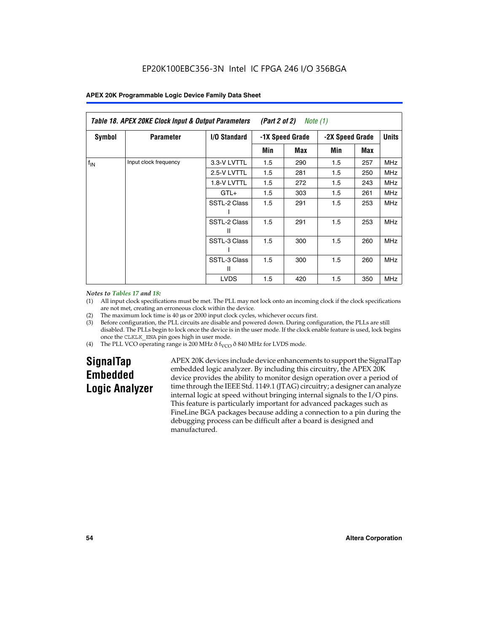| Table 18. APEX 20KE Clock Input & Output Parameters<br>(Part 2 of 2)<br>Note (1) |                       |                     |                                    |     |     |              |            |
|----------------------------------------------------------------------------------|-----------------------|---------------------|------------------------------------|-----|-----|--------------|------------|
| Symbol                                                                           | <b>Parameter</b>      | <b>I/O Standard</b> | -1X Speed Grade<br>-2X Speed Grade |     |     | <b>Units</b> |            |
|                                                                                  |                       |                     | Min                                | Max | Min | Max          |            |
| $f_{IN}$                                                                         | Input clock frequency | 3.3-V LVTTL         | 1.5                                | 290 | 1.5 | 257          | MHz        |
|                                                                                  |                       | 2.5-V LVTTL         | 1.5                                | 281 | 1.5 | 250          | <b>MHz</b> |
|                                                                                  |                       | 1.8-V LVTTL         | 1.5                                | 272 | 1.5 | 243          | <b>MHz</b> |
|                                                                                  |                       | $GTL+$              | 1.5                                | 303 | 1.5 | 261          | <b>MHz</b> |
|                                                                                  |                       | SSTL-2 Class        | 1.5                                | 291 | 1.5 | 253          | <b>MHz</b> |
|                                                                                  |                       | SSTL-2 Class<br>Ш   | 1.5                                | 291 | 1.5 | 253          | <b>MHz</b> |
|                                                                                  |                       | SSTL-3 Class        | 1.5                                | 300 | 1.5 | 260          | <b>MHz</b> |
|                                                                                  |                       | SSTL-3 Class<br>Ш   | 1.5                                | 300 | 1.5 | 260          | <b>MHz</b> |
|                                                                                  |                       | <b>LVDS</b>         | 1.5                                | 420 | 1.5 | 350          | <b>MHz</b> |

#### *Notes to Tables 17 and 18:*

(1) All input clock specifications must be met. The PLL may not lock onto an incoming clock if the clock specifications are not met, creating an erroneous clock within the device.

- (2) The maximum lock time is 40 µs or 2000 input clock cycles, whichever occurs first.
- (3) Before configuration, the PLL circuits are disable and powered down. During configuration, the PLLs are still disabled. The PLLs begin to lock once the device is in the user mode. If the clock enable feature is used, lock begins once the CLKLK\_ENA pin goes high in user mode.
- (4) The PLL VCO operating range is 200 MHz  $\eth$  f<sub>VCO</sub>  $\eth$  840 MHz for LVDS mode.

# **SignalTap Embedded Logic Analyzer**

APEX 20K devices include device enhancements to support the SignalTap embedded logic analyzer. By including this circuitry, the APEX 20K device provides the ability to monitor design operation over a period of time through the IEEE Std. 1149.1 (JTAG) circuitry; a designer can analyze internal logic at speed without bringing internal signals to the I/O pins. This feature is particularly important for advanced packages such as FineLine BGA packages because adding a connection to a pin during the debugging process can be difficult after a board is designed and manufactured.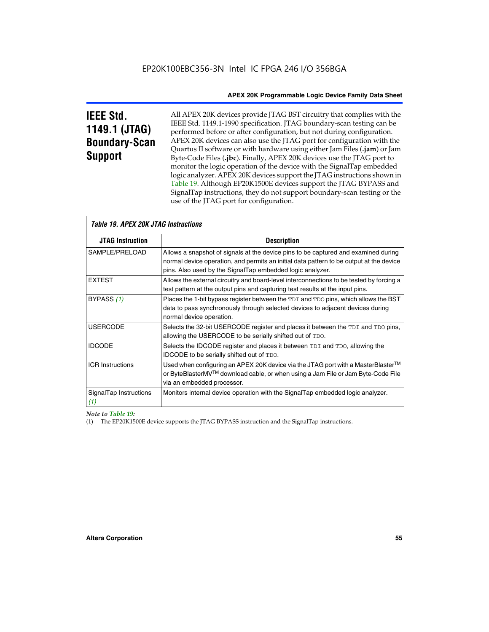# **IEEE Std. 1149.1 (JTAG) Boundary-Scan Support**

All APEX 20K devices provide JTAG BST circuitry that complies with the IEEE Std. 1149.1-1990 specification. JTAG boundary-scan testing can be performed before or after configuration, but not during configuration. APEX 20K devices can also use the JTAG port for configuration with the Quartus II software or with hardware using either Jam Files (**.jam**) or Jam Byte-Code Files (**.jbc**). Finally, APEX 20K devices use the JTAG port to monitor the logic operation of the device with the SignalTap embedded logic analyzer. APEX 20K devices support the JTAG instructions shown in Table 19. Although EP20K1500E devices support the JTAG BYPASS and SignalTap instructions, they do not support boundary-scan testing or the use of the JTAG port for configuration.

| <i><b>Table 19. APEX 20K JTAG Instructions</b></i> |                                                                                                                                                                                                                                            |
|----------------------------------------------------|--------------------------------------------------------------------------------------------------------------------------------------------------------------------------------------------------------------------------------------------|
| <b>JTAG Instruction</b>                            | <b>Description</b>                                                                                                                                                                                                                         |
| SAMPLE/PRELOAD                                     | Allows a snapshot of signals at the device pins to be captured and examined during<br>normal device operation, and permits an initial data pattern to be output at the device<br>pins. Also used by the SignalTap embedded logic analyzer. |
| <b>EXTEST</b>                                      | Allows the external circuitry and board-level interconnections to be tested by forcing a<br>test pattern at the output pins and capturing test results at the input pins.                                                                  |
| BYPASS (1)                                         | Places the 1-bit bypass register between the TDI and TDO pins, which allows the BST<br>data to pass synchronously through selected devices to adjacent devices during<br>normal device operation.                                          |
| <b>USERCODE</b>                                    | Selects the 32-bit USERCODE register and places it between the TDI and TDO pins,<br>allowing the USERCODE to be serially shifted out of TDO.                                                                                               |
| <b>IDCODE</b>                                      | Selects the IDCODE register and places it between TDI and TDO, allowing the<br>IDCODE to be serially shifted out of TDO.                                                                                                                   |
| <b>ICR Instructions</b>                            | Used when configuring an APEX 20K device via the JTAG port with a MasterBlaster™<br>or ByteBlasterMV™ download cable, or when using a Jam File or Jam Byte-Code File<br>via an embedded processor.                                         |
| SignalTap Instructions<br>(1)                      | Monitors internal device operation with the SignalTap embedded logic analyzer.                                                                                                                                                             |

 $\overline{\phantom{a}}$ 

*Note to Table 19:*

(1) The EP20K1500E device supports the JTAG BYPASS instruction and the SignalTap instructions.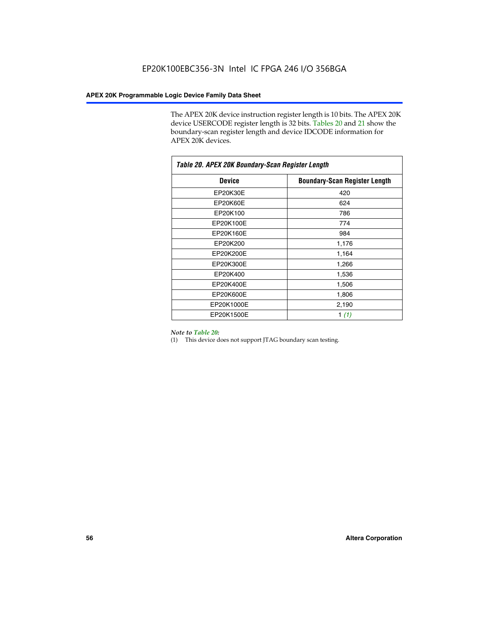The APEX 20K device instruction register length is 10 bits. The APEX 20K device USERCODE register length is 32 bits. Tables 20 and 21 show the boundary-scan register length and device IDCODE information for APEX 20K devices.

| Table 20. APEX 20K Boundary-Scan Register Length |                                      |  |  |  |
|--------------------------------------------------|--------------------------------------|--|--|--|
| <b>Device</b>                                    | <b>Boundary-Scan Register Length</b> |  |  |  |
| EP20K30E                                         | 420                                  |  |  |  |
| EP20K60E                                         | 624                                  |  |  |  |
| EP20K100                                         | 786                                  |  |  |  |
| EP20K100E                                        | 774                                  |  |  |  |
| EP20K160E                                        | 984                                  |  |  |  |
| EP20K200                                         | 1,176                                |  |  |  |
| EP20K200E                                        | 1,164                                |  |  |  |
| EP20K300E                                        | 1,266                                |  |  |  |
| EP20K400                                         | 1,536                                |  |  |  |
| EP20K400E                                        | 1,506                                |  |  |  |
| EP20K600E                                        | 1,806                                |  |  |  |
| EP20K1000E                                       | 2,190                                |  |  |  |
| EP20K1500E                                       | 1 $(1)$                              |  |  |  |

#### *Note to Table 20:*

(1) This device does not support JTAG boundary scan testing.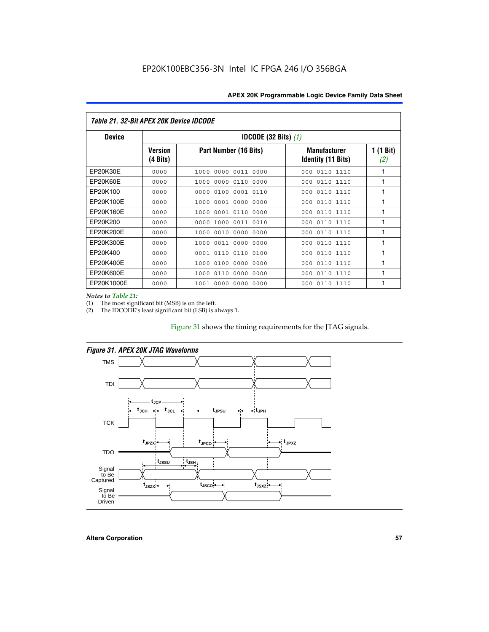| Table 21. 32-Bit APEX 20K Device IDCODE |                                          |                              |                                                  |                  |  |
|-----------------------------------------|------------------------------------------|------------------------------|--------------------------------------------------|------------------|--|
| <b>Device</b>                           | <b>IDCODE (32 Bits) <math>(1)</math></b> |                              |                                                  |                  |  |
|                                         | <b>Version</b><br>(4 Bits)               | Part Number (16 Bits)        | <b>Manufacturer</b><br><b>Identity (11 Bits)</b> | 1 (1 Bit)<br>(2) |  |
| EP20K30E                                | 0000                                     | 0000 0011 0000<br>1000       | 0110 1110<br>000                                 | 1                |  |
| EP20K60E                                | 0000                                     | 1000<br>0000 0110<br>0000    | 0110 1110<br>000                                 | 1                |  |
| EP20K100                                | 0000                                     | 0000<br>0100<br>0001 0110    | 000<br>0110 1110                                 | 1                |  |
| EP20K100E                               | 0000                                     | 1000<br>0001 0000<br>0000    | 0110 1110<br>000                                 | 1                |  |
| EP20K160E                               | 0000                                     | 0001 0110<br>0000<br>1000    | 000<br>0110 1110                                 | 1                |  |
| EP20K200                                | 0000                                     | 1000<br>0011 0010<br>0000    | 0110 1110<br>000                                 | 1                |  |
| EP20K200E                               | 0000                                     | 0010<br>0000<br>0000<br>1000 | 0110 1110<br>000                                 | 1                |  |
| EP20K300E                               | 0000                                     | 0011 0000<br>0000<br>1000    | 0110 1110<br>000                                 | 1                |  |
| EP20K400                                | 0000                                     | 0001<br>0110<br>0110<br>0100 | 0110 1110<br>000                                 | 1                |  |
| EP20K400E                               | 0000                                     | 0100<br>0000<br>0000<br>1000 | 0110 1110<br>000                                 | 1                |  |
| EP20K600E                               | 0000                                     | 1000<br>0110<br>0000<br>0000 | 0110 1110<br>000                                 | 1                |  |
| EP20K1000E                              | 0000                                     | 0000<br>0000<br>0000<br>1001 | 000<br>0110 1110                                 | 1                |  |

*Notes to Table 21:*

The most significant bit (MSB) is on the left.

(2) The IDCODE's least significant bit (LSB) is always 1.

# Figure 31 shows the timing requirements for the JTAG signals.



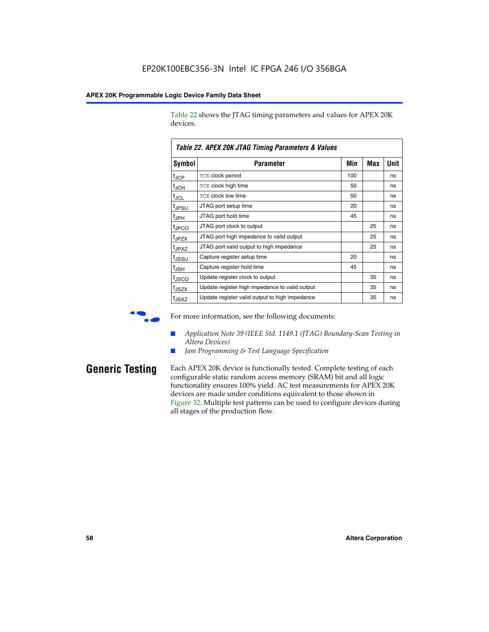Table 22 shows the JTAG timing parameters and values for APEX 20K devices.

|                   | TADIG LL. AF LA LUN JTAU THIIHIY FAIAHIGIGIS & VAIUGS |     |     |      |
|-------------------|-------------------------------------------------------|-----|-----|------|
| Symbol            | Parameter                                             | Min | Max | Unit |
| $t_{JCP}$         | <b>TCK clock period</b>                               | 100 |     | ns   |
| $t_{\text{JCH}}$  | TCK clock high time                                   | 50  |     | ns   |
| $t_{JCL}$         | TCK clock low time                                    | 50  |     | ns   |
| t <sub>JPSU</sub> | JTAG port setup time                                  | 20  |     | ns   |
| $t_{\rm JPH}$     | JTAG port hold time                                   | 45  |     | ns   |
| <sup>t</sup> JPCO | JTAG port clock to output                             |     | 25  | ns   |
| t <sub>JPZX</sub> | JTAG port high impedance to valid output              |     | 25  | ns   |
| t <sub>JPXZ</sub> | JTAG port valid output to high impedance              |     | 25  | ns   |
| tussu             | Capture register setup time                           | 20  |     | ns   |
| $t_{\rm JSH}$     | Capture register hold time                            | 45  |     | ns   |
| t <sub>JSCO</sub> | Update register clock to output                       |     | 35  | ns   |
| t <sub>JSZX</sub> | Update register high impedance to valid output        |     | 35  | ns   |
| t <sub>JSXZ</sub> | Update register valid output to high impedance        |     | 35  | ns   |

*Table 22. APEX 20K JTAG Timing Parameters & Values*



For more information, see the following documents:

- *Application Note 39 (IEEE Std. 1149.1 (JTAG) Boundary-Scan Testing in Altera Devices)*
- Jam Programming & Test Language Specification

**Generic Testing** Each APEX 20K device is functionally tested. Complete testing of each configurable static random access memory (SRAM) bit and all logic functionality ensures 100% yield. AC test measurements for APEX 20K devices are made under conditions equivalent to those shown in Figure 32. Multiple test patterns can be used to configure devices during all stages of the production flow.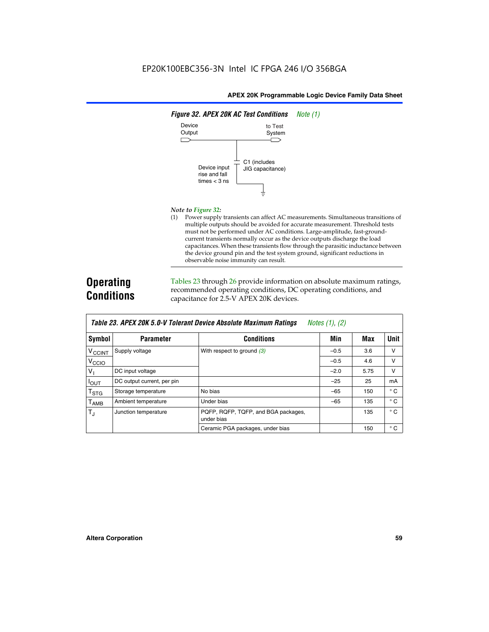

#### *Note to Figure 32:*

(1) Power supply transients can affect AC measurements. Simultaneous transitions of multiple outputs should be avoided for accurate measurement. Threshold tests must not be performed under AC conditions. Large-amplitude, fast-groundcurrent transients normally occur as the device outputs discharge the load capacitances. When these transients flow through the parasitic inductance between the device ground pin and the test system ground, significant reductions in observable noise immunity can result.

# **Operating Conditions**

Tables 23 through 26 provide information on absolute maximum ratings, recommended operating conditions, DC operating conditions, and capacitance for 2.5-V APEX 20K devices.

|                          |                            | TADIG LU. MI LA LUN U.U-V TUIGIAIN DGVIUG MUSUNUG MAANNUNI NAMNUS | $100103$ $11, 121$ |      |              |
|--------------------------|----------------------------|-------------------------------------------------------------------|--------------------|------|--------------|
| Symbol                   | <b>Parameter</b>           | <b>Conditions</b>                                                 | Min                | Max  | <b>Unit</b>  |
| <b>V<sub>CCINT</sub></b> | Supply voltage             | With respect to ground $(3)$                                      | $-0.5$             | 3.6  | v            |
| V <sub>CCIO</sub>        |                            |                                                                   | $-0.5$             | 4.6  | v            |
| $V_1$                    | DC input voltage           |                                                                   | $-2.0$             | 5.75 | v            |
| $I_{OUT}$                | DC output current, per pin |                                                                   | $-25$              | 25   | mA           |
| $T_{\text{STG}}$         | Storage temperature        | No bias                                                           | $-65$              | 150  | $^{\circ}$ C |
| $T_{\sf AMB}$            | Ambient temperature        | Under bias                                                        | $-65$              | 135  | $^{\circ}$ C |
| $T_{\rm J}$              | Junction temperature       | PQFP, RQFP, TQFP, and BGA packages,<br>under bias                 |                    | 135  | $^{\circ}$ C |
|                          |                            | Ceramic PGA packages, under bias                                  |                    | 150  | $^{\circ}$ C |

| Table 23. APEX 20K 5.0-V Tolerant Device Absolute Maximum Ratings | Notes (1), (2) |
|-------------------------------------------------------------------|----------------|
|-------------------------------------------------------------------|----------------|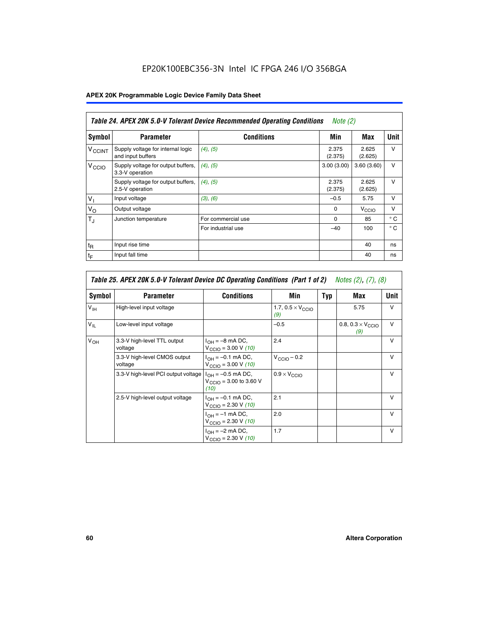# EP20K100EBC356-3N Intel IC FPGA 246 I/O 356BGA

# **APEX 20K Programmable Logic Device Family Data Sheet**

|                          | Table 24. APEX 20K 5.0-V Tolerant Device Recommended Operating Conditions<br><i>Note</i> $(2)$ |                    |                  |                  |              |  |
|--------------------------|------------------------------------------------------------------------------------------------|--------------------|------------------|------------------|--------------|--|
| Symbol                   | <b>Parameter</b>                                                                               | <b>Conditions</b>  | Min              | Max              | <b>Unit</b>  |  |
| <b>V<sub>CCINT</sub></b> | Supply voltage for internal logic<br>and input buffers                                         | $(4)$ , $(5)$      | 2.375<br>(2.375) | 2.625<br>(2.625) | $\vee$       |  |
| V <sub>CCIO</sub>        | Supply voltage for output buffers,<br>3.3-V operation                                          | (4), (5)           | 3.00(3.00)       | 3.60(3.60)       | $\vee$       |  |
|                          | Supply voltage for output buffers,<br>2.5-V operation                                          | (4), (5)           | 2.375<br>(2.375) | 2.625<br>(2.625) | $\vee$       |  |
| $V_1$                    | Input voltage                                                                                  | (3), (6)           | $-0.5$           | 5.75             | $\vee$       |  |
| $V_{\rm O}$              | Output voltage                                                                                 |                    | $\Omega$         | V <sub>CCO</sub> | $\vee$       |  |
| $T_{\rm J}$              | Junction temperature                                                                           | For commercial use | 0                | 85               | $^{\circ}$ C |  |
|                          |                                                                                                | For industrial use | $-40$            | 100              | $^{\circ}$ C |  |
| $t_{R}$                  | Input rise time                                                                                |                    |                  | 40               | ns           |  |
| $t_{\mathsf{F}}$         | Input fall time                                                                                |                    |                  | 40               | ns           |  |

|                 | Table 25. APEX 20K 5.0-V Tolerant Device DC Operating Conditions (Part 1 of 2) Notes (2), (7), (8) |                                                                      |                                          |     |                                          |              |  |  |
|-----------------|----------------------------------------------------------------------------------------------------|----------------------------------------------------------------------|------------------------------------------|-----|------------------------------------------|--------------|--|--|
| Symbol          | <b>Parameter</b>                                                                                   | <b>Conditions</b>                                                    | Min                                      | Typ | Max                                      | Unit         |  |  |
| $V_{\text{IH}}$ | High-level input voltage                                                                           |                                                                      | 1.7, $0.5 \times V_{\text{CCIO}}$<br>(9) |     | 5.75                                     | $\vee$       |  |  |
| $V_{IL}$        | Low-level input voltage                                                                            |                                                                      | $-0.5$                                   |     | 0.8, $0.3 \times V_{\text{CCIO}}$<br>(9) | v            |  |  |
| $V_{OH}$        | 3.3-V high-level TTL output<br>voltage                                                             | $I_{OH} = -8$ mA DC,<br>$V_{\text{CCIO}} = 3.00 V (10)$              | 2.4                                      |     |                                          | $\mathsf{v}$ |  |  |
|                 | 3.3-V high-level CMOS output<br>voltage                                                            | $I_{OH} = -0.1$ mA DC,<br>$V_{\text{CCIO}} = 3.00 \text{ V} (10)$    | $V_{\text{CCIO}} - 0.2$                  |     |                                          | $\mathsf{V}$ |  |  |
|                 | 3.3-V high-level PCI output voltage                                                                | $I_{OH} = -0.5$ mA DC,<br>$V_{\text{CCIO}} = 3.00$ to 3.60 V<br>(10) | $0.9 \times V_{\text{CCIO}}$             |     |                                          | v            |  |  |
|                 | 2.5-V high-level output voltage                                                                    | $I_{OH} = -0.1$ mA DC,<br>$V_{\text{CCIO}} = 2.30 V (10)$            | 2.1                                      |     |                                          | $\mathsf{V}$ |  |  |
|                 |                                                                                                    | $I_{OH} = -1$ mA DC,<br>$V_{\text{CCIO}} = 2.30 V (10)$              | 2.0                                      |     |                                          | $\vee$       |  |  |
|                 |                                                                                                    | $I_{OH} = -2$ mA DC,<br>$V_{\text{CCIO}} = 2.30 V (10)$              | 1.7                                      |     |                                          | $\vee$       |  |  |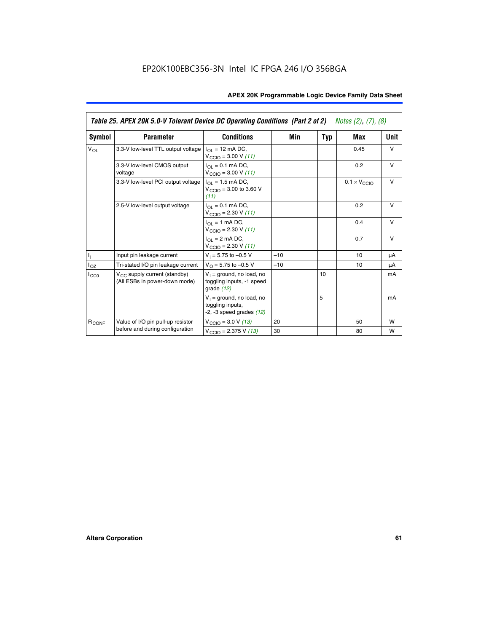|                   | Table 25. APEX 20K 5.0-V Tolerant Device DC Operating Conditions (Part 2 of 2) Notes (2), (7), (8) |                                                                                          |       |     |                              |        |  |
|-------------------|----------------------------------------------------------------------------------------------------|------------------------------------------------------------------------------------------|-------|-----|------------------------------|--------|--|
| Symbol            | <b>Parameter</b>                                                                                   | <b>Conditions</b>                                                                        | Min   | Typ | Max                          | Unit   |  |
| $V_{OL}$          | 3.3-V low-level TTL output voltage                                                                 | $I_{\Omega}$ = 12 mA DC,<br>$V_{\text{CCIO}} = 3.00 V (11)$                              |       |     | 0.45                         | $\vee$ |  |
|                   | 3.3-V low-level CMOS output<br>voltage                                                             | $I_{\Omega I} = 0.1$ mA DC,<br>$V_{\text{CCIO}} = 3.00 V (11)$                           |       |     | 0.2                          | $\vee$ |  |
|                   | 3.3-V low-level PCI output voltage                                                                 | $I_{\Omega}$ = 1.5 mA DC,<br>$V_{\text{CCIO}} = 3.00 \text{ to } 3.60 \text{ V}$<br>(11) |       |     | $0.1 \times V_{\text{CCLO}}$ | $\vee$ |  |
|                   | 2.5-V low-level output voltage                                                                     | $I_{\Omega I} = 0.1$ mA DC,<br>$V_{\text{CCIO}} = 2.30 V (11)$                           |       |     | 0.2                          | v      |  |
|                   |                                                                                                    | $I_{\Omega}$ = 1 mA DC,<br>$V_{\text{CCIO}} = 2.30 V (11)$                               |       |     | 0.4                          | $\vee$ |  |
|                   |                                                                                                    | $I_{\Omega}$ = 2 mA DC,<br>$V_{\text{CCIO}} = 2.30 V (11)$                               |       |     | 0.7                          | v      |  |
| ı,                | Input pin leakage current                                                                          | $V_1 = 5.75$ to $-0.5$ V                                                                 | $-10$ |     | 10                           | μA     |  |
| $I_{OZ}$          | Tri-stated I/O pin leakage current                                                                 | $V_O = 5.75$ to $-0.5$ V                                                                 | $-10$ |     | 10                           | μA     |  |
| ICCO              | $V_{CC}$ supply current (standby)<br>(All ESBs in power-down mode)                                 | $V_1$ = ground, no load, no<br>toggling inputs, -1 speed<br>grade $(12)$                 |       | 10  |                              | mA     |  |
|                   |                                                                                                    | $V_1$ = ground, no load, no<br>toggling inputs,<br>$-2$ , $-3$ speed grades $(12)$       |       | 5   |                              | mA     |  |
| R <sub>CONF</sub> | Value of I/O pin pull-up resistor                                                                  | $V_{\text{CCIO}} = 3.0 V (13)$                                                           | 20    |     | 50                           | W      |  |
|                   | before and during configuration                                                                    | $V_{\text{CCIO}} = 2.375 \text{ V} (13)$                                                 | 30    |     | 80                           | W      |  |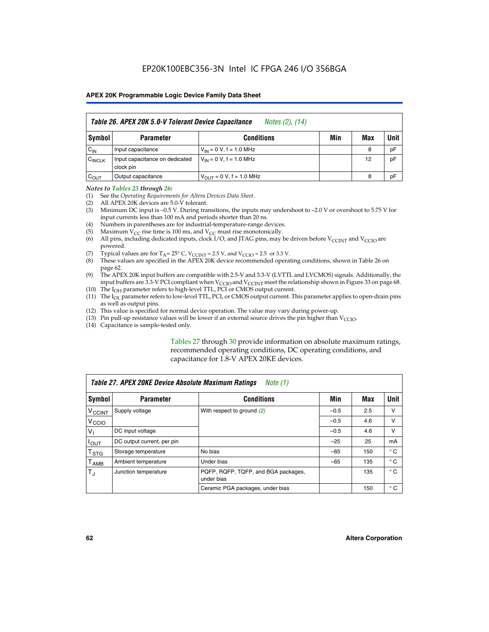|                    | Table 26. APEX 20K 5.0-V Tolerant Device Capacitance<br>Notes (2), (14) |                                     |     |     |      |  |  |
|--------------------|-------------------------------------------------------------------------|-------------------------------------|-----|-----|------|--|--|
| Symbol             | <b>Parameter</b>                                                        | <b>Conditions</b>                   | Min | Max | Unit |  |  |
| $C_{IN}$           | Input capacitance                                                       | $V_{1N} = 0 V$ , f = 1.0 MHz        |     | 8   | pF   |  |  |
| $C_{\text{INCLK}}$ | Input capacitance on dedicated<br>clock pin                             | $V_{IN} = 0 V$ , f = 1.0 MHz        |     | 12  | pF   |  |  |
| $C_{OUT}$          | Output capacitance                                                      | $V_{\text{OUT}} = 0 V, f = 1.0 MHz$ |     | 8   | pF   |  |  |

#### *Notes to Tables 23 through 26:*

- (1) See the *Operating Requirements for Altera Devices Data Sheet*.
- (2) All APEX 20K devices are 5.0-V tolerant.
- (3) Minimum DC input is –0.5 V. During transitions, the inputs may undershoot to –2.0 V or overshoot to 5.75 V for input currents less than 100 mA and periods shorter than 20 ns.
- (4) Numbers in parentheses are for industrial-temperature-range devices.
- (5) Maximum  $V_{CC}$  rise time is 100 ms, and  $V_{CC}$  must rise monotonically.<br>(6) All pins, including dedicated inputs, clock I/O, and JTAG pins, may b
- All pins, including dedicated inputs, clock I/O, and JTAG pins, may be driven before  $V_{\text{CCINT}}$  and  $V_{\text{CCIO}}$  are powered.
- (7) Typical values are for  $T_A = 25^\circ$  C, V<sub>CCINT</sub> = 2.5 V, and V<sub>CCIO</sub> = 2.5 or 3.3 V.<br>(8) These values are specified in the APEX 20K device recommended operat
- These values are specified in the APEX 20K device recommended operating conditions, shown in Table 26 on page 62.
- (9) The APEX 20K input buffers are compatible with 2.5-V and 3.3-V (LVTTL and LVCMOS) signals. Additionally, the input buffers are 3.3-V PCI compliant when  $V_{\text{CCIO}}$  and  $V_{\text{CCINI}}$  meet the relationship shown in Figure 33 on page 68.
- (10) The  $I<sub>OH</sub>$  parameter refers to high-level TTL, PCI or CMOS output current.
- (11) The I<sub>OL</sub> parameter refers to low-level TTL, PCI, or CMOS output current. This parameter applies to open-drain pins as well as output pins.
- (12) This value is specified for normal device operation. The value may vary during power-up.
- (13) Pin pull-up resistance values will be lower if an external source drives the pin higher than  $V_{\text{CCIO}}$ .
- (14) Capacitance is sample-tested only.

Tables 27 through 30 provide information on absolute maximum ratings, recommended operating conditions, DC operating conditions, and capacitance for 1.8-V APEX 20KE devices.

|                             | Table 27. APEX 20KE Device Absolute Maximum Ratings<br>Note (1) |                                                   |        |     |              |  |  |
|-----------------------------|-----------------------------------------------------------------|---------------------------------------------------|--------|-----|--------------|--|--|
| Symbol                      | <b>Parameter</b>                                                | <b>Conditions</b>                                 | Min    | Max | Unit         |  |  |
| $V_{\text{CCINT}}$          | Supply voltage                                                  | With respect to ground (2)                        | $-0.5$ | 2.5 | v            |  |  |
| V <sub>CCIO</sub>           |                                                                 |                                                   | $-0.5$ | 4.6 | v            |  |  |
| $V_{1}$                     | DC input voltage                                                |                                                   | $-0.5$ | 4.6 | $\vee$       |  |  |
| $I_{OUT}$                   | DC output current, per pin                                      |                                                   | $-25$  | 25  | mA           |  |  |
| $\mathsf{T}_{\texttt{STG}}$ | Storage temperature                                             | No bias                                           | $-65$  | 150 | $^{\circ}$ C |  |  |
| Т <sub>АМВ</sub>            | Ambient temperature                                             | Under bias                                        | $-65$  | 135 | $^{\circ}$ C |  |  |
| $\mathsf{T}_{\text{d}}$     | Junction temperature                                            | PQFP, RQFP, TQFP, and BGA packages,<br>under bias |        | 135 | $^{\circ}$ C |  |  |
|                             |                                                                 | Ceramic PGA packages, under bias                  |        | 150 | $^{\circ}$ C |  |  |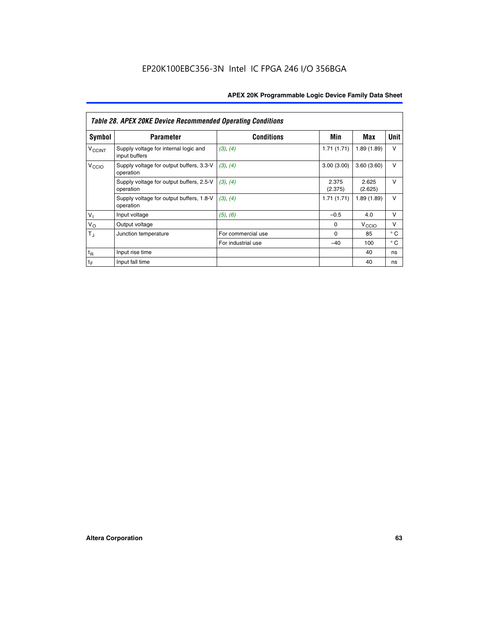|                          | <b>Table 28. APEX 20KE Device Recommended Operating Conditions</b> |                    |                  |                   |              |
|--------------------------|--------------------------------------------------------------------|--------------------|------------------|-------------------|--------------|
| <b>Symbol</b>            | <b>Parameter</b>                                                   | <b>Conditions</b>  | Min              | Max               | <b>Unit</b>  |
| <b>V<sub>CCINT</sub></b> | Supply voltage for internal logic and<br>input buffers             | (3), (4)           | 1.71(1.71)       | 1.89(1.89)        | $\vee$       |
| V <sub>CCIO</sub>        | Supply voltage for output buffers, 3.3-V<br>operation              | (3), (4)           | 3.00(3.00)       | 3.60(3.60)        | V            |
|                          | Supply voltage for output buffers, 2.5-V<br>operation              | (3), (4)           | 2.375<br>(2.375) | 2.625<br>(2.625)  | $\vee$       |
|                          | Supply voltage for output buffers, 1.8-V<br>operation              | (3), (4)           | 1.71(1.71)       | 1.89(1.89)        | V            |
| $V_1$                    | Input voltage                                                      | (5), (6)           | $-0.5$           | 4.0               | $\vee$       |
| $V_{\rm O}$              | Output voltage                                                     |                    | $\Omega$         | V <sub>CCIO</sub> | v            |
| $T_{\rm J}$              | Junction temperature                                               | For commercial use | $\Omega$         | 85                | $^{\circ}$ C |
|                          |                                                                    | For industrial use | $-40$            | 100               | $^{\circ}$ C |
| $t_{R}$                  | Input rise time                                                    |                    |                  | 40                | ns           |
| $t_{\mathsf{F}}$         | Input fall time                                                    |                    |                  | 40                | ns           |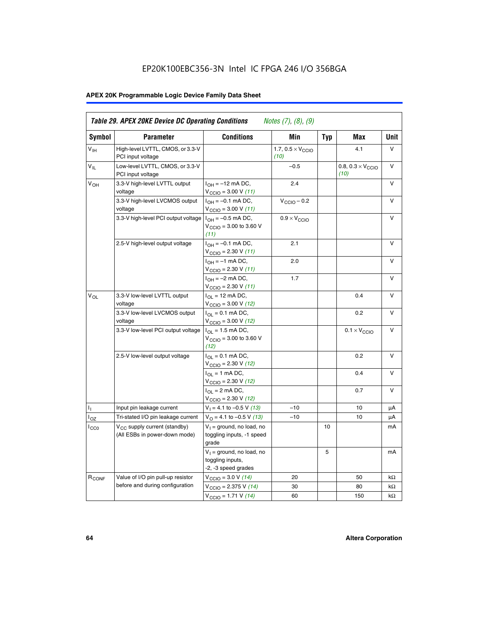# EP20K100EBC356-3N Intel IC FPGA 246 I/O 356BGA

# **APEX 20K Programmable Logic Device Family Data Sheet**

| Symbol                     | <b>Parameter</b>                                                   | <b>Conditions</b>                                                         | Min                                       | <b>Typ</b> | Max                                       | Unit      |
|----------------------------|--------------------------------------------------------------------|---------------------------------------------------------------------------|-------------------------------------------|------------|-------------------------------------------|-----------|
| $V_{\text{IH}}$            | High-level LVTTL, CMOS, or 3.3-V<br>PCI input voltage              |                                                                           | 1.7, $0.5 \times V_{\text{CCIO}}$<br>(10) |            | 4.1                                       | V         |
| $\mathsf{V}_{\mathsf{IL}}$ | Low-level LVTTL, CMOS, or 3.3-V<br>PCI input voltage               |                                                                           | $-0.5$                                    |            | 0.8, $0.3 \times V_{\text{CCIO}}$<br>(10) | $\vee$    |
| $V_{OH}$                   | 3.3-V high-level LVTTL output<br>voltage                           | $I_{OH} = -12$ mA DC,<br>$V_{\text{CCIO}} = 3.00 V (11)$                  | 2.4                                       |            |                                           | v         |
|                            | 3.3-V high-level LVCMOS output<br>voltage                          | $I_{OH} = -0.1$ mA DC,<br>$V_{\text{CCIO}} = 3.00 \text{ V} (11)$         | $V_{\text{CCIO}} - 0.2$                   |            |                                           | v         |
|                            | 3.3-V high-level PCI output voltage $ I_{OH} = -0.5$ mA DC,        | $V_{\text{CGIO}} = 3.00$ to 3.60 V<br>(11)                                | $0.9 \times V_{\text{CCIO}}$              |            |                                           | v         |
|                            | 2.5-V high-level output voltage                                    | $I_{OH} = -0.1$ mA DC,<br>$V_{\text{CCIO}} = 2.30 V (11)$                 | 2.1                                       |            |                                           | ν         |
|                            |                                                                    | $I_{OH} = -1$ mA DC,<br>$V_{\text{CCIO}} = 2.30 V (11)$                   | 2.0                                       |            |                                           | V         |
|                            |                                                                    | $I_{OH} = -2$ mA DC,<br>$V_{\text{CCIO}} = 2.30 V (11)$                   | 1.7                                       |            |                                           | v         |
| $V_{\Omega}$               | 3.3-V low-level LVTTL output<br>voltage                            | $I_{OL}$ = 12 mA DC,<br>$V_{\text{CCIO}} = 3.00 \text{ V} (12)$           |                                           |            | 0.4                                       | v         |
|                            | 3.3-V low-level LVCMOS output<br>voltage                           | $I_{\Omega} = 0.1$ mA DC,<br>$V_{\text{CCIO}} = 3.00 V (12)$              |                                           |            | 0.2                                       | $\vee$    |
|                            | 3.3-V low-level PCI output voltage                                 | $I_{\Omega I}$ = 1.5 mA DC,<br>$V_{\text{CGIO}} = 3.00$ to 3.60 V<br>(12) |                                           |            | $0.1 \times V_{\text{CCIO}}$              | v         |
|                            | 2.5-V low-level output voltage                                     | $I_{\Omega} = 0.1$ mA DC,<br>$V_{\text{CCIO}}$ = 2.30 V (12)              |                                           |            | 0.2                                       | v         |
|                            |                                                                    | $I_{\Omega} = 1$ mA DC,<br>$V_{\text{CCIO}}$ = 2.30 V (12)                |                                           |            | 0.4                                       | $\vee$    |
|                            |                                                                    | $I_{\Omega}$ = 2 mA DC,<br>$V_{\text{CCIO}} = 2.30 V (12)$                |                                           |            | 0.7                                       | $\vee$    |
| ъ,                         | Input pin leakage current                                          | $V_1 = 4.1$ to -0.5 V (13)                                                | $-10$                                     |            | 10                                        | μA        |
| $I_{OZ}$                   | Tri-stated I/O pin leakage current                                 | $V_{\Omega}$ = 4.1 to -0.5 V (13)                                         | $-10$                                     |            | 10                                        | μA        |
| $I_{CC0}$                  | $V_{CC}$ supply current (standby)<br>(All ESBs in power-down mode) | $V_1$ = ground, no load, no<br>toggling inputs, -1 speed<br>grade         |                                           | 10         |                                           | mA        |
|                            |                                                                    | $V_1$ = ground, no load, no<br>toggling inputs,<br>-2, -3 speed grades    |                                           | 5          |                                           | mA        |
| R <sub>CONF</sub>          | Value of I/O pin pull-up resistor                                  | $V_{\text{CCIO}} = 3.0 V (14)$                                            | 20                                        |            | 50                                        | $k\Omega$ |
|                            | before and during configuration                                    | $V_{\text{CGIO}} = 2.375 V (14)$                                          | 30                                        |            | 80                                        | kΩ        |
|                            |                                                                    | $V_{\text{CCIO}} = 1.71 V (14)$                                           | 60                                        |            | 150                                       | $k\Omega$ |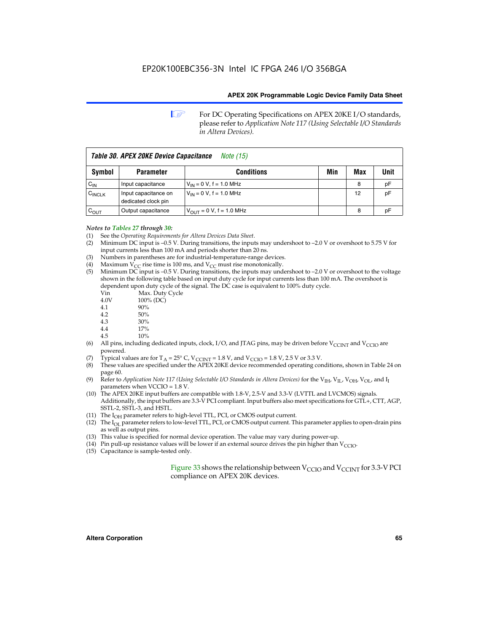**1 For DC Operating Specifications on APEX 20KE I/O standards,** please refer to *Application Note 117 (Using Selectable I/O Standards in Altera Devices).*

| Table 30. APEX 20KE Device Capacitance<br><i>Note</i> (15) |                                             |                                |     |     |      |
|------------------------------------------------------------|---------------------------------------------|--------------------------------|-----|-----|------|
| Symbol                                                     | <b>Parameter</b>                            | <b>Conditions</b>              | Min | Max | Unit |
| $C_{\text{IN}}$                                            | Input capacitance                           | $V_{IN} = 0 V$ , f = 1.0 MHz   |     | 8   | pF   |
| $C_{\text{INCLK}}$                                         | Input capacitance on<br>dedicated clock pin | $V_{IN} = 0 V$ , f = 1.0 MHz   |     | 12  | pF   |
| $C_{OUT}$                                                  | Output capacitance                          | $V_{OUIT} = 0 V$ , f = 1.0 MHz |     | 8   | рF   |

#### *Notes to Tables 27 through 30:*

- (1) See the *Operating Requirements for Altera Devices Data Sheet*.
- (2) Minimum DC input is –0.5 V. During transitions, the inputs may undershoot to –2.0 V or overshoot to 5.75 V for input currents less than 100 mA and periods shorter than 20 ns.
- (3) Numbers in parentheses are for industrial-temperature-range devices.
- (4) Maximum  $V_{CC}$  rise time is 100 ms, and  $V_{CC}$  must rise monotonically.<br>(5) Minimum DC input is -0.5 V. During transitions, the inputs may und
- Minimum DC input is  $-0.5$  V. During transitions, the inputs may undershoot to  $-2.0$  V or overshoot to the voltage shown in the following table based on input duty cycle for input currents less than 100 mA. The overshoot is dependent upon duty cycle of the signal. The DC case is equivalent to 100% duty cycle.

| Vin  | Max. Duty Cycle |
|------|-----------------|
| 4.0V | 100% (DC)       |
| 4.1  | 90%             |
| 4.2  | 50%             |
| 4.3  | 30%             |
|      |                 |

- 4.4  $17\%$ <br>4.5  $10\%$
- 10%
- (6) All pins, including dedicated inputs, clock, I/O, and JTAG pins, may be driven before  $V_{\text{CCINT}}$  and  $V_{\text{CCIO}}$  are powered.
- (7) Typical values are for  $T_A = 25^\circ$  C, V<sub>CCINT</sub> = 1.8 V, and V<sub>CCIO</sub> = 1.8 V, 2.5 V or 3.3 V.
- (8) These values are specified under the APEX 20KE device recommended operating conditions, shown in Table 24 on page 60.
- (9) Refer to *Application Note 117 (Using Selectable I/O Standards in Altera Devices)* for the V<sub>IH</sub>, V<sub>IL</sub>, V<sub>OH</sub>, V<sub>OL</sub>, and I<sub>I</sub> parameters when VCCIO = 1.8 V.
- (10) The APEX 20KE input buffers are compatible with 1.8-V, 2.5-V and 3.3-V (LVTTL and LVCMOS) signals. Additionally, the input buffers are 3.3-V PCI compliant. Input buffers also meet specifications for GTL+, CTT, AGP, SSTL-2, SSTL-3, and HSTL.
- (11) The  $I_{OH}$  parameter refers to high-level TTL, PCI, or CMOS output current.
- (12) The I<sub>OL</sub> parameter refers to low-level TTL, PCI, or CMOS output current. This parameter applies to open-drain pins as well as output pins.
- (13) This value is specified for normal device operation. The value may vary during power-up.
- (14) Pin pull-up resistance values will be lower if an external source drives the pin higher than  $V_{CCIO}$ .
- (15) Capacitance is sample-tested only.

Figure 33 shows the relationship between  $V_{\text{CCIO}}$  and  $V_{\text{CCINT}}$  for 3.3-V PCI compliance on APEX 20K devices.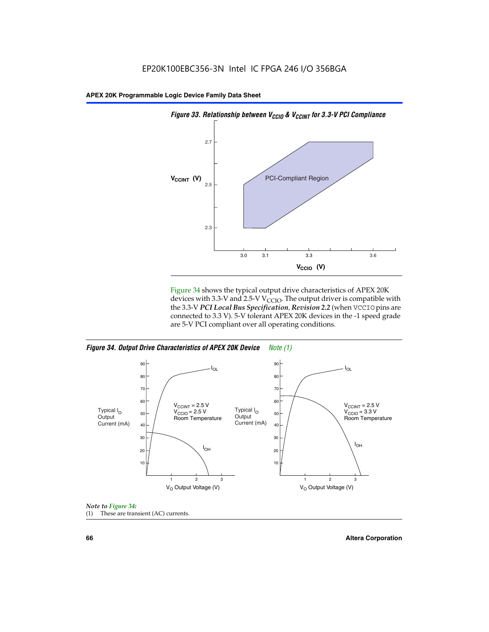

Figure 34 shows the typical output drive characteristics of APEX 20K devices with 3.3-V and 2.5-V V<sub>CCIO</sub>. The output driver is compatible with the 3.3-V *PCI Local Bus Specification, Revision 2.2* (when VCCIO pins are connected to 3.3 V). 5-V tolerant APEX 20K devices in the -1 speed grade are 5-V PCI compliant over all operating conditions.







**66 Altera Corporation**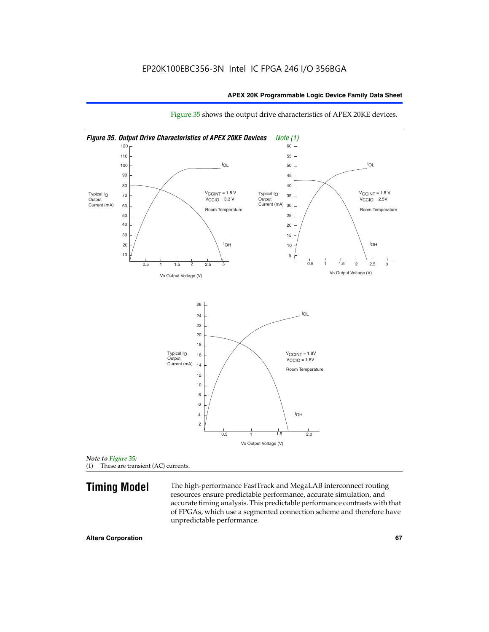

Figure 35 shows the output drive characteristics of APEX 20KE devices.

*Note to Figure 35:* (1) These are transient (AC) currents.

**Timing Model** The high-performance FastTrack and MegaLAB interconnect routing resources ensure predictable performance, accurate simulation, and accurate timing analysis. This predictable performance contrasts with that of FPGAs, which use a segmented connection scheme and therefore have unpredictable performance.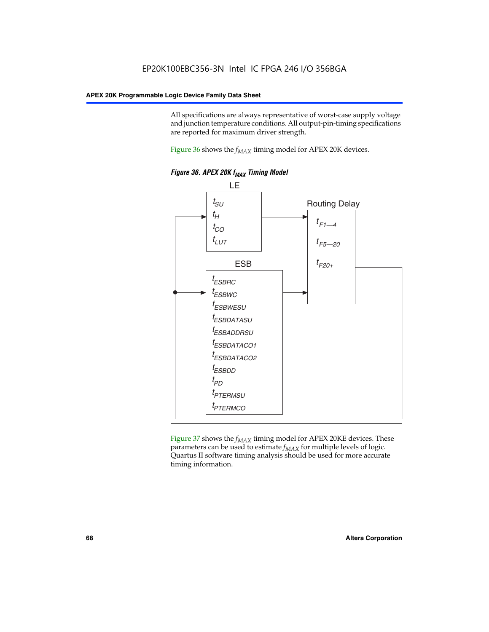All specifications are always representative of worst-case supply voltage and junction temperature conditions. All output-pin-timing specifications are reported for maximum driver strength.

Figure  $36$  shows the  $f_{MAX}$  timing model for APEX 20K devices.



Figure 37 shows the  $f_{MAX}$  timing model for APEX 20KE devices. These parameters can be used to estimate  $f_{MAX}$  for multiple levels of logic. Quartus II software timing analysis should be used for more accurate timing information.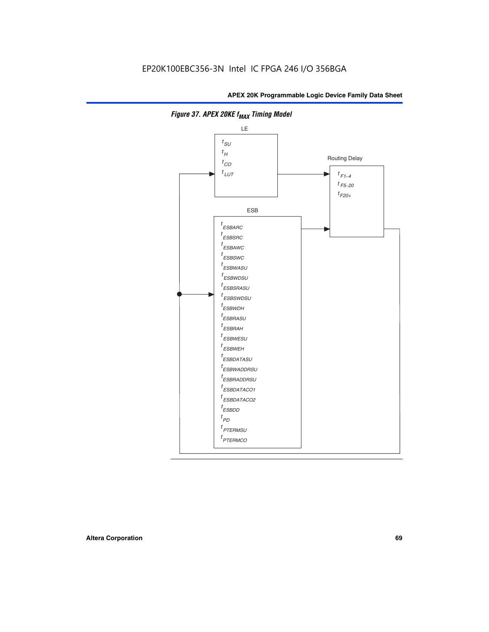

**Figure 37. APEX 20KE f<sub>MAX</sub> Timing Model**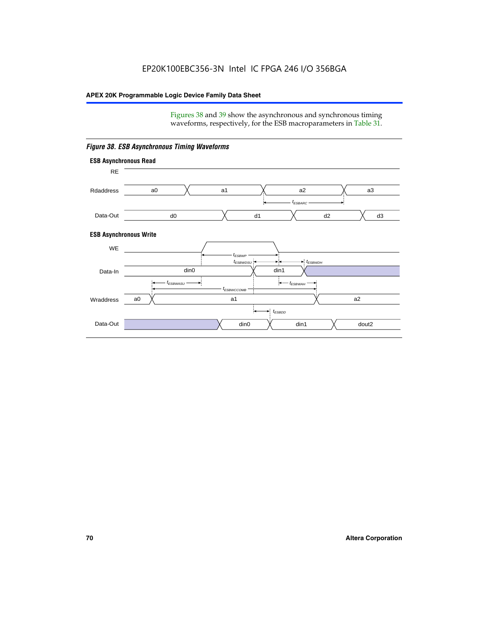Figures 38 and 39 show the asynchronous and synchronous timing waveforms, respectively, for the ESB macroparameters in Table 31.



*Figure 38. ESB Asynchronous Timing Waveforms*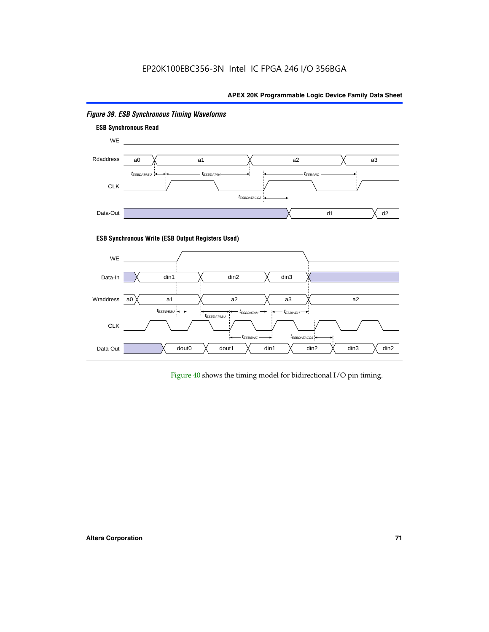

# *Figure 39. ESB Synchronous Timing Waveforms*

# **ESB Synchronous Write (ESB Output Registers Used)**



Figure 40 shows the timing model for bidirectional I/O pin timing.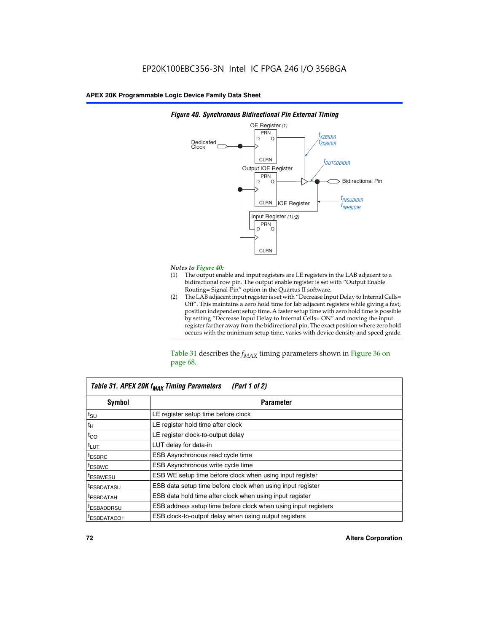

### *Figure 40. Synchronous Bidirectional Pin External Timing*

# *Notes to Figure 40:*

- The output enable and input registers are LE registers in the LAB adjacent to a bidirectional row pin. The output enable register is set with "Output Enable Routing= Signal-Pin" option in the Quartus II software.
- (2) The LAB adjacent input register is set with "Decrease Input Delay to Internal Cells= Off". This maintains a zero hold time for lab adjacent registers while giving a fast, position independent setup time. A faster setup time with zero hold time is possible by setting "Decrease Input Delay to Internal Cells= ON" and moving the input register farther away from the bidirectional pin. The exact position where zero hold occurs with the minimum setup time, varies with device density and speed grade.

Table 31 describes the  $f_{MAX}$  timing parameters shown in Figure 36 on page 68.

| Table 31. APEX 20K f <sub>MAX</sub> Timing Parameters<br>(Part 1 of 2) |                                                                |  |  |  |  |
|------------------------------------------------------------------------|----------------------------------------------------------------|--|--|--|--|
| Symbol                                                                 | <b>Parameter</b>                                               |  |  |  |  |
| $t_{\text{SU}}$                                                        | LE register setup time before clock                            |  |  |  |  |
| $t_H$                                                                  | LE register hold time after clock                              |  |  |  |  |
| $t_{CO}$                                                               | LE register clock-to-output delay                              |  |  |  |  |
| t <sub>LUT</sub>                                                       | LUT delay for data-in                                          |  |  |  |  |
| <sup>t</sup> ESBRC                                                     | ESB Asynchronous read cycle time                               |  |  |  |  |
| <sup>t</sup> ESBWC                                                     | ESB Asynchronous write cycle time                              |  |  |  |  |
| <sup>t</sup> ESBWESU                                                   | ESB WE setup time before clock when using input register       |  |  |  |  |
| <sup>t</sup> ESBDATASU                                                 | ESB data setup time before clock when using input register     |  |  |  |  |
| <sup>t</sup> ESBDATAH                                                  | ESB data hold time after clock when using input register       |  |  |  |  |
| <sup>t</sup> ESBADDRSU                                                 | ESB address setup time before clock when using input registers |  |  |  |  |
| ESBDATACO1                                                             | ESB clock-to-output delay when using output registers          |  |  |  |  |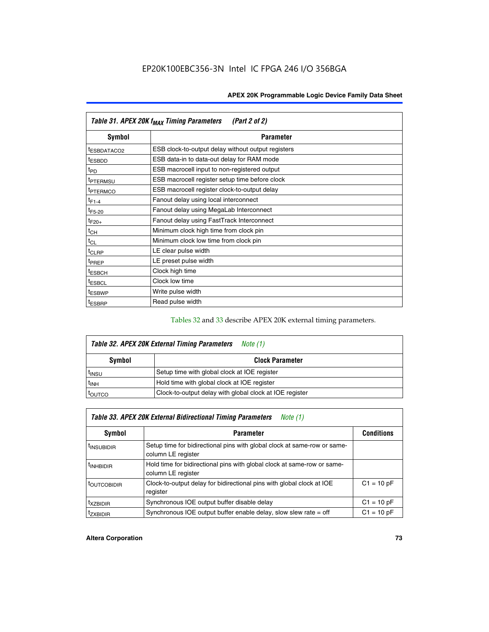| Table 31. APEX 20K f <sub>MAX</sub> Timing Parameters<br>(Part 2 of 2) |                                                    |  |  |  |  |
|------------------------------------------------------------------------|----------------------------------------------------|--|--|--|--|
| Symbol                                                                 | <b>Parameter</b>                                   |  |  |  |  |
| t <sub>ESBDATACO2</sub>                                                | ESB clock-to-output delay without output registers |  |  |  |  |
| <sup>t</sup> ESBDD                                                     | ESB data-in to data-out delay for RAM mode         |  |  |  |  |
| t <sub>PD</sub>                                                        | ESB macrocell input to non-registered output       |  |  |  |  |
| <sup>t</sup> PTERMSU                                                   | ESB macrocell register setup time before clock     |  |  |  |  |
| <sup>t</sup> PTERMCO                                                   | ESB macrocell register clock-to-output delay       |  |  |  |  |
| $t_{F1-4}$                                                             | Fanout delay using local interconnect              |  |  |  |  |
| $t_{F5-20}$                                                            | Fanout delay using MegaLab Interconnect            |  |  |  |  |
| $t_{F20+}$                                                             | Fanout delay using FastTrack Interconnect          |  |  |  |  |
| $t_{CH}$                                                               | Minimum clock high time from clock pin             |  |  |  |  |
| $t_{CL}$                                                               | Minimum clock low time from clock pin              |  |  |  |  |
| t <sub>CLRP</sub>                                                      | LE clear pulse width                               |  |  |  |  |
| t <sub>PREP</sub>                                                      | LE preset pulse width                              |  |  |  |  |
| <sup>t</sup> ESBCH                                                     | Clock high time                                    |  |  |  |  |
| <sup>t</sup> ESBCL                                                     | Clock low time                                     |  |  |  |  |
| <sup>t</sup> ESBWP                                                     | Write pulse width                                  |  |  |  |  |
| <sup>t</sup> ESBRP                                                     | Read pulse width                                   |  |  |  |  |

## Tables 32 and 33 describe APEX 20K external timing parameters.

| Table 32. APEX 20K External Timing Parameters<br>Note (1) |                                                         |  |  |  |  |
|-----------------------------------------------------------|---------------------------------------------------------|--|--|--|--|
| <b>Symbol</b>                                             | <b>Clock Parameter</b>                                  |  |  |  |  |
| <sup>t</sup> insu                                         | Setup time with global clock at IOE register            |  |  |  |  |
| $t_{\mathsf{INH}}$                                        | Hold time with global clock at IOE register             |  |  |  |  |
| <b>IOUTCO</b>                                             | Clock-to-output delay with global clock at IOE register |  |  |  |  |

| Table 33. APEX 20K External Bidirectional Timing Parameters<br>Note (1) |                                                                                                |              |  |  |  |  |
|-------------------------------------------------------------------------|------------------------------------------------------------------------------------------------|--------------|--|--|--|--|
| Symbol                                                                  | <b>Conditions</b><br><b>Parameter</b>                                                          |              |  |  |  |  |
| <sup>I</sup> INSUBIDIR                                                  | Setup time for bidirectional pins with global clock at same-row or same-<br>column LE register |              |  |  |  |  |
| <sup>t</sup> INHBIDIR                                                   | Hold time for bidirectional pins with global clock at same-row or same-<br>column LE register  |              |  |  |  |  |
| <sup>t</sup> OUTCOBIDIR                                                 | Clock-to-output delay for bidirectional pins with global clock at IOE<br>register              | $C1 = 10 pF$ |  |  |  |  |
| <sup>T</sup> XZBIDIR                                                    | Synchronous IOE output buffer disable delay                                                    | $C1 = 10 pF$ |  |  |  |  |
| <sup>I</sup> ZXBIDIR                                                    | Synchronous IOE output buffer enable delay, slow slew rate $=$ off                             | $C1 = 10 pF$ |  |  |  |  |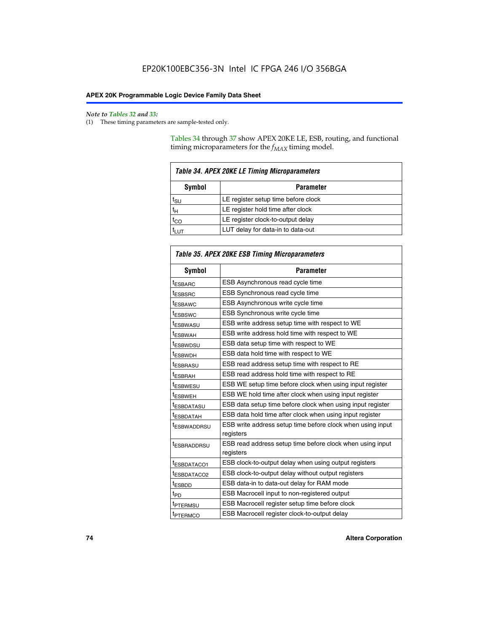$\mathbf{r}$ 

#### *Note to Tables 32 and 33:*

(1) These timing parameters are sample-tested only.

Tables 34 through 37 show APEX 20KE LE, ESB, routing, and functional timing microparameters for the  $f_{MAX}$  timing model.

| <b>Table 34. APEX 20KE LE Timing Microparameters</b> |                                     |  |  |  |  |
|------------------------------------------------------|-------------------------------------|--|--|--|--|
| Symbol<br><b>Parameter</b>                           |                                     |  |  |  |  |
| t <sub>SU</sub>                                      | LE register setup time before clock |  |  |  |  |
| $t_H$                                                | LE register hold time after clock   |  |  |  |  |
| $t_{CO}$                                             | LE register clock-to-output delay   |  |  |  |  |
|                                                      | LUT delay for data-in to data-out   |  |  |  |  |

| Table 35. APEX 20KE ESB Timing Microparameters |                                                                        |  |  |  |
|------------------------------------------------|------------------------------------------------------------------------|--|--|--|
| Symbol                                         | <b>Parameter</b>                                                       |  |  |  |
| t <sub>ESBARC</sub>                            | ESB Asynchronous read cycle time                                       |  |  |  |
| <sup>t</sup> ESBSRC                            | <b>ESB Synchronous read cycle time</b>                                 |  |  |  |
| t <sub>ESBAWC</sub>                            | ESB Asynchronous write cycle time                                      |  |  |  |
| t <sub>ESBSWC</sub>                            | ESB Synchronous write cycle time                                       |  |  |  |
| tESBWASU                                       | ESB write address setup time with respect to WE                        |  |  |  |
| <sup>t</sup> ESBWAH                            | ESB write address hold time with respect to WE                         |  |  |  |
| t <sub>ESBWDSU</sub>                           | ESB data setup time with respect to WE                                 |  |  |  |
| <sup>t</sup> ESBWDH                            | ESB data hold time with respect to WE                                  |  |  |  |
| tESBRASU                                       | ESB read address setup time with respect to RE                         |  |  |  |
| t <sub>ESBRAH</sub>                            | ESB read address hold time with respect to RE                          |  |  |  |
| <sup>t</sup> ESBWESU                           | ESB WE setup time before clock when using input register               |  |  |  |
| <sup>t</sup> ESBWEH                            | ESB WE hold time after clock when using input register                 |  |  |  |
| <sup>t</sup> ESBDATASU                         | ESB data setup time before clock when using input register             |  |  |  |
| t <sub>ESBDATAH</sub>                          | ESB data hold time after clock when using input register               |  |  |  |
| <sup>t</sup> ESBWADDRSU                        | ESB write address setup time before clock when using input             |  |  |  |
|                                                | registers                                                              |  |  |  |
| tESBRADDRSU                                    | ESB read address setup time before clock when using input<br>registers |  |  |  |
| t <sub>ESBDATACO1</sub>                        | ESB clock-to-output delay when using output registers                  |  |  |  |
| t <sub>ESBDATACO2</sub>                        | ESB clock-to-output delay without output registers                     |  |  |  |
| $t_{ESBDD}$                                    | ESB data-in to data-out delay for RAM mode                             |  |  |  |
| $t_{PD}$                                       | ESB Macrocell input to non-registered output                           |  |  |  |
| t <sub>PTERMSU</sub>                           | ESB Macrocell register setup time before clock                         |  |  |  |
| t <sub>PTERMCO</sub>                           | ESB Macrocell register clock-to-output delay                           |  |  |  |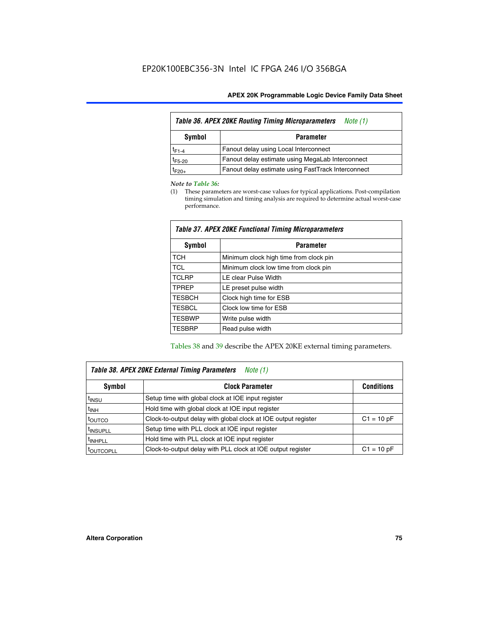| Table 36. APEX 20KE Routing Timing Microparameters<br>Note (1) |                                                    |  |  |  |  |
|----------------------------------------------------------------|----------------------------------------------------|--|--|--|--|
| Symbol<br><b>Parameter</b>                                     |                                                    |  |  |  |  |
| $t_{F1-4}$                                                     | Fanout delay using Local Interconnect              |  |  |  |  |
| $t_{F5-20}$                                                    | Fanout delay estimate using MegaLab Interconnect   |  |  |  |  |
| t <sub>F20+</sub>                                              | Fanout delay estimate using FastTrack Interconnect |  |  |  |  |

#### *Note to Table 36:*

(1) These parameters are worst-case values for typical applications. Post-compilation timing simulation and timing analysis are required to determine actual worst-case performance.

| Symbol        | <b>Parameter</b>                       |  |  |  |  |  |
|---------------|----------------------------------------|--|--|--|--|--|
| <b>TCH</b>    | Minimum clock high time from clock pin |  |  |  |  |  |
| <b>TCL</b>    | Minimum clock low time from clock pin  |  |  |  |  |  |
| <b>TCLRP</b>  | LE clear Pulse Width                   |  |  |  |  |  |
| <b>TPREP</b>  | LE preset pulse width                  |  |  |  |  |  |
| <b>TESBCH</b> | Clock high time for ESB                |  |  |  |  |  |
| <b>TESBCL</b> | Clock low time for ESB                 |  |  |  |  |  |
| <b>TESBWP</b> | Write pulse width                      |  |  |  |  |  |
| <b>TESBRP</b> | Read pulse width                       |  |  |  |  |  |

### *Table 37. APEX 20KE Functional Timing Microparameters*

Tables 38 and 39 describe the APEX 20KE external timing parameters.

| Table 38. APEX 20KE External Timing Parameters<br>Note (1) |                                                                |              |  |  |  |
|------------------------------------------------------------|----------------------------------------------------------------|--------------|--|--|--|
| <b>Clock Parameter</b><br>Symbol<br><b>Conditions</b>      |                                                                |              |  |  |  |
| <sup>t</sup> insu                                          | Setup time with global clock at IOE input register             |              |  |  |  |
| $t_{\text{INH}}$                                           | Hold time with global clock at IOE input register              |              |  |  |  |
| toutco                                                     | Clock-to-output delay with global clock at IOE output register | $C1 = 10 pF$ |  |  |  |
| <sup>t</sup> INSUPLL                                       | Setup time with PLL clock at IOE input register                |              |  |  |  |
| <sup>t</sup> INHPLL                                        | Hold time with PLL clock at IOE input register                 |              |  |  |  |
| <sup>I</sup> OUTCOPLL                                      | Clock-to-output delay with PLL clock at IOE output register    | $C1 = 10 pF$ |  |  |  |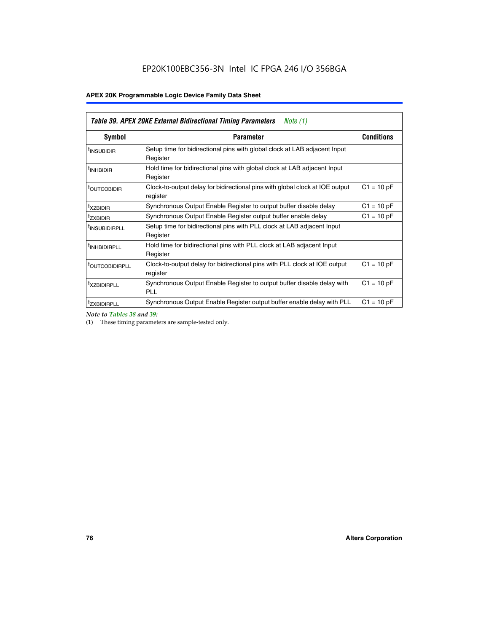| Table 39. APEX 20KE External Bidirectional Timing Parameters<br>Note $(1)$ |                                                                                                          |              |  |  |  |  |  |  |
|----------------------------------------------------------------------------|----------------------------------------------------------------------------------------------------------|--------------|--|--|--|--|--|--|
| <b>Symbol</b>                                                              | <b>Conditions</b><br><b>Parameter</b>                                                                    |              |  |  |  |  |  |  |
| <sup>t</sup> INSUBIDIR                                                     | Setup time for bidirectional pins with global clock at LAB adjacent Input<br>Register                    |              |  |  |  |  |  |  |
| <sup>t</sup> INHBIDIR                                                      | Hold time for bidirectional pins with global clock at LAB adjacent Input<br>Register                     |              |  |  |  |  |  |  |
| <b><i>LOUTCOBIDIR</i></b>                                                  | $C1 = 10 pF$<br>Clock-to-output delay for bidirectional pins with global clock at IOE output<br>register |              |  |  |  |  |  |  |
| t <sub>XZBIDIR</sub>                                                       | $C1 = 10 pF$<br>Synchronous Output Enable Register to output buffer disable delay                        |              |  |  |  |  |  |  |
| <sup>t</sup> zxbidir                                                       | Synchronous Output Enable Register output buffer enable delay                                            | $C1 = 10 pF$ |  |  |  |  |  |  |
| <sup>I</sup> INSUBIDIRPLL                                                  | Setup time for bidirectional pins with PLL clock at LAB adjacent Input<br>Register                       |              |  |  |  |  |  |  |
| <sup>t</sup> INHBIDIRPLL                                                   | Hold time for bidirectional pins with PLL clock at LAB adjacent Input<br>Register                        |              |  |  |  |  |  |  |
| <b><i>LOUTCOBIDIRPLL</i></b>                                               | Clock-to-output delay for bidirectional pins with PLL clock at IOE output<br>register                    | $C1 = 10 pF$ |  |  |  |  |  |  |
| <sup>t</sup> XZBIDIRPLL                                                    | Synchronous Output Enable Register to output buffer disable delay with<br><b>PLL</b>                     | $C1 = 10 pF$ |  |  |  |  |  |  |
| <sup>I</sup> ZXBIDIRPLL                                                    | Synchronous Output Enable Register output buffer enable delay with PLL                                   | $C1 = 10 pF$ |  |  |  |  |  |  |

*Note to Tables 38 and 39:*

(1) These timing parameters are sample-tested only.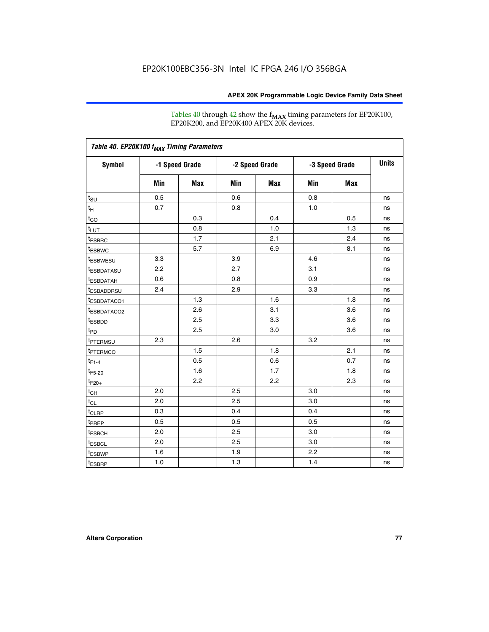Tables 40 through 42 show the **f<sub>MAX</sub>** timing parameters for EP20K100, EP20K200, and EP20K400 APEX 20K devices.

| Table 40. EP20K100 f <sub>MAX</sub> Timing Parameters |                |     |                |     |                |     |              |
|-------------------------------------------------------|----------------|-----|----------------|-----|----------------|-----|--------------|
| <b>Symbol</b>                                         | -1 Speed Grade |     | -2 Speed Grade |     | -3 Speed Grade |     | <b>Units</b> |
|                                                       | Min            | Max | Min            | Max | Min            | Max |              |
| $t_{\text{SU}}$                                       | 0.5            |     | 0.6            |     | 0.8            |     | ns           |
| $t_H$                                                 | 0.7            |     | 0.8            |     | 1.0            |     | ns           |
| $t_{CO}$                                              |                | 0.3 |                | 0.4 |                | 0.5 | ns           |
| $t_{LUT}$                                             |                | 0.8 |                | 1.0 |                | 1.3 | ns           |
| <sup>t</sup> ESBRC                                    |                | 1.7 |                | 2.1 |                | 2.4 | ns           |
| t <sub>ESBWC</sub>                                    |                | 5.7 |                | 6.9 |                | 8.1 | ns           |
| t <sub>ESBWESU</sub>                                  | 3.3            |     | 3.9            |     | 4.6            |     | ns           |
| <sup>t</sup> ESBDATASU                                | 2.2            |     | 2.7            |     | 3.1            |     | ns           |
| t <sub>ESBDATAH</sub>                                 | 0.6            |     | 0.8            |     | 0.9            |     | ns           |
| <sup>t</sup> ESBADDRSU                                | 2.4            |     | 2.9            |     | 3.3            |     | ns           |
| t <sub>ESBDATACO1</sub>                               |                | 1.3 |                | 1.6 |                | 1.8 | ns           |
| t <sub>ESBDATACO2</sub>                               |                | 2.6 |                | 3.1 |                | 3.6 | ns           |
| t <sub>ESBDD</sub>                                    |                | 2.5 |                | 3.3 |                | 3.6 | ns           |
| t <sub>PD</sub>                                       |                | 2.5 |                | 3.0 |                | 3.6 | ns           |
| <sup>t</sup> PTERMSU                                  | 2.3            |     | 2.6            |     | 3.2            |     | ns           |
| t <sub>PTERMCO</sub>                                  |                | 1.5 |                | 1.8 |                | 2.1 | ns           |
| $t_{F1-4}$                                            |                | 0.5 |                | 0.6 |                | 0.7 | ns           |
| $t_{F5-20}$                                           |                | 1.6 |                | 1.7 |                | 1.8 | ns           |
| $t_{F20+}$                                            |                | 2.2 |                | 2.2 |                | 2.3 | ns           |
| $t_{\mathsf{CH}}$                                     | 2.0            |     | 2.5            |     | 3.0            |     | ns           |
| $t_{CL}$                                              | 2.0            |     | 2.5            |     | 3.0            |     | ns           |
| t <sub>CLRP</sub>                                     | 0.3            |     | 0.4            |     | 0.4            |     | ns           |
| t <sub>PREP</sub>                                     | 0.5            |     | 0.5            |     | 0.5            |     | ns           |
| t <sub>ESBCH</sub>                                    | 2.0            |     | 2.5            |     | 3.0            |     | ns           |
| t <sub>ESBCL</sub>                                    | 2.0            |     | 2.5            |     | 3.0            |     | ns           |
| t <sub>ESBWP</sub>                                    | 1.6            |     | 1.9            |     | 2.2            |     | ns           |
| $t_{ESBRP}$                                           | 1.0            |     | 1.3            |     | 1.4            |     | ns           |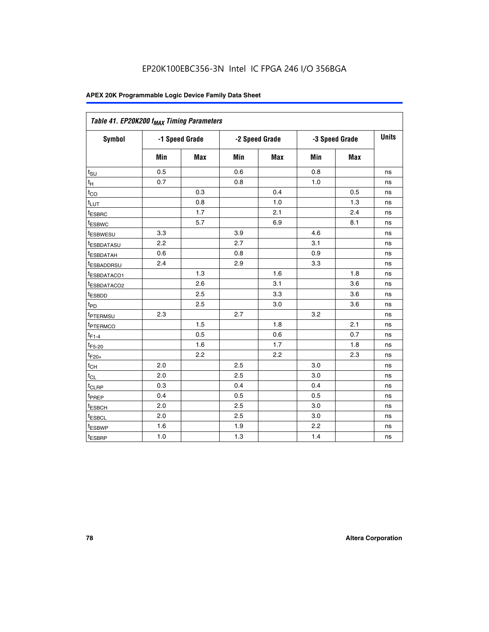| Table 41. EP20K200 f <sub>MAX</sub> Timing Parameters |                |     |     |                |     |                |    |
|-------------------------------------------------------|----------------|-----|-----|----------------|-----|----------------|----|
| Symbol                                                | -1 Speed Grade |     |     | -2 Speed Grade |     | -3 Speed Grade |    |
|                                                       | Min            | Max | Min | <b>Max</b>     | Min | Max            |    |
| $t_{\text{SU}}$                                       | 0.5            |     | 0.6 |                | 0.8 |                | ns |
| $t_H$                                                 | 0.7            |     | 0.8 |                | 1.0 |                | ns |
| $t_{CO}$                                              |                | 0.3 |     | 0.4            |     | 0.5            | ns |
| $t_{LUT}$                                             |                | 0.8 |     | 1.0            |     | 1.3            | ns |
| t <sub>ESBRC</sub>                                    |                | 1.7 |     | 2.1            |     | 2.4            | ns |
| t <sub>ESBWC</sub>                                    |                | 5.7 |     | 6.9            |     | 8.1            | ns |
| t <sub>ESBWESU</sub>                                  | 3.3            |     | 3.9 |                | 4.6 |                | ns |
| <sup>t</sup> ESBDATASU                                | 2.2            |     | 2.7 |                | 3.1 |                | ns |
| t <sub>ESBDATAH</sub>                                 | 0.6            |     | 0.8 |                | 0.9 |                | ns |
| t <sub>ESBADDRSU</sub>                                | 2.4            |     | 2.9 |                | 3.3 |                | ns |
| <u>t<sub>ESBDATACO1</sub></u>                         |                | 1.3 |     | 1.6            |     | 1.8            | ns |
| <sup>t</sup> ESBDATACO2                               |                | 2.6 |     | 3.1            |     | 3.6            | ns |
| t <sub>ESBDD</sub>                                    |                | 2.5 |     | 3.3            |     | 3.6            | ns |
| t <sub>PD</sub>                                       |                | 2.5 |     | 3.0            |     | 3.6            | ns |
| t <sub>PTERMSU</sub>                                  | 2.3            |     | 2.7 |                | 3.2 |                | ns |
| t <sub>PTERMCO</sub>                                  |                | 1.5 |     | 1.8            |     | 2.1            | ns |
| $t_{F1-4}$                                            |                | 0.5 |     | 0.6            |     | 0.7            | ns |
| $t_{F5-20}$                                           |                | 1.6 |     | 1.7            |     | 1.8            | ns |
| $t_{F20+}$                                            |                | 2.2 |     | 2.2            |     | 2.3            | ns |
| $\textnormal{t}_{\textnormal{CH}}$                    | 2.0            |     | 2.5 |                | 3.0 |                | ns |
| $t_{CL}$                                              | 2.0            |     | 2.5 |                | 3.0 |                | ns |
| t <sub>CLRP</sub>                                     | 0.3            |     | 0.4 |                | 0.4 |                | ns |
| t <sub>PREP</sub>                                     | 0.4            |     | 0.5 |                | 0.5 |                | ns |
| t <sub>ESBCH</sub>                                    | 2.0            |     | 2.5 |                | 3.0 |                | ns |
| t <sub>ESBCL</sub>                                    | 2.0            |     | 2.5 |                | 3.0 |                | ns |
| t <sub>ESBWP</sub>                                    | 1.6            |     | 1.9 |                | 2.2 |                | ns |
| t <sub>ESBRP</sub>                                    | 1.0            |     | 1.3 |                | 1.4 |                | ns |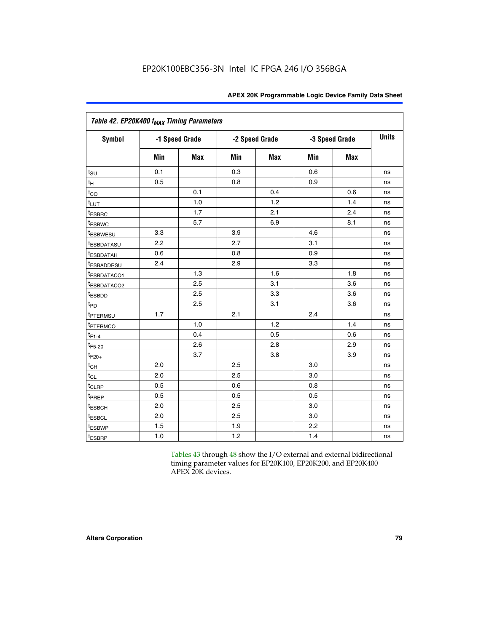| Table 42. EP20K400 f <sub>MAX</sub> Timing Parameters |     |                |                |            |     |                |              |  |
|-------------------------------------------------------|-----|----------------|----------------|------------|-----|----------------|--------------|--|
| <b>Symbol</b>                                         |     | -1 Speed Grade | -2 Speed Grade |            |     | -3 Speed Grade | <b>Units</b> |  |
|                                                       | Min | <b>Max</b>     | Min            | <b>Max</b> | Min | <b>Max</b>     |              |  |
| $t_{\text{SU}}$                                       | 0.1 |                | 0.3            |            | 0.6 |                | ns           |  |
| $t_{\mathsf{H}}$                                      | 0.5 |                | 0.8            |            | 0.9 |                | ns           |  |
| $t_{CO}$                                              |     | 0.1            |                | 0.4        |     | 0.6            | ns           |  |
| $t_{LUT}$                                             |     | 1.0            |                | 1.2        |     | 1.4            | ns           |  |
| t <sub>ESBRC</sub>                                    |     | 1.7            |                | 2.1        |     | 2.4            | ns           |  |
| <sup>t</sup> ESBWC                                    |     | 5.7            |                | 6.9        |     | 8.1            | ns           |  |
| <i>t</i> <sub>ESBWESU</sub>                           | 3.3 |                | 3.9            |            | 4.6 |                | ns           |  |
| <sup>t</sup> ESBDATASU                                | 2.2 |                | 2.7            |            | 3.1 |                | ns           |  |
| <sup>t</sup> ESBDATAH                                 | 0.6 |                | 0.8            |            | 0.9 |                | ns           |  |
| <i>t</i> ESBADDRSU                                    | 2.4 |                | 2.9            |            | 3.3 |                | ns           |  |
| t <sub>ESBDATACO1</sub>                               |     | 1.3            |                | 1.6        |     | 1.8            | ns           |  |
| t <sub>ESBDATACO2</sub>                               |     | 2.5            |                | 3.1        |     | 3.6            | ns           |  |
| t <sub>ESBDD</sub>                                    |     | 2.5            |                | 3.3        |     | 3.6            | ns           |  |
| t <sub>PD</sub>                                       |     | 2.5            |                | 3.1        |     | 3.6            | ns           |  |
| t <sub>PTERMSU</sub>                                  | 1.7 |                | 2.1            |            | 2.4 |                | ns           |  |
| t <sub>PTERMCO</sub>                                  |     | 1.0            |                | 1.2        |     | 1.4            | ns           |  |
| $t_{F1-4}$                                            |     | 0.4            |                | 0.5        |     | 0.6            | ns           |  |
| $t_{F5-20}$                                           |     | 2.6            |                | 2.8        |     | 2.9            | ns           |  |
| $t_{F20+}$                                            |     | 3.7            |                | 3.8        |     | 3.9            | ns           |  |
| $t_{CH}$                                              | 2.0 |                | 2.5            |            | 3.0 |                | ns           |  |
| $t_{CL}$                                              | 2.0 |                | 2.5            |            | 3.0 |                | ns           |  |
| t <sub>CLRP</sub>                                     | 0.5 |                | 0.6            |            | 0.8 |                | ns           |  |
| t <sub>PREP</sub>                                     | 0.5 |                | 0.5            |            | 0.5 |                | ns           |  |
| t <sub>ESBCH</sub>                                    | 2.0 |                | 2.5            |            | 3.0 |                | ns           |  |
| <b><i>LESBCL</i></b>                                  | 2.0 |                | 2.5            |            | 3.0 |                | ns           |  |
| t <sub>ESBWP</sub>                                    | 1.5 |                | 1.9            |            | 2.2 |                | ns           |  |
| t <sub>ESBRP</sub>                                    | 1.0 |                | 1.2            |            | 1.4 |                | ns           |  |

Tables 43 through 48 show the I/O external and external bidirectional timing parameter values for EP20K100, EP20K200, and EP20K400 APEX 20K devices.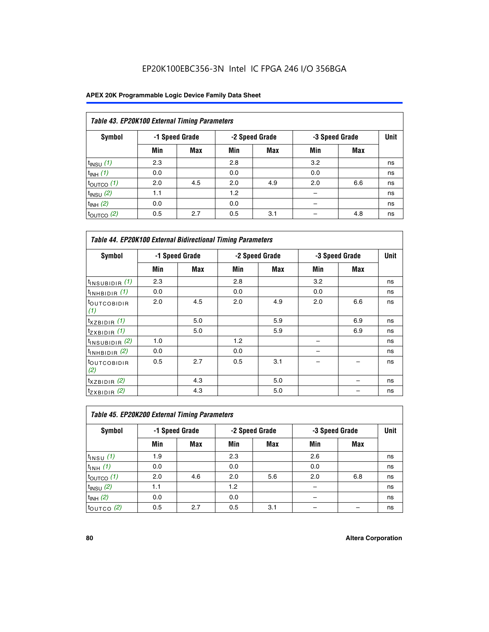## EP20K100EBC356-3N Intel IC FPGA 246 I/O 356BGA

| Table 43. EP20K100 External Timing Parameters |     |                |     |                |     |                |             |  |  |  |
|-----------------------------------------------|-----|----------------|-----|----------------|-----|----------------|-------------|--|--|--|
| Symbol                                        |     | -1 Speed Grade |     | -2 Speed Grade |     | -3 Speed Grade | <b>Unit</b> |  |  |  |
|                                               | Min | Max            | Min | <b>Max</b>     | Min | <b>Max</b>     |             |  |  |  |
| $t_{INSU}$ (1)                                | 2.3 |                | 2.8 |                | 3.2 |                | ns          |  |  |  |
| $t_{INH}$ (1)                                 | 0.0 |                | 0.0 |                | 0.0 |                | ns          |  |  |  |
| $t_{\text{OUTCO}}(1)$                         | 2.0 | 4.5            | 2.0 | 4.9            | 2.0 | 6.6            | ns          |  |  |  |
| $t_{INSU}(2)$                                 | 1.1 |                | 1.2 |                |     |                | ns          |  |  |  |
| $t_{INH}$ (2)                                 | 0.0 |                | 0.0 |                |     |                | ns          |  |  |  |
| $t_{\text{OUTCO}}$ (2)                        | 0.5 | 2.7            | 0.5 | 3.1            |     | 4.8            | ns          |  |  |  |

| <b>Table 44. EP20K100 External Bidirectional Timing Parameters</b> |     |                |     |                |     |                |    |
|--------------------------------------------------------------------|-----|----------------|-----|----------------|-----|----------------|----|
| Symbol                                                             |     | -1 Speed Grade |     | -2 Speed Grade |     | -3 Speed Grade |    |
|                                                                    | Min | Max            | Min | Max            | Min | Max            |    |
| $t_{\text{INSUBIDIR}}(1)$                                          | 2.3 |                | 2.8 |                | 3.2 |                | ns |
| $t_{INHBIDIR}$ (1)                                                 | 0.0 |                | 0.0 |                | 0.0 |                | ns |
| <sup>t</sup> OUTCOBIDIR<br>(1)                                     | 2.0 | 4.5            | 2.0 | 4.9            | 2.0 | 6.6            | ns |
| $t_{XZBIDIR}$ (1)                                                  |     | 5.0            |     | 5.9            |     | 6.9            | ns |
| $t_{ZXBIDIR}$ (1)                                                  |     | 5.0            |     | 5.9            |     | 6.9            | ns |
| $t_{INSUBIDIR}$ (2)                                                | 1.0 |                | 1.2 |                |     |                | ns |
| $t_{INHBIDIR}$ (2)                                                 | 0.0 |                | 0.0 |                |     |                | ns |
| <sup>t</sup> OUTCOBIDIR<br>(2)                                     | 0.5 | 2.7            | 0.5 | 3.1            |     |                | ns |
| $t_{XZBIDIR}$ (2)                                                  |     | 4.3            |     | 5.0            |     |                | ns |
| $t_{ZXBIDIR}$ (2)                                                  |     | 4.3            |     | 5.0            |     |                | ns |

| Table 45. EP20K200 External Timing Parameters |                |     |     |                |     |                |             |  |  |  |  |
|-----------------------------------------------|----------------|-----|-----|----------------|-----|----------------|-------------|--|--|--|--|
| Symbol                                        | -1 Speed Grade |     |     | -2 Speed Grade |     | -3 Speed Grade | <b>Unit</b> |  |  |  |  |
|                                               | Min            | Max | Min | Max            | Min | <b>Max</b>     |             |  |  |  |  |
| $t$ <sub>INSU</sub> $(1)$                     | 1.9            |     | 2.3 |                | 2.6 |                | ns          |  |  |  |  |
| $t_{INH}$ (1)                                 | 0.0            |     | 0.0 |                | 0.0 |                | ns          |  |  |  |  |
| $t_{\text{OUTCO}}(1)$                         | 2.0            | 4.6 | 2.0 | 5.6            | 2.0 | 6.8            | ns          |  |  |  |  |
| $t_{INSU}$ (2)                                | 1.1            |     | 1.2 |                |     |                | ns          |  |  |  |  |
| $t_{INH}$ (2)                                 | 0.0            |     | 0.0 |                |     |                | ns          |  |  |  |  |
| $t_{\text{OUTCO}}$ (2)                        | 0.5            | 2.7 | 0.5 | 3.1            |     |                | ns          |  |  |  |  |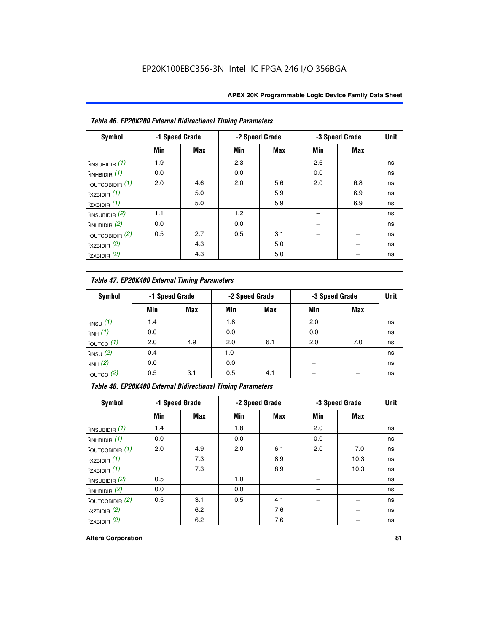| Table 46. EP20K200 External Bidirectional Timing Parameters |                |     |     |                |     |                |             |
|-------------------------------------------------------------|----------------|-----|-----|----------------|-----|----------------|-------------|
| Symbol                                                      | -1 Speed Grade |     |     | -2 Speed Grade |     | -3 Speed Grade | <b>Unit</b> |
|                                                             | Min            | Max | Min | Max            | Min | Max            |             |
| $t_{\text{INSUBIDIR}}(1)$                                   | 1.9            |     | 2.3 |                | 2.6 |                | ns          |
| $t_{INHBIDIR}$ (1)                                          | 0.0            |     | 0.0 |                | 0.0 |                | ns          |
| $t_{\text{OUTCOBIDIR}}(1)$                                  | 2.0            | 4.6 | 2.0 | 5.6            | 2.0 | 6.8            | ns          |
| $t_{XZBIDIR}$ (1)                                           |                | 5.0 |     | 5.9            |     | 6.9            | ns          |
| $t_{ZXBIDIR}$ (1)                                           |                | 5.0 |     | 5.9            |     | 6.9            | ns          |
| $t_{\text{INSUBIDIR}}(2)$                                   | 1.1            |     | 1.2 |                |     |                | ns          |
| $t_{INHBIDIR}$ (2)                                          | 0.0            |     | 0.0 |                |     |                | ns          |
| $t_{\text{OUTCOBIDIR}}(2)$                                  | 0.5            | 2.7 | 0.5 | 3.1            |     |                | ns          |
| $t_{XZBIDIR}$ (2)                                           |                | 4.3 |     | 5.0            |     |                | ns          |
| $t_{ZXBIDIR}$ (2)                                           |                | 4.3 |     | 5.0            |     |                | ns          |

## *Table 47. EP20K400 External Timing Parameters*

| Symbol                |     | -1 Speed Grade |     | -2 Speed Grade |     | -3 Speed Grade |    |
|-----------------------|-----|----------------|-----|----------------|-----|----------------|----|
|                       | Min | <b>Max</b>     | Min | <b>Max</b>     | Min | <b>Max</b>     |    |
| $t_{INSU}$ (1)        | 1.4 |                | 1.8 |                | 2.0 |                | ns |
| $t_{INH}$ (1)         | 0.0 |                | 0.0 |                | 0.0 |                | ns |
| $t_{\text{OUTCO}}(1)$ | 2.0 | 4.9            | 2.0 | 6.1            | 2.0 | 7.0            | ns |
| $t_{INSU}$ (2)        | 0.4 |                | 1.0 |                |     |                | ns |
| $t_{INH}$ (2)         | 0.0 |                | 0.0 |                |     |                | ns |
| $t_{\text{OUTCO}}(2)$ | 0.5 | 3.1            | 0.5 | 4.1            |     |                | ns |

*Table 48. EP20K400 External Bidirectional Timing Parameters*

| Symbol                      | -1 Speed Grade |     | -2 Speed Grade |     |     | -3 Speed Grade | <b>Unit</b> |
|-----------------------------|----------------|-----|----------------|-----|-----|----------------|-------------|
|                             | Min            | Max | Min            | Max | Min | Max            |             |
| $t_{\text{INSUBIDIR}}(1)$   | 1.4            |     | 1.8            |     | 2.0 |                | ns          |
| $t_{INHBIDIR}$ (1)          | 0.0            |     | 0.0            |     | 0.0 |                | ns          |
| $t_{\text{OUTCOBIDIR}}(1)$  | 2.0            | 4.9 | 2.0            | 6.1 | 2.0 | 7.0            | ns          |
| $t_{XZBIDIR}$ (1)           |                | 7.3 |                | 8.9 |     | 10.3           | ns          |
| $t_{ZXBIDIR}$ (1)           |                | 7.3 |                | 8.9 |     | 10.3           | ns          |
| $t_{\text{INSUBIDIR}}(2)$   | 0.5            |     | 1.0            |     |     |                | ns          |
| $t_{INHBIDIR}$ (2)          | 0.0            |     | 0.0            |     |     |                | ns          |
| $t_{\text{OUTCOBIDIR}}$ (2) | 0.5            | 3.1 | 0.5            | 4.1 |     |                | ns          |
| $t_{XZBIDIR}$ (2)           |                | 6.2 |                | 7.6 |     |                | ns          |
| $t_{ZXBIDIR}$ (2)           |                | 6.2 |                | 7.6 |     |                | ns          |

#### **Altera Corporation 81**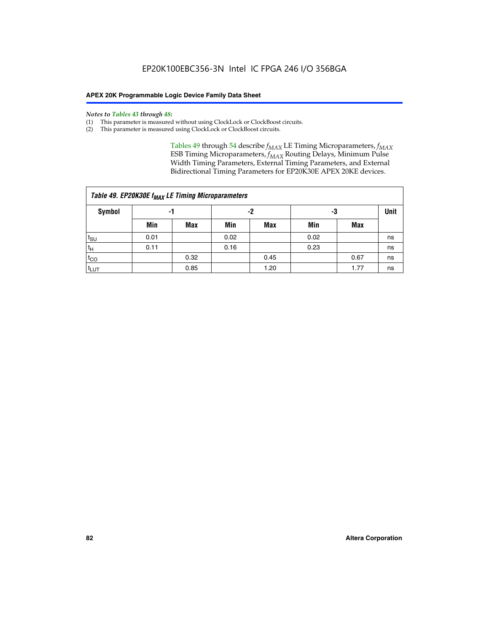#### *Notes to Tables 43 through 48:*

- (1) This parameter is measured without using ClockLock or ClockBoost circuits.
- (2) This parameter is measured using ClockLock or ClockBoost circuits.

Tables 49 through 54 describe  $f_{MAX}$  LE Timing Microparameters,  $f_{MAX}$ ESB Timing Microparameters, *f<sub>MAX</sub>* Routing Delays, Minimum Pulse Width Timing Parameters, External Timing Parameters, and External Bidirectional Timing Parameters for EP20K30E APEX 20KE devices.

|                  | Table 49. EP20K30E f <sub>MAX</sub> LE Timing Microparameters |      |      |            |      |      |    |  |  |  |  |  |
|------------------|---------------------------------------------------------------|------|------|------------|------|------|----|--|--|--|--|--|
| <b>Symbol</b>    |                                                               | -1   |      | -2         |      | -3   |    |  |  |  |  |  |
|                  | Min                                                           | Max  | Min  | <b>Max</b> | Min  | Max  |    |  |  |  |  |  |
| t <sub>SU</sub>  | 0.01                                                          |      | 0.02 |            | 0.02 |      | ns |  |  |  |  |  |
| 't <sub>H</sub>  | 0.11                                                          |      | 0.16 |            | 0.23 |      | ns |  |  |  |  |  |
| $t_{CO}$         |                                                               | 0.32 |      | 0.45       |      | 0.67 | ns |  |  |  |  |  |
| t <sub>LUT</sub> |                                                               | 0.85 |      | 1.20       |      | 1.77 | ns |  |  |  |  |  |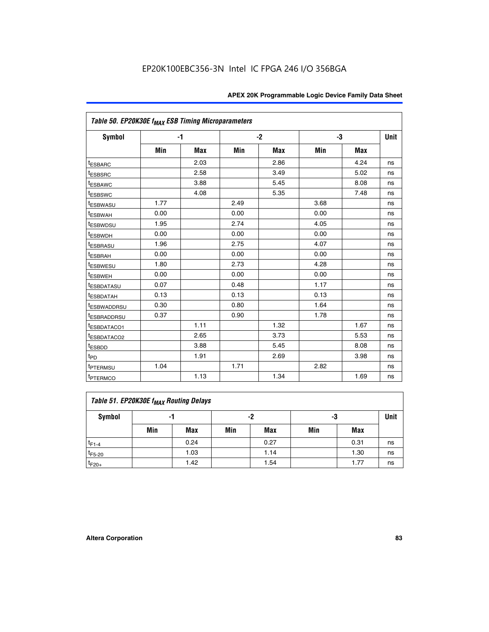| Table 50. EP20K30E f <sub>MAX</sub> ESB Timing Microparameters |      |      |      |            |      |            |             |
|----------------------------------------------------------------|------|------|------|------------|------|------------|-------------|
| <b>Symbol</b>                                                  |      | -1   |      | $-2$       |      | -3         | <b>Unit</b> |
|                                                                | Min  | Max  | Min  | <b>Max</b> | Min  | <b>Max</b> |             |
| <sup>t</sup> ESBARC                                            |      | 2.03 |      | 2.86       |      | 4.24       | ns          |
| <sup>t</sup> ESBSRC                                            |      | 2.58 |      | 3.49       |      | 5.02       | ns          |
| <sup>t</sup> ESBAWC                                            |      | 3.88 |      | 5.45       |      | 8.08       | ns          |
| <sup>t</sup> ESBSWC                                            |      | 4.08 |      | 5.35       |      | 7.48       | ns          |
| <sup>t</sup> ESBWASU                                           | 1.77 |      | 2.49 |            | 3.68 |            | ns          |
| <sup>t</sup> ESBWAH                                            | 0.00 |      | 0.00 |            | 0.00 |            | ns          |
| t <sub>ESBWDSU</sub>                                           | 1.95 |      | 2.74 |            | 4.05 |            | ns          |
| <sup>t</sup> ESBWDH                                            | 0.00 |      | 0.00 |            | 0.00 |            | ns          |
| <sup>t</sup> ESBRASU                                           | 1.96 |      | 2.75 |            | 4.07 |            | ns          |
| <sup>t</sup> ESBRAH                                            | 0.00 |      | 0.00 |            | 0.00 |            | ns          |
| <sup>t</sup> ESBWESU                                           | 1.80 |      | 2.73 |            | 4.28 |            | ns          |
| <sup>t</sup> ESBWEH                                            | 0.00 |      | 0.00 |            | 0.00 |            | ns          |
| t <sub>ESBDATASU</sub>                                         | 0.07 |      | 0.48 |            | 1.17 |            | ns          |
| <sup>t</sup> ESBDATAH                                          | 0.13 |      | 0.13 |            | 0.13 |            | ns          |
| <sup>t</sup> ESBWADDRSU                                        | 0.30 |      | 0.80 |            | 1.64 |            | ns          |
| <sup>t</sup> ESBRADDRSU                                        | 0.37 |      | 0.90 |            | 1.78 |            | ns          |
| ESBDATACO1                                                     |      | 1.11 |      | 1.32       |      | 1.67       | ns          |
| t <sub>ESBDATACO2</sub>                                        |      | 2.65 |      | 3.73       |      | 5.53       | ns          |
| <sup>t</sup> ESBDD                                             |      | 3.88 |      | 5.45       |      | 8.08       | ns          |
| t <sub>PD</sub>                                                |      | 1.91 |      | 2.69       |      | 3.98       | ns          |
| <sup>t</sup> PTERMSU                                           | 1.04 |      | 1.71 |            | 2.82 |            | ns          |
| t <sub>PTERMCO</sub>                                           |      | 1.13 |      | 1.34       |      | 1.69       | ns          |

## **Table 51. EP20K30E f<sub>MAX</sub> Routing Delays**

| Symbol      | - 1 |            | -2  |            | -3  |      | Unit |
|-------------|-----|------------|-----|------------|-----|------|------|
|             | Min | <b>Max</b> | Min | <b>Max</b> | Min | Max  |      |
| $t_{F1-4}$  |     | 0.24       |     | 0.27       |     | 0.31 | ns   |
| $t_{F5-20}$ |     | 1.03       |     | 1.14       |     | 1.30 | ns   |
| $t_{F20+}$  |     | 1.42       |     | 1.54       |     | 1.77 | ns   |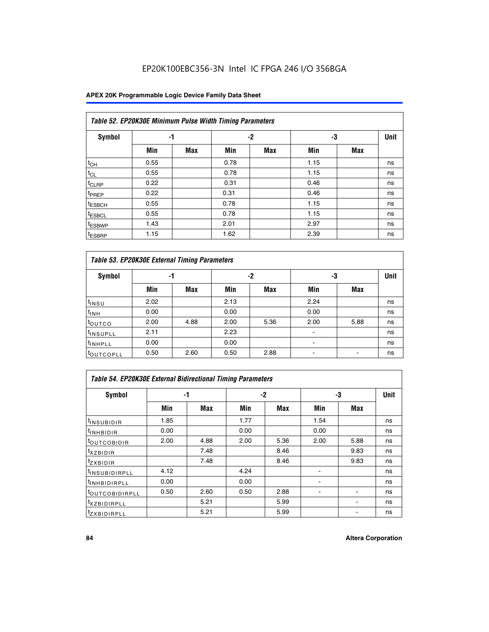## EP20K100EBC356-3N Intel IC FPGA 246 I/O 356BGA

### **APEX 20K Programmable Logic Device Family Data Sheet**

|                    | Table 52. EP20K30E Minimum Pulse Width Timing Parameters |            |      |            |      |     |    |  |  |  |  |  |
|--------------------|----------------------------------------------------------|------------|------|------------|------|-----|----|--|--|--|--|--|
| <b>Symbol</b>      | -1                                                       |            |      | -2         | -3   |     |    |  |  |  |  |  |
|                    | Min                                                      | <b>Max</b> | Min  | <b>Max</b> | Min  | Max |    |  |  |  |  |  |
| $t_{CH}$           | 0.55                                                     |            | 0.78 |            | 1.15 |     | ns |  |  |  |  |  |
| $t_{CL}$           | 0.55                                                     |            | 0.78 |            | 1.15 |     | ns |  |  |  |  |  |
| t <sub>CLRP</sub>  | 0.22                                                     |            | 0.31 |            | 0.46 |     | ns |  |  |  |  |  |
| <sup>t</sup> PREP  | 0.22                                                     |            | 0.31 |            | 0.46 |     | ns |  |  |  |  |  |
| t <sub>ESBCH</sub> | 0.55                                                     |            | 0.78 |            | 1.15 |     | ns |  |  |  |  |  |
| <sup>t</sup> ESBCL | 0.55                                                     |            | 0.78 |            | 1.15 |     | ns |  |  |  |  |  |
| <sup>t</sup> ESBWP | 1.43                                                     |            | 2.01 |            | 2.97 |     | ns |  |  |  |  |  |
| <sup>t</sup> ESBRP | 1.15                                                     |            | 1.62 |            | 2.39 |     | ns |  |  |  |  |  |

| Table 53. EP20K30E External Timing Parameters |      |            |      |            |                |            |             |  |  |  |  |
|-----------------------------------------------|------|------------|------|------------|----------------|------------|-------------|--|--|--|--|
| <b>Symbol</b>                                 | -1   |            |      | -2         |                | -3         | <b>Unit</b> |  |  |  |  |
|                                               | Min  | <b>Max</b> | Min  | <b>Max</b> | Min            | <b>Max</b> |             |  |  |  |  |
| t <sub>INSU</sub>                             | 2.02 |            | 2.13 |            | 2.24           |            | ns          |  |  |  |  |
| $t_{\text{INH}}$                              | 0.00 |            | 0.00 |            | 0.00           |            | ns          |  |  |  |  |
| toutco                                        | 2.00 | 4.88       | 2.00 | 5.36       | 2.00           | 5.88       | ns          |  |  |  |  |
| <sup>t</sup> INSUPLL                          | 2.11 |            | 2.23 |            |                |            | ns          |  |  |  |  |
| <sup>t</sup> INHPLL                           | 0.00 |            | 0.00 |            | $\blacksquare$ |            | ns          |  |  |  |  |
| <b>LOUTCOPLL</b>                              | 0.50 | 2.60       | 0.50 | 2.88       |                |            | ns          |  |  |  |  |

| Table 54. EP20K30E External Bidirectional Timing Parameters |      |      |      |      |                          |      |             |  |  |  |  |
|-------------------------------------------------------------|------|------|------|------|--------------------------|------|-------------|--|--|--|--|
| Symbol                                                      |      | -1   |      | $-2$ |                          | -3   | <b>Unit</b> |  |  |  |  |
|                                                             | Min  | Max  | Min  | Max  | Min                      | Max  |             |  |  |  |  |
| <sup>t</sup> INSUBIDIR                                      | 1.85 |      | 1.77 |      | 1.54                     |      | ns          |  |  |  |  |
| <b>INHBIDIR</b>                                             | 0.00 |      | 0.00 |      | 0.00                     |      | ns          |  |  |  |  |
| <b>LOUTCOBIDIR</b>                                          | 2.00 | 4.88 | 2.00 | 5.36 | 2.00                     | 5.88 | ns          |  |  |  |  |
| <sup>T</sup> XZBIDIR                                        |      | 7.48 |      | 8.46 |                          | 9.83 | ns          |  |  |  |  |
| <sup>t</sup> zxbidir                                        |      | 7.48 |      | 8.46 |                          | 9.83 | ns          |  |  |  |  |
| <sup>I</sup> INSUBIDIRPLL                                   | 4.12 |      | 4.24 |      | $\overline{\phantom{0}}$ |      | ns          |  |  |  |  |
| <b>INHBIDIRPLL</b>                                          | 0.00 |      | 0.00 |      |                          |      | ns          |  |  |  |  |
| <b><i>COUTCOBIDIRPLL</i></b>                                | 0.50 | 2.60 | 0.50 | 2.88 |                          |      | ns          |  |  |  |  |
| <sup>I</sup> XZBIDIRPLL                                     |      | 5.21 |      | 5.99 |                          |      | ns          |  |  |  |  |
| <sup>I</sup> ZXBIDIRPLL                                     |      | 5.21 |      | 5.99 |                          |      | ns          |  |  |  |  |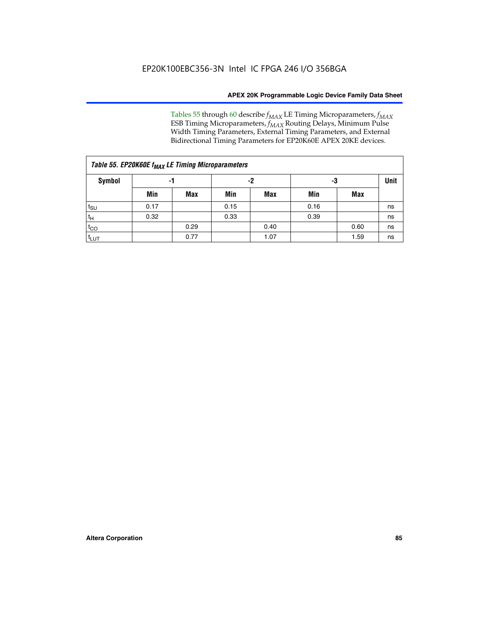Tables 55 through 60 describe *f<sub>MAX</sub>* LE Timing Microparameters, *f<sub>MAX</sub>* ESB Timing Microparameters, *f<sub>MAX</sub>* Routing Delays, Minimum Pulse Width Timing Parameters, External Timing Parameters, and External Bidirectional Timing Parameters for EP20K60E APEX 20KE devices.

| Table 55. EP20K60E f <sub>MAX</sub> LE Timing Microparameters |      |      |      |      |      |             |    |  |  |  |  |
|---------------------------------------------------------------|------|------|------|------|------|-------------|----|--|--|--|--|
| <b>Symbol</b>                                                 |      | -1   |      | -2   | -3   | <b>Unit</b> |    |  |  |  |  |
|                                                               | Min  | Max  | Min  | Max  | Min  | Max         |    |  |  |  |  |
| $t_{\text{SU}}$                                               | 0.17 |      | 0.15 |      | 0.16 |             | ns |  |  |  |  |
| $t_H$                                                         | 0.32 |      | 0.33 |      | 0.39 |             | ns |  |  |  |  |
| $t_{CO}$                                                      |      | 0.29 |      | 0.40 |      | 0.60        | ns |  |  |  |  |
| t <sub>lut</sub>                                              |      | 0.77 |      | 1.07 |      | 1.59        | ns |  |  |  |  |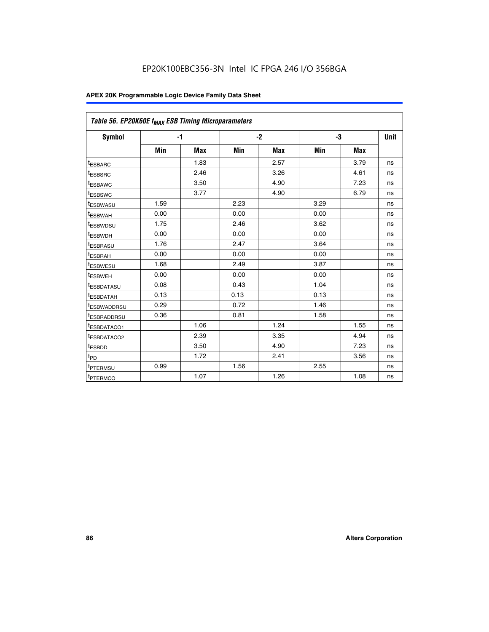| Table 56. EP20K60E f <sub>MAX</sub> ESB Timing Microparameters |      |            |      |            |      |      |             |
|----------------------------------------------------------------|------|------------|------|------------|------|------|-------------|
| <b>Symbol</b>                                                  | $-1$ |            |      | $-2$       |      | -3   | <b>Unit</b> |
|                                                                | Min  | <b>Max</b> | Min  | <b>Max</b> | Min  | Max  |             |
| <sup>t</sup> ESBARC                                            |      | 1.83       |      | 2.57       |      | 3.79 | ns          |
| t <sub>ESBSRC</sub>                                            |      | 2.46       |      | 3.26       |      | 4.61 | ns          |
| <sup>t</sup> ESBAWC                                            |      | 3.50       |      | 4.90       |      | 7.23 | ns          |
| <sup>t</sup> ESBSWC                                            |      | 3.77       |      | 4.90       |      | 6.79 | ns          |
| <sup>t</sup> ESBWASU                                           | 1.59 |            | 2.23 |            | 3.29 |      | ns          |
| <sup>t</sup> ESBWAH                                            | 0.00 |            | 0.00 |            | 0.00 |      | ns          |
| t <sub>ESBWDSU</sub>                                           | 1.75 |            | 2.46 |            | 3.62 |      | ns          |
| t <sub>ESBWDH</sub>                                            | 0.00 |            | 0.00 |            | 0.00 |      | ns          |
| t <sub>ESBRASU</sub>                                           | 1.76 |            | 2.47 |            | 3.64 |      | ns          |
| <sup>t</sup> ESBRAH                                            | 0.00 |            | 0.00 |            | 0.00 |      | ns          |
| t <sub>ESBWESU</sub>                                           | 1.68 |            | 2.49 |            | 3.87 |      | ns          |
| t <sub>ESBWEH</sub>                                            | 0.00 |            | 0.00 |            | 0.00 |      | ns          |
| <sup>t</sup> ESBDATASU                                         | 0.08 |            | 0.43 |            | 1.04 |      | ns          |
| t <sub>ESBDATAH</sub>                                          | 0.13 |            | 0.13 |            | 0.13 |      | ns          |
| <sup>t</sup> ESBWADDRSU                                        | 0.29 |            | 0.72 |            | 1.46 |      | ns          |
| <sup>t</sup> ESBRADDRSU                                        | 0.36 |            | 0.81 |            | 1.58 |      | ns          |
| <sup>t</sup> ESBDATACO1                                        |      | 1.06       |      | 1.24       |      | 1.55 | ns          |
| <sup>t</sup> ESBDATACO2                                        |      | 2.39       |      | 3.35       |      | 4.94 | ns          |
| <sup>t</sup> ESBDD                                             |      | 3.50       |      | 4.90       |      | 7.23 | ns          |
| t <sub>PD</sub>                                                |      | 1.72       |      | 2.41       |      | 3.56 | ns          |
| t <sub>PTERMSU</sub>                                           | 0.99 |            | 1.56 |            | 2.55 |      | ns          |
| t <sub>PTERMCO</sub>                                           |      | 1.07       |      | 1.26       |      | 1.08 | ns          |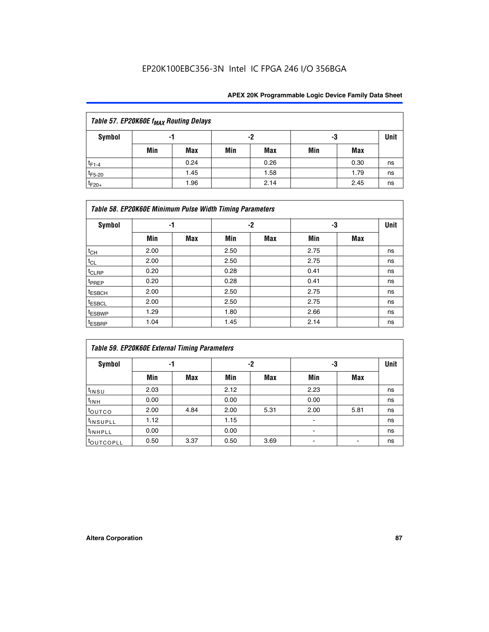## EP20K100EBC356-3N Intel IC FPGA 246 I/O 356BGA

| Table 57. EP20K60E f <sub>MAX</sub> Routing Delays |     |      |     |      |     |             |    |  |  |  |  |
|----------------------------------------------------|-----|------|-----|------|-----|-------------|----|--|--|--|--|
| Symbol                                             |     | -1   |     | -2   | -3  | <b>Unit</b> |    |  |  |  |  |
|                                                    | Min | Max  | Min | Max  | Min | Max         |    |  |  |  |  |
| $t_{F1-4}$                                         |     | 0.24 |     | 0.26 |     | 0.30        | ns |  |  |  |  |
| $t_{F5-20}$                                        |     | 1.45 |     | 1.58 |     | 1.79        | ns |  |  |  |  |
| $t_{F20+}$                                         |     | 1.96 |     | 2.14 |     | 2.45        | ns |  |  |  |  |

|                    | Table 58. EP20K60E Minimum Pulse Width Timing Parameters |            |      |     |      |     |             |  |  |  |  |  |  |
|--------------------|----------------------------------------------------------|------------|------|-----|------|-----|-------------|--|--|--|--|--|--|
| Symbol             |                                                          | -1         |      | -2  |      | -3  | <b>Unit</b> |  |  |  |  |  |  |
|                    | Min                                                      | <b>Max</b> | Min  | Max | Min  | Max |             |  |  |  |  |  |  |
| $t_{CH}$           | 2.00                                                     |            | 2.50 |     | 2.75 |     | ns          |  |  |  |  |  |  |
| $t_{CL}$           | 2.00                                                     |            | 2.50 |     | 2.75 |     | ns          |  |  |  |  |  |  |
| $t_{CLRP}$         | 0.20                                                     |            | 0.28 |     | 0.41 |     | ns          |  |  |  |  |  |  |
| t <sub>PREP</sub>  | 0.20                                                     |            | 0.28 |     | 0.41 |     | ns          |  |  |  |  |  |  |
| <sup>t</sup> ESBCH | 2.00                                                     |            | 2.50 |     | 2.75 |     | ns          |  |  |  |  |  |  |
| <sup>t</sup> ESBCL | 2.00                                                     |            | 2.50 |     | 2.75 |     | ns          |  |  |  |  |  |  |
| <sup>t</sup> ESBWP | 1.29                                                     |            | 1.80 |     | 2.66 |     | ns          |  |  |  |  |  |  |
| <sup>t</sup> ESBRP | 1.04                                                     |            | 1.45 |     | 2.14 |     | ns          |  |  |  |  |  |  |

| Table 59. EP20K60E External Timing Parameters |      |      |      |      |      |      |      |  |  |  |  |
|-----------------------------------------------|------|------|------|------|------|------|------|--|--|--|--|
| Symbol                                        | -1   |      |      | -2   | -3   |      | Unit |  |  |  |  |
|                                               | Min  | Max  | Min  | Max  | Min  | Max  |      |  |  |  |  |
| $t_{INSU}$                                    | 2.03 |      | 2.12 |      | 2.23 |      | ns   |  |  |  |  |
| t <sub>INH</sub>                              | 0.00 |      | 0.00 |      | 0.00 |      | ns   |  |  |  |  |
| toutco                                        | 2.00 | 4.84 | 2.00 | 5.31 | 2.00 | 5.81 | ns   |  |  |  |  |
| <sup>t</sup> INSUPLL                          | 1.12 |      | 1.15 |      |      |      | ns   |  |  |  |  |
| <sup>t</sup> INHPLL                           | 0.00 |      | 0.00 |      | ۰    |      | ns   |  |  |  |  |
| toutcopll                                     | 0.50 | 3.37 | 0.50 | 3.69 |      |      | ns   |  |  |  |  |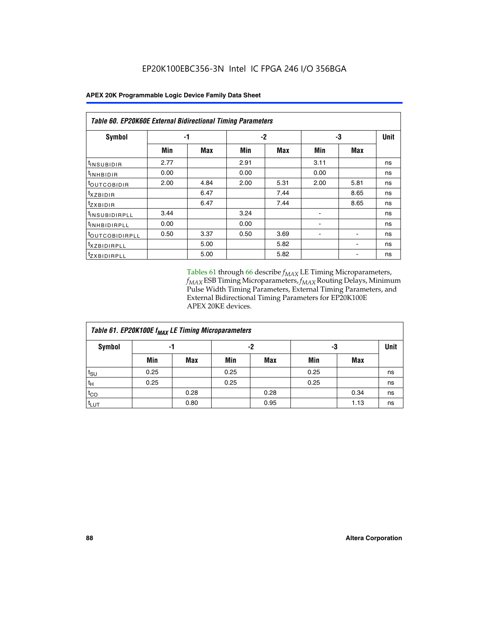| Table 60. EP20K60E External Bidirectional Timing Parameters |      |      |      |      |      |      |      |  |  |  |  |
|-------------------------------------------------------------|------|------|------|------|------|------|------|--|--|--|--|
| Symbol                                                      |      | -1   |      | $-2$ |      | -3   | Unit |  |  |  |  |
|                                                             | Min  | Max  | Min  | Max  | Min  | Max  |      |  |  |  |  |
| <sup>t</sup> INSUBIDIR                                      | 2.77 |      | 2.91 |      | 3.11 |      | ns   |  |  |  |  |
| $t_{\rm INHBIDIR}$                                          | 0.00 |      | 0.00 |      | 0.00 |      | ns   |  |  |  |  |
| <sup>t</sup> OUTCOBIDIR                                     | 2.00 | 4.84 | 2.00 | 5.31 | 2.00 | 5.81 | ns   |  |  |  |  |
| $t_{XZBIDIR}$                                               |      | 6.47 |      | 7.44 |      | 8.65 | ns   |  |  |  |  |
| <sup>t</sup> zxbidir                                        |      | 6.47 |      | 7.44 |      | 8.65 | ns   |  |  |  |  |
| <sup>t</sup> INSUBIDIRPLL                                   | 3.44 |      | 3.24 |      |      |      | ns   |  |  |  |  |
| <sup>t</sup> INHBIDIRPLL                                    | 0.00 |      | 0.00 |      | ۰.   |      | ns   |  |  |  |  |
| <sup>t</sup> OUTCOBIDIRPLL                                  | 0.50 | 3.37 | 0.50 | 3.69 |      |      | ns   |  |  |  |  |
| <sup>t</sup> xzbidirpll                                     |      | 5.00 |      | 5.82 |      |      | ns   |  |  |  |  |
| <sup>T</sup> ZXBIDIRPLL                                     |      | 5.00 |      | 5.82 |      |      | ns   |  |  |  |  |

Tables 61 through 66 describe  $f_{MAX}$  LE Timing Microparameters, *fMAX* ESB Timing Microparameters, *fMAX* Routing Delays, Minimum Pulse Width Timing Parameters, External Timing Parameters, and External Bidirectional Timing Parameters for EP20K100E APEX 20KE devices.

| Table 61. EP20K100E f <sub>MAX</sub> LE Timing Microparameters |      |      |      |            |      |             |    |  |  |  |  |
|----------------------------------------------------------------|------|------|------|------------|------|-------------|----|--|--|--|--|
| <b>Symbol</b>                                                  |      | -1   |      | -2         | -3   | <b>Unit</b> |    |  |  |  |  |
|                                                                | Min  | Max  | Min  | <b>Max</b> | Min  | <b>Max</b>  |    |  |  |  |  |
| t <sub>SU</sub>                                                | 0.25 |      | 0.25 |            | 0.25 |             | ns |  |  |  |  |
| tμ                                                             | 0.25 |      | 0.25 |            | 0.25 |             | ns |  |  |  |  |
| $t_{CO}$                                                       |      | 0.28 |      | 0.28       |      | 0.34        | ns |  |  |  |  |
| t <sub>LUT</sub>                                               |      | 0.80 |      | 0.95       |      | 1.13        | ns |  |  |  |  |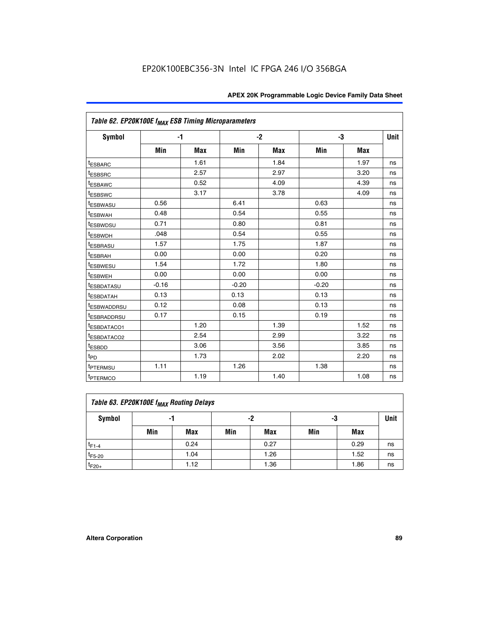|                         | Table 62. EP20K100E f <sub>MAX</sub> ESB Timing Microparameters |      |         |            |         |            |             |  |  |  |  |
|-------------------------|-----------------------------------------------------------------|------|---------|------------|---------|------------|-------------|--|--|--|--|
| Symbol                  |                                                                 | $-1$ |         | $-2$       |         | -3         | <b>Unit</b> |  |  |  |  |
|                         | Min                                                             | Max  | Min     | <b>Max</b> | Min     | <b>Max</b> |             |  |  |  |  |
| <sup>t</sup> ESBARC     |                                                                 | 1.61 |         | 1.84       |         | 1.97       | ns          |  |  |  |  |
| <sup>t</sup> ESBSRC     |                                                                 | 2.57 |         | 2.97       |         | 3.20       | ns          |  |  |  |  |
| <sup>t</sup> ESBAWC     |                                                                 | 0.52 |         | 4.09       |         | 4.39       | ns          |  |  |  |  |
| <sup>t</sup> ESBSWC     |                                                                 | 3.17 |         | 3.78       |         | 4.09       | ns          |  |  |  |  |
| <sup>t</sup> ESBWASU    | 0.56                                                            |      | 6.41    |            | 0.63    |            | ns          |  |  |  |  |
| t <sub>ESBWAH</sub>     | 0.48                                                            |      | 0.54    |            | 0.55    |            | ns          |  |  |  |  |
| <sup>t</sup> ESBWDSU    | 0.71                                                            |      | 0.80    |            | 0.81    |            | ns          |  |  |  |  |
| <sup>t</sup> ESBWDH     | .048                                                            |      | 0.54    |            | 0.55    |            | ns          |  |  |  |  |
| <sup>t</sup> ESBRASU    | 1.57                                                            |      | 1.75    |            | 1.87    |            | ns          |  |  |  |  |
| <sup>t</sup> ESBRAH     | 0.00                                                            |      | 0.00    |            | 0.20    |            | ns          |  |  |  |  |
| <sup>t</sup> ESBWESU    | 1.54                                                            |      | 1.72    |            | 1.80    |            | ns          |  |  |  |  |
| <sup>I</sup> ESBWEH     | 0.00                                                            |      | 0.00    |            | 0.00    |            | ns          |  |  |  |  |
| <sup>t</sup> ESBDATASU  | $-0.16$                                                         |      | $-0.20$ |            | $-0.20$ |            | ns          |  |  |  |  |
| <sup>t</sup> ESBDATAH   | 0.13                                                            |      | 0.13    |            | 0.13    |            | ns          |  |  |  |  |
| <sup>t</sup> ESBWADDRSU | 0.12                                                            |      | 0.08    |            | 0.13    |            | ns          |  |  |  |  |
| <sup>I</sup> ESBRADDRSU | 0.17                                                            |      | 0.15    |            | 0.19    |            | ns          |  |  |  |  |
| <sup>I</sup> ESBDATACO1 |                                                                 | 1.20 |         | 1.39       |         | 1.52       | ns          |  |  |  |  |
| <sup>t</sup> ESBDATACO2 |                                                                 | 2.54 |         | 2.99       |         | 3.22       | ns          |  |  |  |  |
| <sup>t</sup> ESBDD      |                                                                 | 3.06 |         | 3.56       |         | 3.85       | ns          |  |  |  |  |
| t <sub>PD</sub>         |                                                                 | 1.73 |         | 2.02       |         | 2.20       | ns          |  |  |  |  |
| <sup>I</sup> PTERMSU    | 1.11                                                            |      | 1.26    |            | 1.38    |            | ns          |  |  |  |  |
| t <sub>PTERMCO</sub>    |                                                                 | 1.19 |         | 1.40       |         | 1.08       | ns          |  |  |  |  |

| Table 63. EP20K100E f <sub>MAX</sub> Routing Delays |                |      |     |      |     |      |    |  |  |  |
|-----------------------------------------------------|----------------|------|-----|------|-----|------|----|--|--|--|
| Symbol                                              | -2<br>-3<br>-1 |      |     |      |     |      |    |  |  |  |
|                                                     | Min            | Max  | Min | Max  | Min | Max  |    |  |  |  |
| $t_{F1-4}$                                          |                | 0.24 |     | 0.27 |     | 0.29 | ns |  |  |  |
| $t_{F5-20}$                                         |                | 1.04 |     | 1.26 |     | 1.52 | ns |  |  |  |
| $t_{F20+}$                                          |                | 1.12 |     | 1.36 |     | 1.86 | ns |  |  |  |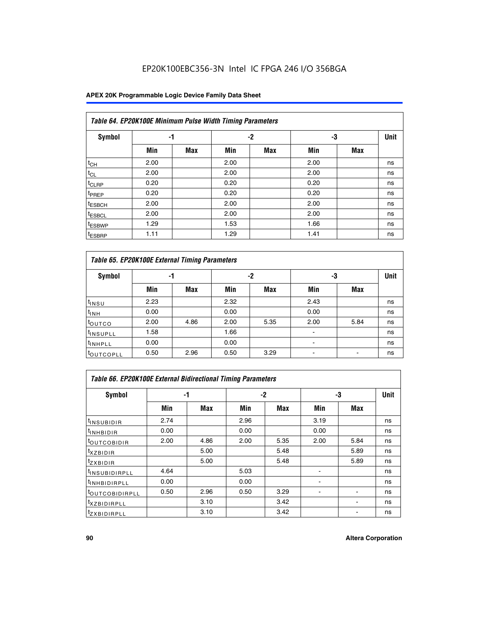## EP20K100EBC356-3N Intel IC FPGA 246 I/O 356BGA

### **APEX 20K Programmable Logic Device Family Data Sheet**

|                    | Table 64. EP20K100E Minimum Pulse Width Timing Parameters |            |      |            |      |            |             |  |  |  |  |  |
|--------------------|-----------------------------------------------------------|------------|------|------------|------|------------|-------------|--|--|--|--|--|
| <b>Symbol</b>      | -1                                                        |            |      | -2         | -3   |            | <b>Unit</b> |  |  |  |  |  |
|                    | Min                                                       | <b>Max</b> | Min  | <b>Max</b> | Min  | <b>Max</b> |             |  |  |  |  |  |
| $t_{CH}$           | 2.00                                                      |            | 2.00 |            | 2.00 |            | ns          |  |  |  |  |  |
| $t_{CL}$           | 2.00                                                      |            | 2.00 |            | 2.00 |            | ns          |  |  |  |  |  |
| $t_{CLRP}$         | 0.20                                                      |            | 0.20 |            | 0.20 |            | ns          |  |  |  |  |  |
| <sup>t</sup> PREP  | 0.20                                                      |            | 0.20 |            | 0.20 |            | ns          |  |  |  |  |  |
| <sup>t</sup> ESBCH | 2.00                                                      |            | 2.00 |            | 2.00 |            | ns          |  |  |  |  |  |
| <sup>t</sup> ESBCL | 2.00                                                      |            | 2.00 |            | 2.00 |            | ns          |  |  |  |  |  |
| <sup>t</sup> ESBWP | 1.29                                                      |            | 1.53 |            | 1.66 |            | ns          |  |  |  |  |  |
| <sup>t</sup> ESBRP | 1.11                                                      |            | 1.29 |            | 1.41 |            | ns          |  |  |  |  |  |

|                      | Table 65. EP20K100E External Timing Parameters |            |      |            |                |            |    |  |  |  |  |  |
|----------------------|------------------------------------------------|------------|------|------------|----------------|------------|----|--|--|--|--|--|
| <b>Symbol</b>        | -1                                             |            |      | -2         |                | -3         |    |  |  |  |  |  |
|                      | Min                                            | <b>Max</b> | Min  | <b>Max</b> | Min            | <b>Max</b> |    |  |  |  |  |  |
| $t_{INSU}$           | 2.23                                           |            | 2.32 |            | 2.43           |            | ns |  |  |  |  |  |
| $t_{\rm INH}$        | 0.00                                           |            | 0.00 |            | 0.00           |            | ns |  |  |  |  |  |
| toutco               | 2.00                                           | 4.86       | 2.00 | 5.35       | 2.00           | 5.84       | ns |  |  |  |  |  |
| <sup>t</sup> INSUPLL | 1.58                                           |            | 1.66 |            |                |            | ns |  |  |  |  |  |
| <sup>t</sup> INHPLL  | 0.00                                           |            | 0.00 |            | $\blacksquare$ |            | ns |  |  |  |  |  |
| <b>LOUTCOPLL</b>     | 0.50                                           | 2.96       | 0.50 | 3.29       | -              |            | ns |  |  |  |  |  |

| Table 66. EP20K100E External Bidirectional Timing Parameters |      |      |      |      |      |            |    |  |  |  |
|--------------------------------------------------------------|------|------|------|------|------|------------|----|--|--|--|
| Symbol                                                       |      | -1   |      | $-2$ |      | -3         |    |  |  |  |
|                                                              | Min  | Max  | Min  | Max  | Min  | <b>Max</b> |    |  |  |  |
| <sup>t</sup> INSUBIDIR                                       | 2.74 |      | 2.96 |      | 3.19 |            | ns |  |  |  |
| <b>TINHBIDIR</b>                                             | 0.00 |      | 0.00 |      | 0.00 |            | ns |  |  |  |
| <b>LOUTCOBIDIR</b>                                           | 2.00 | 4.86 | 2.00 | 5.35 | 2.00 | 5.84       | ns |  |  |  |
| <sup>T</sup> XZBIDIR                                         |      | 5.00 |      | 5.48 |      | 5.89       | ns |  |  |  |
| $I_{Z}$ XBIDIR                                               |      | 5.00 |      | 5.48 |      | 5.89       | ns |  |  |  |
| <sup>t</sup> INSUBIDIRPLL                                    | 4.64 |      | 5.03 |      |      |            | ns |  |  |  |
| <sup>I</sup> INHBIDIRPLL                                     | 0.00 |      | 0.00 |      |      |            | ns |  |  |  |
| <b><i>COUTCOBIDIRPLL</i></b>                                 | 0.50 | 2.96 | 0.50 | 3.29 |      |            | ns |  |  |  |
| <sup>I</sup> XZBIDIRPLL                                      |      | 3.10 |      | 3.42 |      |            | ns |  |  |  |
| <sup>I</sup> ZXBIDIRPLL                                      |      | 3.10 |      | 3.42 |      |            | ns |  |  |  |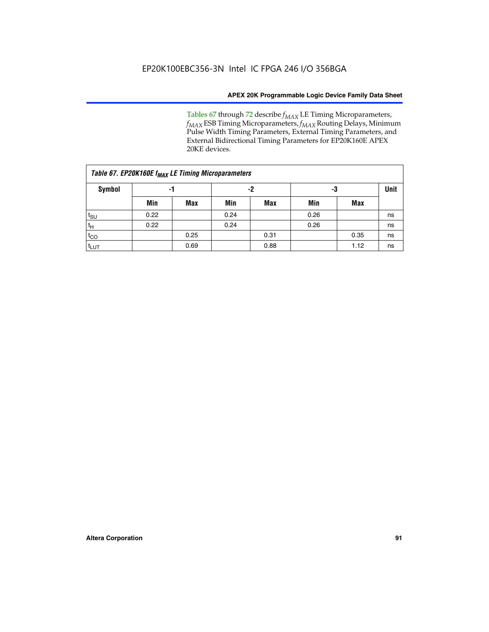Tables 67 through 72 describe *f<sub>MAX</sub>* LE Timing Microparameters, *f<sub>MAX</sub>* ESB Timing Microparameters, *f<sub>MAX</sub>* Routing Delays, Minimum Pulse Width Timing Parameters, External Timing Parameters, and External Bidirectional Timing Parameters for EP20K160E APEX 20KE devices.

| Table 67. EP20K160E f <sub>MAX</sub> LE Timing Microparameters |      |            |      |            |      |      |    |  |  |  |  |
|----------------------------------------------------------------|------|------------|------|------------|------|------|----|--|--|--|--|
| Symbol                                                         | -1   |            |      | -2         |      | -3   |    |  |  |  |  |
|                                                                | Min  | <b>Max</b> | Min  | <b>Max</b> | Min  | Max  |    |  |  |  |  |
| $t_{\text{SU}}$                                                | 0.22 |            | 0.24 |            | 0.26 |      | ns |  |  |  |  |
| $t_H$                                                          | 0.22 |            | 0.24 |            | 0.26 |      | ns |  |  |  |  |
| $t_{CO}$                                                       |      | 0.25       |      | 0.31       |      | 0.35 | ns |  |  |  |  |
| t <sub>lut</sub>                                               |      | 0.69       |      | 0.88       |      | 1.12 | ns |  |  |  |  |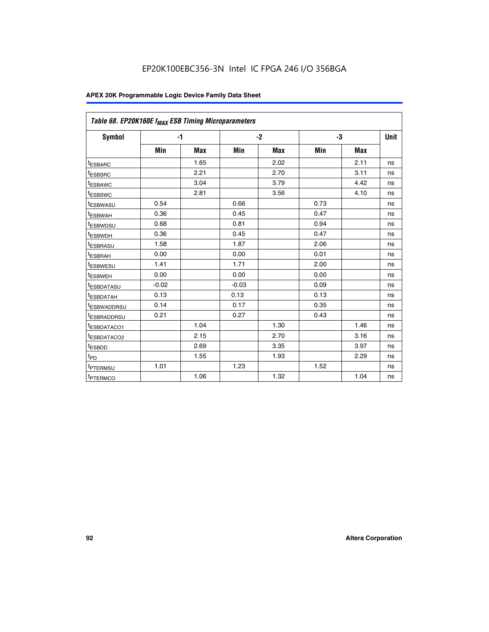| Table 68. EP20K160E f <sub>MAX</sub> ESB Timing Microparameters |         |            |         |            |      |      |      |
|-----------------------------------------------------------------|---------|------------|---------|------------|------|------|------|
| <b>Symbol</b>                                                   |         | $-1$       |         | $-2$       |      | -3   | Unit |
|                                                                 | Min     | <b>Max</b> | Min     | <b>Max</b> | Min  | Max  |      |
| <sup>t</sup> ESBARC                                             |         | 1.65       |         | 2.02       |      | 2.11 | ns   |
| t <sub>ESBSRC</sub>                                             |         | 2.21       |         | 2.70       |      | 3.11 | ns   |
| <sup>t</sup> ESBAWC                                             |         | 3.04       |         | 3.79       |      | 4.42 | ns   |
| t <sub>ESBSWC</sub>                                             |         | 2.81       |         | 3.56       |      | 4.10 | ns   |
| <sup>t</sup> ESBWASU                                            | 0.54    |            | 0.66    |            | 0.73 |      | ns   |
| <sup>t</sup> ESBWAH                                             | 0.36    |            | 0.45    |            | 0.47 |      | ns   |
| t <sub>ESBWDSU</sub>                                            | 0.68    |            | 0.81    |            | 0.94 |      | ns   |
| <sup>t</sup> ESBWDH                                             | 0.36    |            | 0.45    |            | 0.47 |      | ns   |
| t <sub>ESBRASU</sub>                                            | 1.58    |            | 1.87    |            | 2.06 |      | ns   |
| <sup>t</sup> ESBRAH                                             | 0.00    |            | 0.00    |            | 0.01 |      | ns   |
| <sup>t</sup> ESBWESU                                            | 1.41    |            | 1.71    |            | 2.00 |      | ns   |
| t <sub>ESBWEH</sub>                                             | 0.00    |            | 0.00    |            | 0.00 |      | ns   |
| t <sub>ESBDATASU</sub>                                          | $-0.02$ |            | $-0.03$ |            | 0.09 |      | ns   |
| t <sub>ESBDATAH</sub>                                           | 0.13    |            | 0.13    |            | 0.13 |      | ns   |
| t <sub>ESBWADDRSU</sub>                                         | 0.14    |            | 0.17    |            | 0.35 |      | ns   |
| <sup>t</sup> ESBRADDRSU                                         | 0.21    |            | 0.27    |            | 0.43 |      | ns   |
| <sup>I</sup> ESBDATACO1                                         |         | 1.04       |         | 1.30       |      | 1.46 | ns   |
| t <sub>ESBDATACO2</sub>                                         |         | 2.15       |         | 2.70       |      | 3.16 | ns   |
| <sup>t</sup> ESBDD                                              |         | 2.69       |         | 3.35       |      | 3.97 | ns   |
| $t_{\mathsf{PD}}$                                               |         | 1.55       |         | 1.93       |      | 2.29 | ns   |
| t <sub>PTERMSU</sub>                                            | 1.01    |            | 1.23    |            | 1.52 |      | ns   |
| t <sub>PTERMCO</sub>                                            |         | 1.06       |         | 1.32       |      | 1.04 | ns   |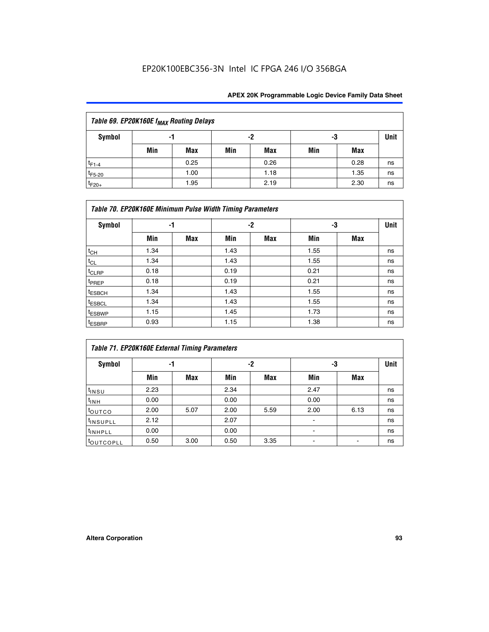## EP20K100EBC356-3N Intel IC FPGA 246 I/O 356BGA

| Table 69. EP20K160E f <sub>MAX</sub> Routing Delays |     |      |     |      |     |      |             |  |  |  |  |
|-----------------------------------------------------|-----|------|-----|------|-----|------|-------------|--|--|--|--|
| Symbol                                              | -1  |      |     | -2   | -3  |      | <b>Unit</b> |  |  |  |  |
|                                                     | Min | Max  | Min | Max  | Min | Max  |             |  |  |  |  |
| $t_{F1-4}$                                          |     | 0.25 |     | 0.26 |     | 0.28 | ns          |  |  |  |  |
| $t_{F5-20}$                                         |     | 1.00 |     | 1.18 |     | 1.35 | ns          |  |  |  |  |
| $t_{F20+}$                                          |     | 1.95 |     | 2.19 |     | 2.30 | ns          |  |  |  |  |

|                    | Table 70. EP20K160E Minimum Pulse Width Timing Parameters |     |      |      |      |     |    |  |  |  |  |  |  |
|--------------------|-----------------------------------------------------------|-----|------|------|------|-----|----|--|--|--|--|--|--|
| Symbol             |                                                           | -1  |      | $-2$ |      | -3  |    |  |  |  |  |  |  |
|                    | Min                                                       | Max | Min  | Max  | Min  | Max |    |  |  |  |  |  |  |
| $t_{CH}$           | 1.34                                                      |     | 1.43 |      | 1.55 |     | ns |  |  |  |  |  |  |
| $t_{CL}$           | 1.34                                                      |     | 1.43 |      | 1.55 |     | ns |  |  |  |  |  |  |
| $t_{CLRP}$         | 0.18                                                      |     | 0.19 |      | 0.21 |     | ns |  |  |  |  |  |  |
| t <sub>PREP</sub>  | 0.18                                                      |     | 0.19 |      | 0.21 |     | ns |  |  |  |  |  |  |
| <sup>t</sup> ESBCH | 1.34                                                      |     | 1.43 |      | 1.55 |     | ns |  |  |  |  |  |  |
| <sup>t</sup> ESBCL | 1.34                                                      |     | 1.43 |      | 1.55 |     | ns |  |  |  |  |  |  |
| <sup>t</sup> ESBWP | 1.15                                                      |     | 1.45 |      | 1.73 |     | ns |  |  |  |  |  |  |
| <sup>t</sup> ESBRP | 0.93                                                      |     | 1.15 |      | 1.38 |     | ns |  |  |  |  |  |  |

| Table 71. EP20K160E External Timing Parameters |      |      |      |      |                |      |    |  |  |  |  |
|------------------------------------------------|------|------|------|------|----------------|------|----|--|--|--|--|
| Symbol                                         | -1   |      |      | -2   | -3             | Unit |    |  |  |  |  |
|                                                | Min  | Max  | Min  | Max  | Min            | Max  |    |  |  |  |  |
| $t_{INSU}$                                     | 2.23 |      | 2.34 |      | 2.47           |      | ns |  |  |  |  |
| $t_{INH}$                                      | 0.00 |      | 0.00 |      | 0.00           |      | ns |  |  |  |  |
| toutco                                         | 2.00 | 5.07 | 2.00 | 5.59 | 2.00           | 6.13 | ns |  |  |  |  |
| <sup>t</sup> INSUPLL                           | 2.12 |      | 2.07 |      | $\blacksquare$ |      | ns |  |  |  |  |
| <sup>t</sup> INHPLL                            | 0.00 |      | 0.00 |      | ۰              |      | ns |  |  |  |  |
| toutcopll                                      | 0.50 | 3.00 | 0.50 | 3.35 |                |      | ns |  |  |  |  |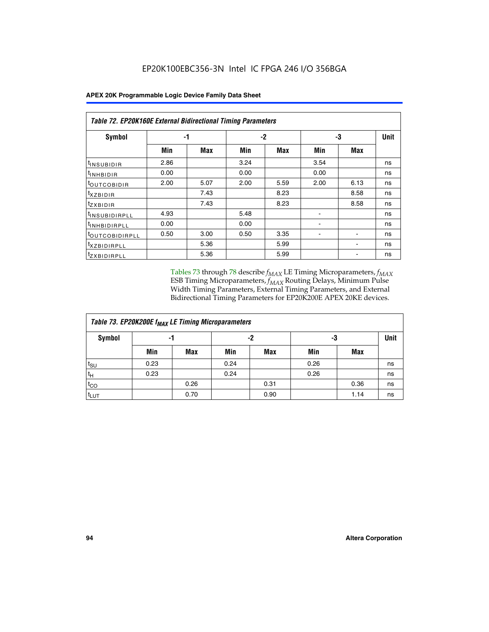|  | <b>APEX 20K Programmable Logic Device Family Data Sheet</b> |
|--|-------------------------------------------------------------|
|--|-------------------------------------------------------------|

|                                | Table 72. EP20K160E External Bidirectional Timing Parameters |      |      |      |                          |                          |    |  |  |  |  |
|--------------------------------|--------------------------------------------------------------|------|------|------|--------------------------|--------------------------|----|--|--|--|--|
| Symbol                         |                                                              | -1   |      | $-2$ |                          | -3                       |    |  |  |  |  |
|                                | Min                                                          | Max  | Min  | Max  | Min                      | Max                      |    |  |  |  |  |
| <sup>t</sup> INSUB <u>IDIR</u> | 2.86                                                         |      | 3.24 |      | 3.54                     |                          | ns |  |  |  |  |
| <b>UNHBIDIR</b>                | 0.00                                                         |      | 0.00 |      | 0.00                     |                          | ns |  |  |  |  |
| <b>LOUTCOBIDIR</b>             | 2.00                                                         | 5.07 | 2.00 | 5.59 | 2.00                     | 6.13                     | ns |  |  |  |  |
| KZBIDIR                        |                                                              | 7.43 |      | 8.23 |                          | 8.58                     | ns |  |  |  |  |
| <sup>t</sup> zxbidir           |                                                              | 7.43 |      | 8.23 |                          | 8.58                     | ns |  |  |  |  |
| <sup>t</sup> INSUBIDIRPLL      | 4.93                                                         |      | 5.48 |      |                          |                          | ns |  |  |  |  |
| <sup>t</sup> INHBIDIRPLL       | 0.00                                                         |      | 0.00 |      | ۰                        |                          | ns |  |  |  |  |
| <b><i>LOUTCOBIDIRPLL</i></b>   | 0.50                                                         | 3.00 | 0.50 | 3.35 | $\overline{\phantom{0}}$ | $\overline{\phantom{0}}$ | ns |  |  |  |  |
| <sup>T</sup> XZBIDIRPLL        |                                                              | 5.36 |      | 5.99 |                          |                          | ns |  |  |  |  |
| <sup>I</sup> ZXBIDIRPLL        |                                                              | 5.36 |      | 5.99 |                          |                          | ns |  |  |  |  |

Tables 73 through 78 describe  $f_{MAX}$  LE Timing Microparameters,  $f_{MAX}$ ESB Timing Microparameters, *f<sub>MAX</sub>* Routing Delays, Minimum Pulse Width Timing Parameters, External Timing Parameters, and External Bidirectional Timing Parameters for EP20K200E APEX 20KE devices.

| Table 73. EP20K200E f <sub>MAX</sub> LE Timing Microparameters |      |      |      |            |      |             |    |  |  |  |  |
|----------------------------------------------------------------|------|------|------|------------|------|-------------|----|--|--|--|--|
| <b>Symbol</b><br>-1                                            |      |      |      | -2         | -3   | <b>Unit</b> |    |  |  |  |  |
|                                                                | Min  | Max  | Min  | <b>Max</b> | Min  | Max         |    |  |  |  |  |
| $t_{\text{SU}}$                                                | 0.23 |      | 0.24 |            | 0.26 |             | ns |  |  |  |  |
| $t_H$                                                          | 0.23 |      | 0.24 |            | 0.26 |             | ns |  |  |  |  |
| $t_{CO}$                                                       |      | 0.26 |      | 0.31       |      | 0.36        | ns |  |  |  |  |
| t <sub>LUT</sub>                                               |      | 0.70 |      | 0.90       |      | 1.14        | ns |  |  |  |  |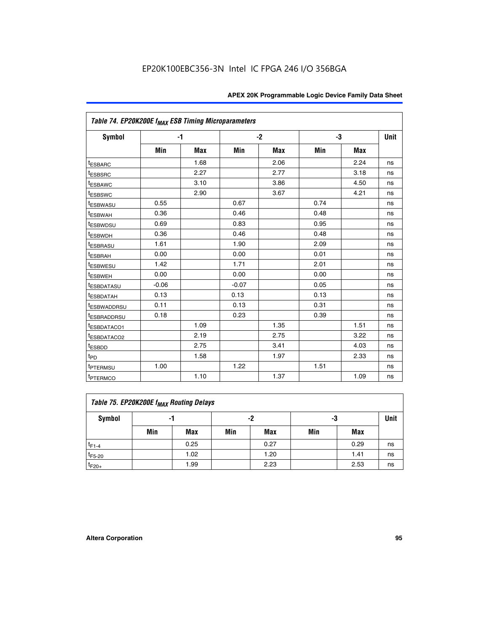|                                     | Table 74. EP20K200E f <sub>MAX</sub> ESB Timing Microparameters |            |         |      |      |      |             |  |  |  |  |  |
|-------------------------------------|-----------------------------------------------------------------|------------|---------|------|------|------|-------------|--|--|--|--|--|
| Symbol                              |                                                                 | $-1$       |         | $-2$ |      | -3   | <b>Unit</b> |  |  |  |  |  |
|                                     | Min                                                             | <b>Max</b> | Min     | Max  | Min  | Max  |             |  |  |  |  |  |
| <sup>t</sup> ESBARC                 |                                                                 | 1.68       |         | 2.06 |      | 2.24 | ns          |  |  |  |  |  |
| <sup>t</sup> ESBSRC                 |                                                                 | 2.27       |         | 2.77 |      | 3.18 | ns          |  |  |  |  |  |
| t <sub>ESBAWC</sub>                 |                                                                 | 3.10       |         | 3.86 |      | 4.50 | ns          |  |  |  |  |  |
| <sup>t</sup> ESBSWC                 |                                                                 | 2.90       |         | 3.67 |      | 4.21 | ns          |  |  |  |  |  |
| t <sub>ESBWASU</sub>                | 0.55                                                            |            | 0.67    |      | 0.74 |      | ns          |  |  |  |  |  |
| <sup>t</sup> ESBWAH                 | 0.36                                                            |            | 0.46    |      | 0.48 |      | ns          |  |  |  |  |  |
| <sup>t</sup> ESBWDSU                | 0.69                                                            |            | 0.83    |      | 0.95 |      | ns          |  |  |  |  |  |
| <sup>t</sup> ESBWDH                 | 0.36                                                            |            | 0.46    |      | 0.48 |      | ns          |  |  |  |  |  |
| <sup>t</sup> ESBRASU                | 1.61                                                            |            | 1.90    |      | 2.09 |      | ns          |  |  |  |  |  |
| t <sub>ESBRAH</sub>                 | 0.00                                                            |            | 0.00    |      | 0.01 |      | ns          |  |  |  |  |  |
| t <sub>ESBWESU</sub>                | 1.42                                                            |            | 1.71    |      | 2.01 |      | ns          |  |  |  |  |  |
| <sup>I</sup> ESBWEH                 | 0.00                                                            |            | 0.00    |      | 0.00 |      | ns          |  |  |  |  |  |
| t <sub>ESBDATASU</sub>              | $-0.06$                                                         |            | $-0.07$ |      | 0.05 |      | ns          |  |  |  |  |  |
| <b>ESBDATAH</b>                     | 0.13                                                            |            | 0.13    |      | 0.13 |      | ns          |  |  |  |  |  |
| t <sub>ESBWADDRSU</sub>             | 0.11                                                            |            | 0.13    |      | 0.31 |      | ns          |  |  |  |  |  |
| <sup>t</sup> ESBRADDRSU             | 0.18                                                            |            | 0.23    |      | 0.39 |      | ns          |  |  |  |  |  |
| ESBDATACO1                          |                                                                 | 1.09       |         | 1.35 |      | 1.51 | ns          |  |  |  |  |  |
| <sup>t</sup> ESBDATACO <sub>2</sub> |                                                                 | 2.19       |         | 2.75 |      | 3.22 | ns          |  |  |  |  |  |
| t <sub>ESBDD</sub>                  |                                                                 | 2.75       |         | 3.41 |      | 4.03 | ns          |  |  |  |  |  |
| $t_{PD}$                            |                                                                 | 1.58       |         | 1.97 |      | 2.33 | ns          |  |  |  |  |  |
| <sup>t</sup> PTERMSU                | 1.00                                                            |            | 1.22    |      | 1.51 |      | ns          |  |  |  |  |  |
| t <sub>PTERMCO</sub>                |                                                                 | 1.10       |         | 1.37 |      | 1.09 | ns          |  |  |  |  |  |

| Table 75. EP20K200E f <sub>MAX</sub> Routing Delays |     |      |     |      |     |      |             |  |  |  |  |
|-----------------------------------------------------|-----|------|-----|------|-----|------|-------------|--|--|--|--|
| Symbol                                              | -1  |      |     | -2   | -3  |      | <b>Unit</b> |  |  |  |  |
|                                                     | Min | Max  | Min | Max  | Min | Max  |             |  |  |  |  |
| $t_{F1-4}$                                          |     | 0.25 |     | 0.27 |     | 0.29 | ns          |  |  |  |  |
| $t_{F5-20}$                                         |     | 1.02 |     | 1.20 |     | 1.41 | ns          |  |  |  |  |
| $t_{F20+}$                                          |     | 1.99 |     | 2.23 |     | 2.53 | ns          |  |  |  |  |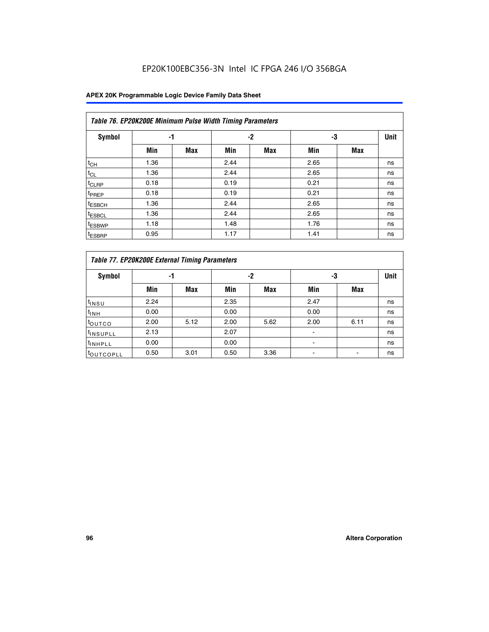## EP20K100EBC356-3N Intel IC FPGA 246 I/O 356BGA

| Table 76. EP20K200E Minimum Pulse Width Timing Parameters |      |            |      |            |      |            |             |  |  |  |  |
|-----------------------------------------------------------|------|------------|------|------------|------|------------|-------------|--|--|--|--|
| <b>Symbol</b>                                             | -1   |            |      | $-2$       | -3   |            | <b>Unit</b> |  |  |  |  |
|                                                           | Min  | <b>Max</b> | Min  | <b>Max</b> | Min  | <b>Max</b> |             |  |  |  |  |
| $t_{CH}$                                                  | 1.36 |            | 2.44 |            | 2.65 |            | ns          |  |  |  |  |
| $t_{CL}$                                                  | 1.36 |            | 2.44 |            | 2.65 |            | ns          |  |  |  |  |
| $t_{CLRP}$                                                | 0.18 |            | 0.19 |            | 0.21 |            | ns          |  |  |  |  |
| t <sub>PREP</sub>                                         | 0.18 |            | 0.19 |            | 0.21 |            | ns          |  |  |  |  |
| <sup>t</sup> ESBCH                                        | 1.36 |            | 2.44 |            | 2.65 |            | ns          |  |  |  |  |
| <sup>t</sup> ESBCL                                        | 1.36 |            | 2.44 |            | 2.65 |            | ns          |  |  |  |  |
| t <sub>ESBWP</sub>                                        | 1.18 |            | 1.48 |            | 1.76 |            | ns          |  |  |  |  |
| <sup>t</sup> ESBRP                                        | 0.95 |            | 1.17 |            | 1.41 |            | ns          |  |  |  |  |

|                       | Table 77. EP20K200E External Timing Parameters |            |      |            |      |      |    |  |  |  |  |  |
|-----------------------|------------------------------------------------|------------|------|------------|------|------|----|--|--|--|--|--|
| <b>Symbol</b>         |                                                | -1         |      | -2         |      | -3   |    |  |  |  |  |  |
|                       | Min                                            | <b>Max</b> | Min  | <b>Max</b> | Min  | Max  |    |  |  |  |  |  |
| t <sub>INSU</sub>     | 2.24                                           |            | 2.35 |            | 2.47 |      | ns |  |  |  |  |  |
| $t_{\text{INH}}$      | 0.00                                           |            | 0.00 |            | 0.00 |      | ns |  |  |  |  |  |
| toutco                | 2.00                                           | 5.12       | 2.00 | 5.62       | 2.00 | 6.11 | ns |  |  |  |  |  |
| <sup>t</sup> INSUPLL  | 2.13                                           |            | 2.07 |            |      |      | ns |  |  |  |  |  |
| <sup>t</sup> INHPLL   | 0.00                                           |            | 0.00 |            | -    |      | ns |  |  |  |  |  |
| <sup>I</sup> OUTCOPLL | 0.50                                           | 3.01       | 0.50 | 3.36       |      |      | ns |  |  |  |  |  |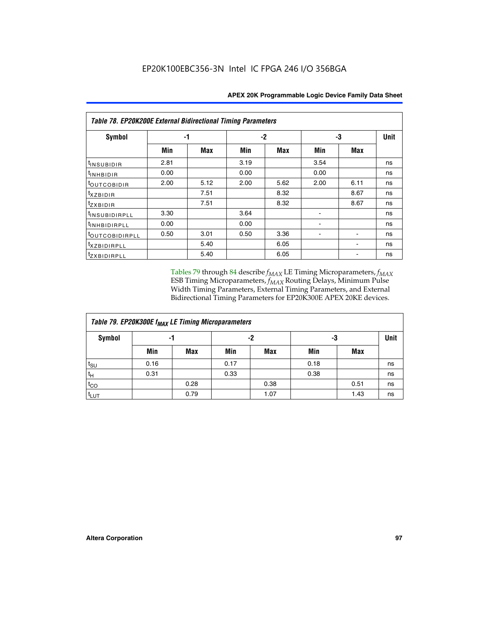| Table 78. EP20K200E External Bidirectional Timing Parameters |      |      |      |      |      |             |    |  |  |  |  |
|--------------------------------------------------------------|------|------|------|------|------|-------------|----|--|--|--|--|
| Symbol                                                       | -1   |      | $-2$ |      | -3   | <b>Unit</b> |    |  |  |  |  |
|                                                              | Min  | Max  | Min  | Max  | Min  | Max         |    |  |  |  |  |
| $t_{INSUBIDIR}$                                              | 2.81 |      | 3.19 |      | 3.54 |             | ns |  |  |  |  |
| $t_{INHBIDIR}$                                               | 0.00 |      | 0.00 |      | 0.00 |             | ns |  |  |  |  |
| t <sub>OUTCOBIDIR</sub>                                      | 2.00 | 5.12 | 2.00 | 5.62 | 2.00 | 6.11        | ns |  |  |  |  |
| <i>txzbidir</i>                                              |      | 7.51 |      | 8.32 |      | 8.67        | ns |  |  |  |  |
| tzxbidir                                                     |      | 7.51 |      | 8.32 |      | 8.67        | ns |  |  |  |  |
| <sup>t</sup> INSUBIDIRPLL                                    | 3.30 |      | 3.64 |      |      |             | ns |  |  |  |  |
| t <sub>INHBIDIRPLL</sub>                                     | 0.00 |      | 0.00 |      |      |             | ns |  |  |  |  |
| <sup>t</sup> OUTCOBIDIRPLL                                   | 0.50 | 3.01 | 0.50 | 3.36 |      |             | ns |  |  |  |  |
| <i>txzBIDIRPLL</i>                                           |      | 5.40 |      | 6.05 |      |             | ns |  |  |  |  |
| tzxBIDIRPLL                                                  |      | 5.40 |      | 6.05 |      |             | ns |  |  |  |  |

Tables 79 through 84 describe  $f_{MAX}$  LE Timing Microparameters,  $f_{MAX}$ ESB Timing Microparameters, *f<sub>MAX</sub>* Routing Delays, Minimum Pulse Width Timing Parameters, External Timing Parameters, and External Bidirectional Timing Parameters for EP20K300E APEX 20KE devices.

| Table 79. EP20K300E f <sub>MAX</sub> LE Timing Microparameters |      |      |      |            |      |            |    |  |  |  |
|----------------------------------------------------------------|------|------|------|------------|------|------------|----|--|--|--|
| <b>Symbol</b>                                                  |      | -1   |      | -2         |      | -3         |    |  |  |  |
|                                                                | Min  | Max  | Min  | <b>Max</b> | Min  | <b>Max</b> |    |  |  |  |
| $t_{\text{SU}}$                                                | 0.16 |      | 0.17 |            | 0.18 |            | ns |  |  |  |
| $t_H$                                                          | 0.31 |      | 0.33 |            | 0.38 |            | ns |  |  |  |
| $t_{CO}$                                                       |      | 0.28 |      | 0.38       |      | 0.51       | ns |  |  |  |
| $t_{LUT}$                                                      |      | 0.79 |      | 1.07       |      | 1.43       | ns |  |  |  |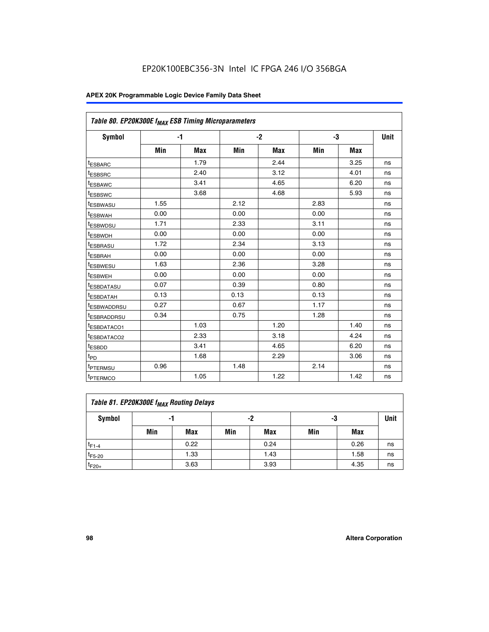| Table 80. EP20K300E f <sub>MAX</sub> ESB Timing Microparameters |      |      |      |      |      |      |             |
|-----------------------------------------------------------------|------|------|------|------|------|------|-------------|
| Symbol                                                          |      | $-1$ |      | $-2$ |      | -3   | <b>Unit</b> |
|                                                                 | Min  | Max  | Min  | Max  | Min  | Max  |             |
| t <sub>ESBARC</sub>                                             |      | 1.79 |      | 2.44 |      | 3.25 | ns          |
| t <sub>ESBSRC</sub>                                             |      | 2.40 |      | 3.12 |      | 4.01 | ns          |
| t <sub>ESBAWC</sub>                                             |      | 3.41 |      | 4.65 |      | 6.20 | ns          |
| t <sub>ESBSWC</sub>                                             |      | 3.68 |      | 4.68 |      | 5.93 | ns          |
| <sup>t</sup> ESBWASU                                            | 1.55 |      | 2.12 |      | 2.83 |      | ns          |
| t <sub>ESBWAH</sub>                                             | 0.00 |      | 0.00 |      | 0.00 |      | ns          |
| <sup>I</sup> ESBWDSU                                            | 1.71 |      | 2.33 |      | 3.11 |      | ns          |
| <sup>t</sup> ESBWDH                                             | 0.00 |      | 0.00 |      | 0.00 |      | ns          |
| <sup>t</sup> ESBRASU                                            | 1.72 |      | 2.34 |      | 3.13 |      | ns          |
| <sup>t</sup> ESBRAH                                             | 0.00 |      | 0.00 |      | 0.00 |      | ns          |
| <sup>t</sup> ESBWESU                                            | 1.63 |      | 2.36 |      | 3.28 |      | ns          |
| t <sub>ESBWEH</sub>                                             | 0.00 |      | 0.00 |      | 0.00 |      | ns          |
| t <sub>ESBDATASU</sub>                                          | 0.07 |      | 0.39 |      | 0.80 |      | ns          |
| <sup>t</sup> ESBDATAH                                           | 0.13 |      | 0.13 |      | 0.13 |      | ns          |
| <sup>t</sup> ESBWADDRSU                                         | 0.27 |      | 0.67 |      | 1.17 |      | ns          |
| <sup>t</sup> ESBRADDRSU                                         | 0.34 |      | 0.75 |      | 1.28 |      | ns          |
| <sup>I</sup> ESBDATACO1                                         |      | 1.03 |      | 1.20 |      | 1.40 | ns          |
| t <sub>ESBDATACO2</sub>                                         |      | 2.33 |      | 3.18 |      | 4.24 | ns          |
| <sup>t</sup> ESBDD                                              |      | 3.41 |      | 4.65 |      | 6.20 | ns          |
| t <sub>PD</sub>                                                 |      | 1.68 |      | 2.29 |      | 3.06 | ns          |
| t <sub>PTERMSU</sub>                                            | 0.96 |      | 1.48 |      | 2.14 |      | ns          |
| t <sub>PTERMCO</sub>                                            |      | 1.05 |      | 1.22 |      | 1.42 | ns          |

| Table 81. EP20K300E f <sub>MAX</sub> Routing Delays |     |      |     |            |     |      |    |  |  |  |
|-----------------------------------------------------|-----|------|-----|------------|-----|------|----|--|--|--|
| Symbol                                              |     | -1   |     | -2         |     | -3   |    |  |  |  |
|                                                     | Min | Max  | Min | <b>Max</b> | Min | Max  |    |  |  |  |
| $t_{F1-4}$                                          |     | 0.22 |     | 0.24       |     | 0.26 | ns |  |  |  |
| $t_{F5-20}$                                         |     | 1.33 |     | 1.43       |     | 1.58 | ns |  |  |  |
| $t_{F20+}$                                          |     | 3.63 |     | 3.93       |     | 4.35 | ns |  |  |  |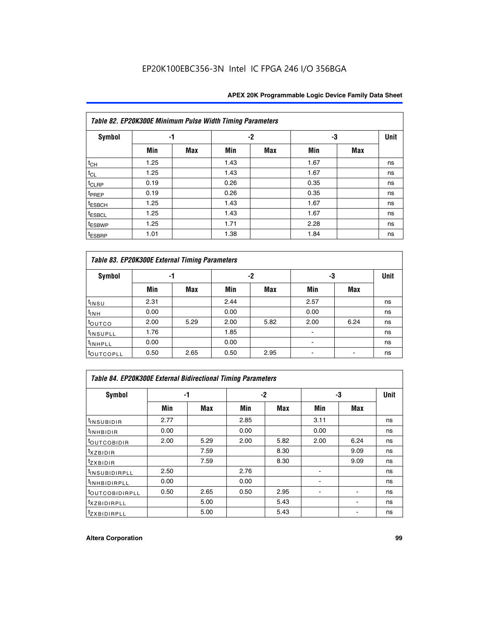|                    | Table 82. EP20K300E Minimum Pulse Width Timing Parameters |            |      |      |      |     |             |  |  |  |  |
|--------------------|-----------------------------------------------------------|------------|------|------|------|-----|-------------|--|--|--|--|
| <b>Symbol</b>      | -1                                                        |            |      | $-2$ |      |     | <b>Unit</b> |  |  |  |  |
|                    | Min                                                       | <b>Max</b> | Min  | Max  | Min  | Max |             |  |  |  |  |
| $t_{CH}$           | 1.25                                                      |            | 1.43 |      | 1.67 |     | ns          |  |  |  |  |
| $t_{CL}$           | 1.25                                                      |            | 1.43 |      | 1.67 |     | ns          |  |  |  |  |
| t <sub>CLRP</sub>  | 0.19                                                      |            | 0.26 |      | 0.35 |     | ns          |  |  |  |  |
| t <sub>PREP</sub>  | 0.19                                                      |            | 0.26 |      | 0.35 |     | ns          |  |  |  |  |
| t <sub>ESBCH</sub> | 1.25                                                      |            | 1.43 |      | 1.67 |     | ns          |  |  |  |  |
| <sup>t</sup> ESBCL | 1.25                                                      |            | 1.43 |      | 1.67 |     | ns          |  |  |  |  |
| <sup>t</sup> ESBWP | 1.25                                                      |            | 1.71 |      | 2.28 |     | ns          |  |  |  |  |
| <sup>t</sup> ESBRP | 1.01                                                      |            | 1.38 |      | 1.84 |     | ns          |  |  |  |  |

|                       | Table 83. EP20K300E External Timing Parameters |      |      |      |      |            |             |  |  |  |  |  |
|-----------------------|------------------------------------------------|------|------|------|------|------------|-------------|--|--|--|--|--|
| Symbol                |                                                | -1   |      | -2   |      | -3         | <b>Unit</b> |  |  |  |  |  |
|                       | Min                                            | Max  | Min  | Max  | Min  | <b>Max</b> |             |  |  |  |  |  |
| t <sub>INSU</sub>     | 2.31                                           |      | 2.44 |      | 2.57 |            | ns          |  |  |  |  |  |
| $t_{INH}$             | 0.00                                           |      | 0.00 |      | 0.00 |            | ns          |  |  |  |  |  |
| toutco                | 2.00                                           | 5.29 | 2.00 | 5.82 | 2.00 | 6.24       | ns          |  |  |  |  |  |
| <sup>t</sup> INSUPLL  | 1.76                                           |      | 1.85 |      |      |            | ns          |  |  |  |  |  |
| <sup>t</sup> INHPLL   | 0.00                                           |      | 0.00 |      | -    |            | ns          |  |  |  |  |  |
| <sup>t</sup> OUTCOPLL | 0.50                                           | 2.65 | 0.50 | 2.95 |      |            | ns          |  |  |  |  |  |

| Table 84. EP20K300E External Bidirectional Timing Parameters |      |      |      |      |      |             |    |  |  |  |  |
|--------------------------------------------------------------|------|------|------|------|------|-------------|----|--|--|--|--|
| Symbol                                                       |      | -1   | -2   |      | -3   | <b>Unit</b> |    |  |  |  |  |
|                                                              | Min  | Max  | Min  | Max  | Min  | Max         |    |  |  |  |  |
| <sup>t</sup> INSUBIDIR                                       | 2.77 |      | 2.85 |      | 3.11 |             | ns |  |  |  |  |
| <b>TINHBIDIR</b>                                             | 0.00 |      | 0.00 |      | 0.00 |             | ns |  |  |  |  |
| <sup>t</sup> OUTCOBIDIR                                      | 2.00 | 5.29 | 2.00 | 5.82 | 2.00 | 6.24        | ns |  |  |  |  |
| KZBIDIR                                                      |      | 7.59 |      | 8.30 |      | 9.09        | ns |  |  |  |  |
| $t_{Z}$ <i>x</i> BIDIR                                       |      | 7.59 |      | 8.30 |      | 9.09        | ns |  |  |  |  |
| <sup>I</sup> INSUBIDIRPLL                                    | 2.50 |      | 2.76 |      |      |             | ns |  |  |  |  |
| <sup>t</sup> INHBIDIRPLL                                     | 0.00 |      | 0.00 |      |      |             | ns |  |  |  |  |
| <b><i>LOUTCOBIDIRPLL</i></b>                                 | 0.50 | 2.65 | 0.50 | 2.95 |      |             | ns |  |  |  |  |
| <sup>T</sup> XZBIDIRPLL                                      |      | 5.00 |      | 5.43 |      |             | ns |  |  |  |  |
| <sup>t</sup> ZXBIDIRPLL                                      |      | 5.00 |      | 5.43 |      |             | ns |  |  |  |  |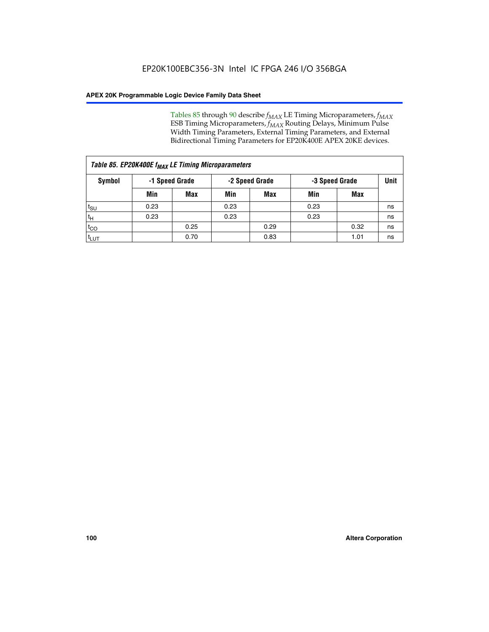Tables 85 through 90 describe  $f_{MAX}$  LE Timing Microparameters,  $f_{MAX}$ ESB Timing Microparameters, *f<sub>MAX</sub>* Routing Delays, Minimum Pulse Width Timing Parameters, External Timing Parameters, and External Bidirectional Timing Parameters for EP20K400E APEX 20KE devices.

| Table 85. EP20K400E f <sub>MAX</sub> LE Timing Microparameters |                |            |                |      |                |      |             |  |  |
|----------------------------------------------------------------|----------------|------------|----------------|------|----------------|------|-------------|--|--|
| <b>Symbol</b>                                                  | -1 Speed Grade |            | -2 Speed Grade |      | -3 Speed Grade |      | <b>Unit</b> |  |  |
|                                                                | Min            | <b>Max</b> | Min            | Max  | Min            | Max  |             |  |  |
| t <sub>SU</sub>                                                | 0.23           |            | 0.23           |      | 0.23           |      | ns          |  |  |
| tн                                                             | 0.23           |            | 0.23           |      | 0.23           |      | ns          |  |  |
| $t_{CO}$                                                       |                | 0.25       |                | 0.29 |                | 0.32 | ns          |  |  |
| <sup>t</sup> LUT                                               |                | 0.70       |                | 0.83 |                | 1.01 | ns          |  |  |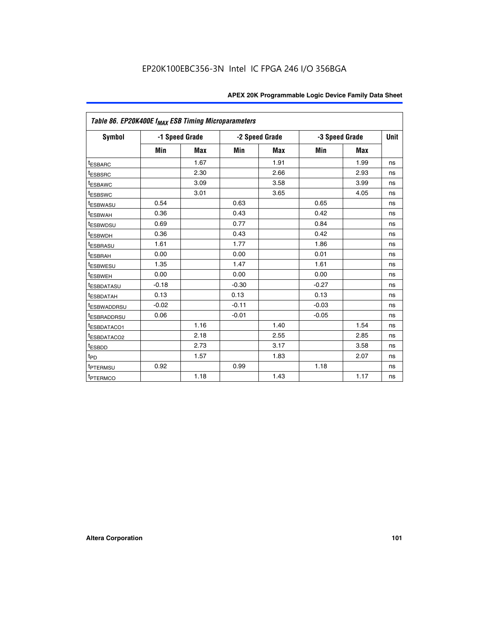| Table 86. EP20K400E f <sub>MAX</sub> ESB Timing Microparameters |         |                |         |                |                |            |             |
|-----------------------------------------------------------------|---------|----------------|---------|----------------|----------------|------------|-------------|
| <b>Symbol</b>                                                   |         | -1 Speed Grade |         | -2 Speed Grade | -3 Speed Grade |            | <b>Unit</b> |
|                                                                 | Min     | <b>Max</b>     | Min     | Max            | Min            | <b>Max</b> |             |
| <b>tESBARC</b>                                                  |         | 1.67           |         | 1.91           |                | 1.99       | ns          |
| <sup>t</sup> ESBSRC                                             |         | 2.30           |         | 2.66           |                | 2.93       | ns          |
| <sup>t</sup> ESBAWC                                             |         | 3.09           |         | 3.58           |                | 3.99       | ns          |
| <sup>t</sup> ESBSWC                                             |         | 3.01           |         | 3.65           |                | 4.05       | ns          |
| <sup>t</sup> ESBWASU                                            | 0.54    |                | 0.63    |                | 0.65           |            | ns          |
| t <sub>ESBWAH</sub>                                             | 0.36    |                | 0.43    |                | 0.42           |            | ns          |
| <sup>t</sup> ESBWDSU                                            | 0.69    |                | 0.77    |                | 0.84           |            | ns          |
| <sup>I</sup> ESBWDH                                             | 0.36    |                | 0.43    |                | 0.42           |            | ns          |
| t <sub>ESBRASU</sub>                                            | 1.61    |                | 1.77    |                | 1.86           |            | ns          |
| t <sub>ESBRAH</sub>                                             | 0.00    |                | 0.00    |                | 0.01           |            | ns          |
| <sup>t</sup> ESBWESU                                            | 1.35    |                | 1.47    |                | 1.61           |            | ns          |
| t <sub>ESBWEH</sub>                                             | 0.00    |                | 0.00    |                | 0.00           |            | ns          |
| <sup>I</sup> ESBDATASU                                          | $-0.18$ |                | $-0.30$ |                | $-0.27$        |            | ns          |
| <b>ESBDATAH</b>                                                 | 0.13    |                | 0.13    |                | 0.13           |            | ns          |
| <sup>T</sup> ESBWADDRSU                                         | $-0.02$ |                | $-0.11$ |                | $-0.03$        |            | ns          |
| <sup>T</sup> ESBRADDRSU                                         | 0.06    |                | $-0.01$ |                | $-0.05$        |            | ns          |
| <sup>t</sup> ESBDATACO1                                         |         | 1.16           |         | 1.40           |                | 1.54       | ns          |
| <sup>t</sup> ESBDATACO2                                         |         | 2.18           |         | 2.55           |                | 2.85       | ns          |
| <sup>t</sup> ESBDD                                              |         | 2.73           |         | 3.17           |                | 3.58       | ns          |
| $t_{P\underline{D}}$                                            |         | 1.57           |         | 1.83           |                | 2.07       | ns          |
| t <sub>PTERMSU</sub>                                            | 0.92    |                | 0.99    |                | 1.18           |            | ns          |
| <sup>t</sup> PTERMCO                                            |         | 1.18           |         | 1.43           |                | 1.17       | ns          |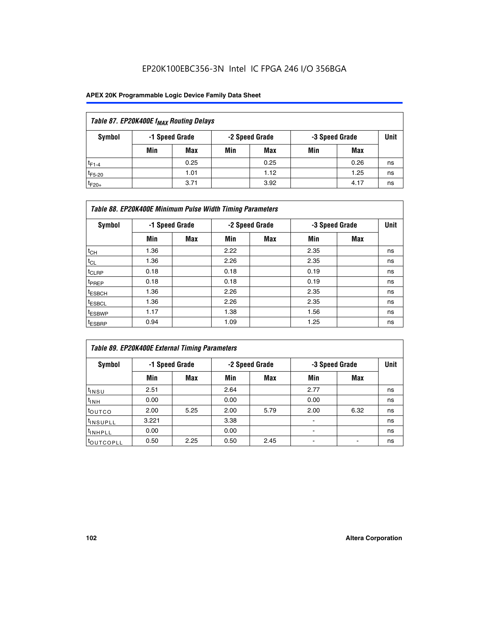## EP20K100EBC356-3N Intel IC FPGA 246 I/O 356BGA

| Table 87. EP20K400E f <sub>MAX</sub> Routing Delays |                                                    |      |     |      |     |      |    |  |  |  |
|-----------------------------------------------------|----------------------------------------------------|------|-----|------|-----|------|----|--|--|--|
| Symbol                                              | -1 Speed Grade<br>-2 Speed Grade<br>-3 Speed Grade |      |     |      |     | Unit |    |  |  |  |
|                                                     | Min                                                | Max  | Min | Max  | Min | Max  |    |  |  |  |
| $t_{F1-4}$                                          |                                                    | 0.25 |     | 0.25 |     | 0.26 | ns |  |  |  |
| $t_{F5-20}$                                         |                                                    | 1.01 |     | 1.12 |     | 1.25 | ns |  |  |  |
| $t_{F20+}$                                          |                                                    | 3.71 |     | 3.92 |     | 4.17 | ns |  |  |  |

| Table 88. EP20K400E Minimum Pulse Width Timing Parameters |      |                |      |                |      |                |      |  |  |  |
|-----------------------------------------------------------|------|----------------|------|----------------|------|----------------|------|--|--|--|
| Symbol                                                    |      | -1 Speed Grade |      | -2 Speed Grade |      | -3 Speed Grade | Unit |  |  |  |
|                                                           | Min  | <b>Max</b>     | Min  | <b>Max</b>     | Min  | Max            |      |  |  |  |
| $t_{CH}$                                                  | 1.36 |                | 2.22 |                | 2.35 |                | ns   |  |  |  |
| $t_{\rm CL}$                                              | 1.36 |                | 2.26 |                | 2.35 |                | ns   |  |  |  |
| $t_{CLRP}$                                                | 0.18 |                | 0.18 |                | 0.19 |                | ns   |  |  |  |
| <sup>t</sup> PREP                                         | 0.18 |                | 0.18 |                | 0.19 |                | ns   |  |  |  |
| t <sub>ESBCH</sub>                                        | 1.36 |                | 2.26 |                | 2.35 |                | ns   |  |  |  |
| <sup>t</sup> ESBCL                                        | 1.36 |                | 2.26 |                | 2.35 |                | ns   |  |  |  |
| <sup>t</sup> ESBWP                                        | 1.17 |                | 1.38 |                | 1.56 |                | ns   |  |  |  |
| <sup>t</sup> ESBRP                                        | 0.94 |                | 1.09 |                | 1.25 |                | ns   |  |  |  |

| Table 89. EP20K400E External Timing Parameters |                |            |                |            |      |                |    |  |  |
|------------------------------------------------|----------------|------------|----------------|------------|------|----------------|----|--|--|
| Symbol                                         | -1 Speed Grade |            | -2 Speed Grade |            |      | -3 Speed Grade |    |  |  |
|                                                | Min            | <b>Max</b> | Min            | <b>Max</b> | Min  | Max            |    |  |  |
| t <sub>INSU</sub>                              | 2.51           |            | 2.64           |            | 2.77 |                | ns |  |  |
| $t_{INH}$                                      | 0.00           |            | 0.00           |            | 0.00 |                | ns |  |  |
| <b>t</b> outco                                 | 2.00           | 5.25       | 2.00           | 5.79       | 2.00 | 6.32           | ns |  |  |
| <sup>t</sup> INSUPLL                           | 3.221          |            | 3.38           |            | -    |                | ns |  |  |
| I <sup>t</sup> INHPLL                          | 0.00           |            | 0.00           |            | -    |                | ns |  |  |
| toutcopll                                      | 0.50           | 2.25       | 0.50           | 2.45       | -    |                | ns |  |  |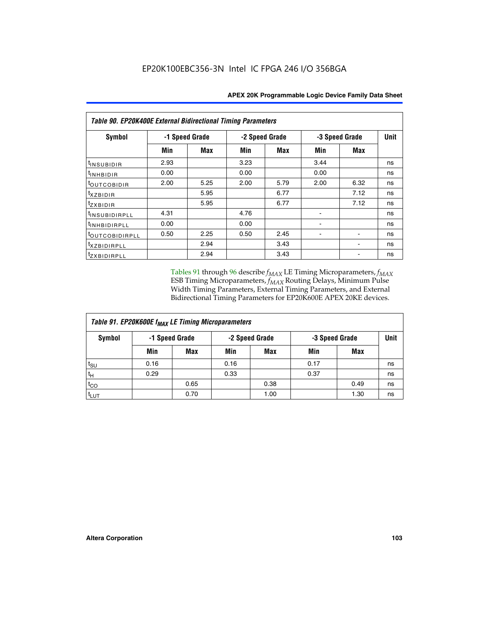| Table 90. EP20K400E External Bidirectional Timing Parameters |                |      |                |            |      |                |             |  |  |
|--------------------------------------------------------------|----------------|------|----------------|------------|------|----------------|-------------|--|--|
| Symbol                                                       | -1 Speed Grade |      | -2 Speed Grade |            |      | -3 Speed Grade | <b>Unit</b> |  |  |
|                                                              | Min            | Max  | Min            | <b>Max</b> | Min  | Max            |             |  |  |
| <sup>t</sup> INSUBIDIR                                       | 2.93           |      | 3.23           |            | 3.44 |                | ns          |  |  |
| $t_{\rm INHBIDIR}$                                           | 0.00           |      | 0.00           |            | 0.00 |                | ns          |  |  |
| toutcobidir                                                  | 2.00           | 5.25 | 2.00           | 5.79       | 2.00 | 6.32           | ns          |  |  |
| $t_{XZBIDIR}$                                                |                | 5.95 |                | 6.77       |      | 7.12           | ns          |  |  |
| tzxbidir                                                     |                | 5.95 |                | 6.77       |      | 7.12           | ns          |  |  |
| t <sub>INSUBIDIRPLL</sub>                                    | 4.31           |      | 4.76           |            |      |                | ns          |  |  |
| <sup>t</sup> INHBIDIRPLL                                     | 0.00           |      | 0.00           |            |      |                | ns          |  |  |
| <sup>t</sup> OUTCOBIDIRPLL                                   | 0.50           | 2.25 | 0.50           | 2.45       |      |                | ns          |  |  |
| <sup>t</sup> xzbidirpll                                      |                | 2.94 |                | 3.43       |      |                | ns          |  |  |
| tzxBIDIRPLL                                                  |                | 2.94 |                | 3.43       |      |                | ns          |  |  |

Tables 91 through 96 describe  $f_{MAX}$  LE Timing Microparameters,  $f_{MAX}$ ESB Timing Microparameters, *f<sub>MAX</sub>* Routing Delays, Minimum Pulse Width Timing Parameters, External Timing Parameters, and External Bidirectional Timing Parameters for EP20K600E APEX 20KE devices.

| Table 91. EP20K600E f <sub>MAX</sub> LE Timing Microparameters |                |            |      |                |      |                |    |  |  |
|----------------------------------------------------------------|----------------|------------|------|----------------|------|----------------|----|--|--|
| Symbol                                                         | -1 Speed Grade |            |      | -2 Speed Grade |      | -3 Speed Grade |    |  |  |
|                                                                | Min            | <b>Max</b> | Min  | <b>Max</b>     | Min  | Max            |    |  |  |
| t <sub>SU</sub>                                                | 0.16           |            | 0.16 |                | 0.17 |                | ns |  |  |
| $t_H$                                                          | 0.29           |            | 0.33 |                | 0.37 |                | ns |  |  |
| $t_{CO}$                                                       |                | 0.65       |      | 0.38           |      | 0.49           | ns |  |  |
| t <sub>LUT</sub>                                               |                | 0.70       |      | 1.00           |      | 1.30           | ns |  |  |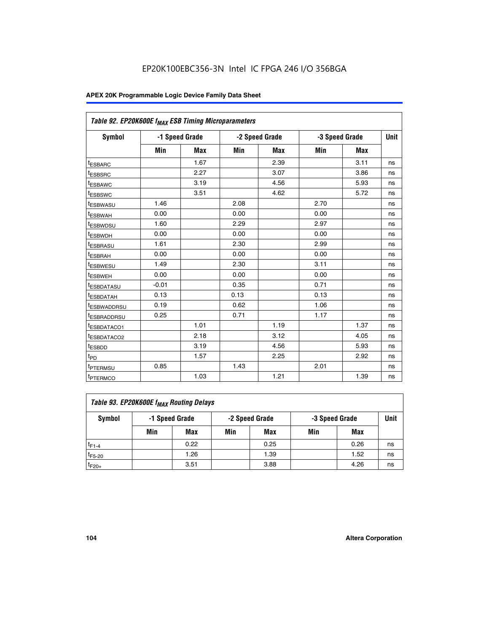| Table 92. EP20K600E f <sub>MAX</sub> ESB Timing Microparameters |         |                |      |                |                |      |             |
|-----------------------------------------------------------------|---------|----------------|------|----------------|----------------|------|-------------|
| <b>Symbol</b>                                                   |         | -1 Speed Grade |      | -2 Speed Grade | -3 Speed Grade |      | <b>Unit</b> |
|                                                                 | Min     | Max            | Min  | Max            | Min            | Max  |             |
| <sup>t</sup> ESBARC                                             |         | 1.67           |      | 2.39           |                | 3.11 | ns          |
| t <sub>ESBSRC</sub>                                             |         | 2.27           |      | 3.07           |                | 3.86 | ns          |
| <sup>t</sup> ESBAWC                                             |         | 3.19           |      | 4.56           |                | 5.93 | ns          |
| <sup>t</sup> ESBSWC                                             |         | 3.51           |      | 4.62           |                | 5.72 | ns          |
| <sup>t</sup> ESBWASU                                            | 1.46    |                | 2.08 |                | 2.70           |      | ns          |
| t <sub>ESBWAH</sub>                                             | 0.00    |                | 0.00 |                | 0.00           |      | ns          |
| t <sub>ESBWDSU</sub>                                            | 1.60    |                | 2.29 |                | 2.97           |      | ns          |
| t <sub>ESBWDH</sub>                                             | 0.00    |                | 0.00 |                | 0.00           |      | ns          |
| <sup>t</sup> ESBRASU                                            | 1.61    |                | 2.30 |                | 2.99           |      | ns          |
| <sup>t</sup> ESBRAH                                             | 0.00    |                | 0.00 |                | 0.00           |      | ns          |
| t <sub>ESBWESU</sub>                                            | 1.49    |                | 2.30 |                | 3.11           |      | ns          |
| t <sub>ESBWEH</sub>                                             | 0.00    |                | 0.00 |                | 0.00           |      | ns          |
| t <sub>ESBDATASU</sub>                                          | $-0.01$ |                | 0.35 |                | 0.71           |      | ns          |
| <sup>t</sup> ESBDATAH                                           | 0.13    |                | 0.13 |                | 0.13           |      | ns          |
| <sup>t</sup> ESBWADDRSU                                         | 0.19    |                | 0.62 |                | 1.06           |      | ns          |
| <sup>t</sup> ESBRADDRSU                                         | 0.25    |                | 0.71 |                | 1.17           |      | ns          |
| <sup>t</sup> ESBDATACO1                                         |         | 1.01           |      | 1.19           |                | 1.37 | ns          |
| <sup>t</sup> ESBDATACO2                                         |         | 2.18           |      | 3.12           |                | 4.05 | ns          |
| <sup>t</sup> ESBDD                                              |         | 3.19           |      | 4.56           |                | 5.93 | ns          |
| t <sub>PD</sub>                                                 |         | 1.57           |      | 2.25           |                | 2.92 | ns          |
| <b>TPTERMSU</b>                                                 | 0.85    |                | 1.43 |                | 2.01           |      | ns          |
| t <sub>PTERMCO</sub>                                            |         | 1.03           |      | 1.21           |                | 1.39 | ns          |

| Table 93. EP20K600E f <sub>MAX</sub> Routing Delays |                |      |     |                |                |      |      |  |  |  |
|-----------------------------------------------------|----------------|------|-----|----------------|----------------|------|------|--|--|--|
| Symbol                                              | -1 Speed Grade |      |     | -2 Speed Grade | -3 Speed Grade |      | Unit |  |  |  |
|                                                     | Min            | Max  | Min | <b>Max</b>     | Min            | Max  |      |  |  |  |
| $t_{F1-4}$                                          |                | 0.22 |     | 0.25           |                | 0.26 | ns   |  |  |  |
| $t_{F5-20}$                                         |                | 1.26 |     | 1.39           |                | 1.52 | ns   |  |  |  |
| $t_{F20+}$                                          |                | 3.51 |     | 3.88           |                | 4.26 | ns   |  |  |  |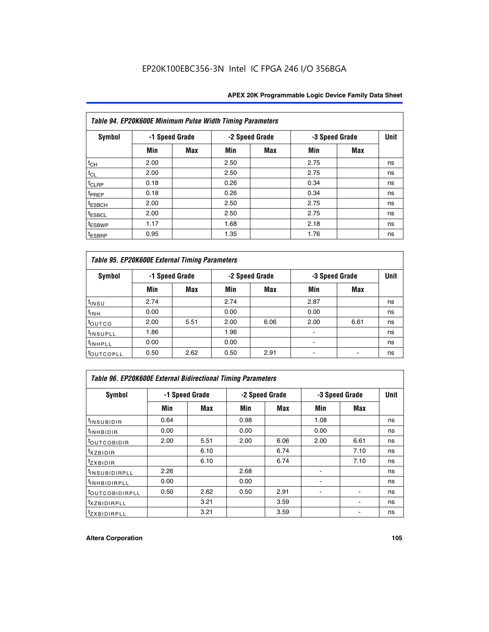| Table 94. EP20K600E Minimum Pulse Width Timing Parameters |      |                |      |                |      |                |    |  |  |
|-----------------------------------------------------------|------|----------------|------|----------------|------|----------------|----|--|--|
| Symbol                                                    |      | -1 Speed Grade |      | -2 Speed Grade |      | -3 Speed Grade |    |  |  |
|                                                           | Min  | Max            | Min  | Max            | Min  | <b>Max</b>     |    |  |  |
| $t_{CH}$                                                  | 2.00 |                | 2.50 |                | 2.75 |                | ns |  |  |
| $t_{CL}$                                                  | 2.00 |                | 2.50 |                | 2.75 |                | ns |  |  |
| t <sub>CLRP</sub>                                         | 0.18 |                | 0.26 |                | 0.34 |                | ns |  |  |
| t <sub>PREP</sub>                                         | 0.18 |                | 0.26 |                | 0.34 |                | ns |  |  |
| <sup>t</sup> ESBCH                                        | 2.00 |                | 2.50 |                | 2.75 |                | ns |  |  |
| <sup>t</sup> ESBCL                                        | 2.00 |                | 2.50 |                | 2.75 |                | ns |  |  |
| <sup>t</sup> ESBWP                                        | 1.17 |                | 1.68 |                | 2.18 |                | ns |  |  |
| <sup>t</sup> ESBRP                                        | 0.95 |                | 1.35 |                | 1.76 |                | ns |  |  |

| Table 95. EP20K600E External Timing Parameters |                |      |      |                |                          |             |    |  |  |
|------------------------------------------------|----------------|------|------|----------------|--------------------------|-------------|----|--|--|
| Symbol                                         | -1 Speed Grade |      |      | -2 Speed Grade | -3 Speed Grade           | <b>Unit</b> |    |  |  |
|                                                | Min            | Max  | Min  | Max            | Min                      | Max         |    |  |  |
| t <sub>insu</sub>                              | 2.74           |      | 2.74 |                | 2.87                     |             | ns |  |  |
| $t_{INH}$                                      | 0.00           |      | 0.00 |                | 0.00                     |             | ns |  |  |
| toutco                                         | 2.00           | 5.51 | 2.00 | 6.06           | 2.00                     | 6.61        | ns |  |  |
| <sup>t</sup> INSUPLL                           | 1.86           |      | 1.96 |                |                          |             | ns |  |  |
| <sup>t</sup> INHPLL                            | 0.00           |      | 0.00 |                | $\overline{\phantom{a}}$ |             | ns |  |  |
| <b>LOUTCOPLL</b>                               | 0.50           | 2.62 | 0.50 | 2.91           |                          |             | ns |  |  |

| Table 96. EP20K600E External Bidirectional Timing Parameters |                |      |      |                |                |             |    |  |  |  |
|--------------------------------------------------------------|----------------|------|------|----------------|----------------|-------------|----|--|--|--|
| Symbol                                                       | -1 Speed Grade |      |      | -2 Speed Grade | -3 Speed Grade | <b>Unit</b> |    |  |  |  |
|                                                              | Min            | Max  | Min  | Max            | Min            | <b>Max</b>  |    |  |  |  |
| <sup>t</sup> INSUBIDIR                                       | 0.64           |      | 0.98 |                | 1.08           |             | ns |  |  |  |
| $t_{\text{INHBIDIR}}$                                        | 0.00           |      | 0.00 |                | 0.00           |             | ns |  |  |  |
| <sup>t</sup> OUTCOBIDIR                                      | 2.00           | 5.51 | 2.00 | 6.06           | 2.00           | 6.61        | ns |  |  |  |
| $t_{XZBIDIR}$                                                |                | 6.10 |      | 6.74           |                | 7.10        | ns |  |  |  |
| $t_{ZXBIDIR}$                                                |                | 6.10 |      | 6.74           |                | 7.10        | ns |  |  |  |
| <sup>t</sup> INSUBIDIRPLL                                    | 2.26           |      | 2.68 |                |                |             | ns |  |  |  |
| <sup>t</sup> INHBIDIRPLL                                     | 0.00           |      | 0.00 |                |                |             | ns |  |  |  |
| <b><i>LOUTCOBIDIRPLL</i></b>                                 | 0.50           | 2.62 | 0.50 | 2.91           |                |             | ns |  |  |  |
| <sup>t</sup> xzbidirpll                                      |                | 3.21 |      | 3.59           |                |             | ns |  |  |  |
| <i>t</i> zxbidirpll                                          |                | 3.21 |      | 3.59           |                | ٠           | ns |  |  |  |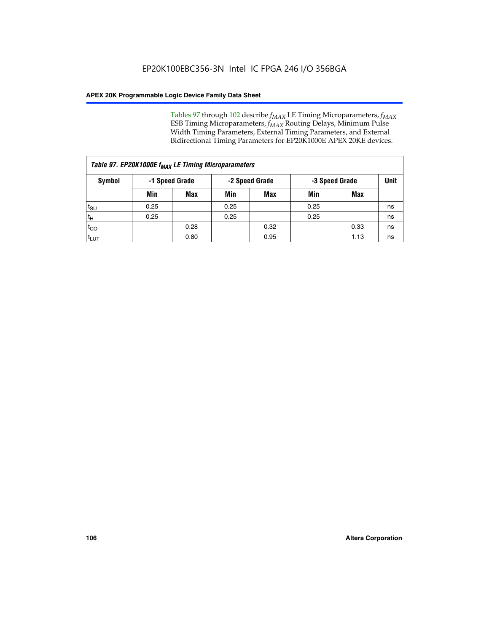Tables 97 through 102 describe  $f_{MAX}$  LE Timing Microparameters,  $f_{MAX}$ ESB Timing Microparameters, *f<sub>MAX</sub>* Routing Delays, Minimum Pulse Width Timing Parameters, External Timing Parameters, and External Bidirectional Timing Parameters for EP20K1000E APEX 20KE devices.

| Table 97. EP20K1000E f <sub>MAX</sub> LE Timing Microparameters |                |            |                |      |                |      |    |  |  |
|-----------------------------------------------------------------|----------------|------------|----------------|------|----------------|------|----|--|--|
| <b>Symbol</b>                                                   | -1 Speed Grade |            | -2 Speed Grade |      | -3 Speed Grade |      |    |  |  |
|                                                                 | Min            | <b>Max</b> | Min            | Max  | Min            | Max  |    |  |  |
| t <sub>SU</sub>                                                 | 0.25           |            | 0.25           |      | 0.25           |      | ns |  |  |
| tн                                                              | 0.25           |            | 0.25           |      | 0.25           |      | ns |  |  |
| $t_{CO}$                                                        |                | 0.28       |                | 0.32 |                | 0.33 | ns |  |  |
| <sup>t</sup> LUT                                                |                | 0.80       |                | 0.95 |                | 1.13 | ns |  |  |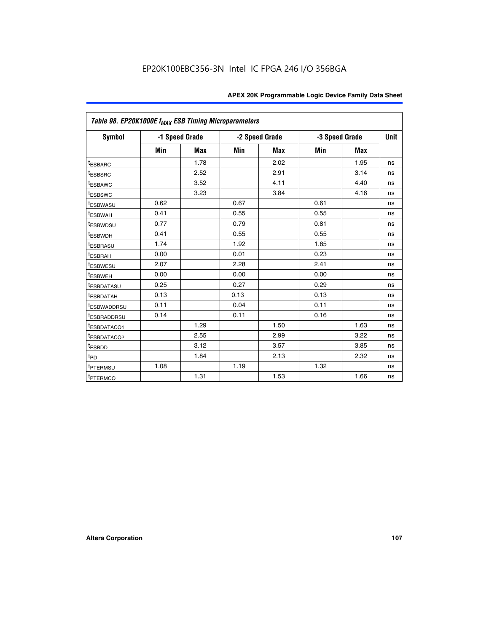|                         | Table 98. EP20K1000E f <sub>MAX</sub> ESB Timing Microparameters |            |      |                |                |             |    |  |  |  |  |
|-------------------------|------------------------------------------------------------------|------------|------|----------------|----------------|-------------|----|--|--|--|--|
| <b>Symbol</b>           | -1 Speed Grade                                                   |            |      | -2 Speed Grade | -3 Speed Grade | <b>Unit</b> |    |  |  |  |  |
|                         | Min                                                              | <b>Max</b> | Min  | <b>Max</b>     | Min            | <b>Max</b>  |    |  |  |  |  |
| <sup>t</sup> ESBARC     |                                                                  | 1.78       |      | 2.02           |                | 1.95        | ns |  |  |  |  |
| <sup>t</sup> ESBSRC     |                                                                  | 2.52       |      | 2.91           |                | 3.14        | ns |  |  |  |  |
| <sup>t</sup> ESBAWC     |                                                                  | 3.52       |      | 4.11           |                | 4.40        | ns |  |  |  |  |
| <sup>t</sup> ESBSWC     |                                                                  | 3.23       |      | 3.84           |                | 4.16        | ns |  |  |  |  |
| <sup>t</sup> ESBWASU    | 0.62                                                             |            | 0.67 |                | 0.61           |             | ns |  |  |  |  |
| t <sub>ESBWAH</sub>     | 0.41                                                             |            | 0.55 |                | 0.55           |             | ns |  |  |  |  |
| <sup>t</sup> ESBWDSU    | 0.77                                                             |            | 0.79 |                | 0.81           |             | ns |  |  |  |  |
| <sup>t</sup> ESBWDH     | 0.41                                                             |            | 0.55 |                | 0.55           |             | ns |  |  |  |  |
| <i><b>LESBRASU</b></i>  | 1.74                                                             |            | 1.92 |                | 1.85           |             | ns |  |  |  |  |
| <sup>t</sup> ESBRAH     | 0.00                                                             |            | 0.01 |                | 0.23           |             | ns |  |  |  |  |
| <sup>t</sup> ESBWESU    | 2.07                                                             |            | 2.28 |                | 2.41           |             | ns |  |  |  |  |
| <sup>t</sup> ESBWEH     | 0.00                                                             |            | 0.00 |                | 0.00           |             | ns |  |  |  |  |
| <sup>t</sup> ESBDATASU  | 0.25                                                             |            | 0.27 |                | 0.29           |             | ns |  |  |  |  |
| <sup>t</sup> ESBDATAH   | 0.13                                                             |            | 0.13 |                | 0.13           |             | ns |  |  |  |  |
| <sup>T</sup> ESBWADDRSU | 0.11                                                             |            | 0.04 |                | 0.11           |             | ns |  |  |  |  |
| <sup>t</sup> ESBRADDRSU | 0.14                                                             |            | 0.11 |                | 0.16           |             | ns |  |  |  |  |
| <sup>t</sup> ESBDATACO1 |                                                                  | 1.29       |      | 1.50           |                | 1.63        | ns |  |  |  |  |
| <sup>t</sup> ESBDATACO2 |                                                                  | 2.55       |      | 2.99           |                | 3.22        | ns |  |  |  |  |
| <sup>t</sup> ESBDD      |                                                                  | 3.12       |      | 3.57           |                | 3.85        | ns |  |  |  |  |
| t <sub>PD</sub>         |                                                                  | 1.84       |      | 2.13           |                | 2.32        | ns |  |  |  |  |
| <sup>t</sup> PTERMSU    | 1.08                                                             |            | 1.19 |                | 1.32           |             | ns |  |  |  |  |
| <sup>t</sup> PTERMCO    |                                                                  | 1.31       |      | 1.53           |                | 1.66        | ns |  |  |  |  |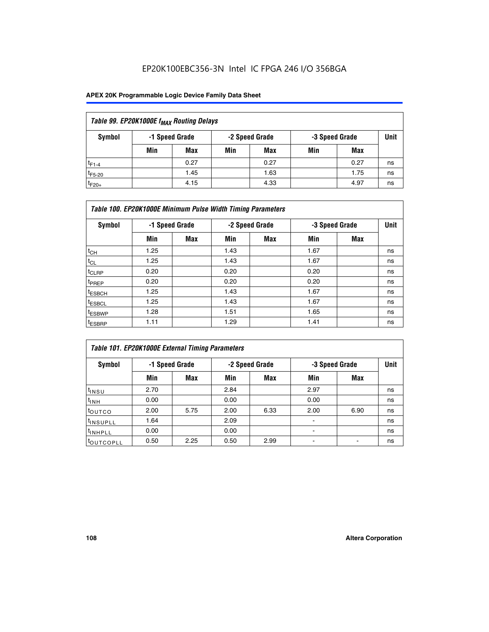## EP20K100EBC356-3N Intel IC FPGA 246 I/O 356BGA

## **APEX 20K Programmable Logic Device Family Data Sheet**

| Table 99. EP20K1000E f <sub>MAX</sub> Routing Delays |                                                    |      |     |      |     |      |    |  |  |  |  |
|------------------------------------------------------|----------------------------------------------------|------|-----|------|-----|------|----|--|--|--|--|
| Symbol                                               | -1 Speed Grade<br>-2 Speed Grade<br>-3 Speed Grade |      |     |      |     |      |    |  |  |  |  |
|                                                      | Min                                                | Max  | Min | Max  | Min | Max  |    |  |  |  |  |
| $t_{F1-4}$                                           |                                                    | 0.27 |     | 0.27 |     | 0.27 | ns |  |  |  |  |
| $t_{F5-20}$                                          |                                                    | 1.45 |     | 1.63 |     | 1.75 | ns |  |  |  |  |
| $t_{F20+}$                                           |                                                    | 4.15 |     | 4.33 |     | 4.97 | ns |  |  |  |  |

|                    | Table 100. EP20K1000E Minimum Pulse Width Timing Parameters |            |      |                |      |                |             |  |  |  |  |  |
|--------------------|-------------------------------------------------------------|------------|------|----------------|------|----------------|-------------|--|--|--|--|--|
| Symbol             | -1 Speed Grade                                              |            |      | -2 Speed Grade |      | -3 Speed Grade | <b>Unit</b> |  |  |  |  |  |
|                    | Min                                                         | <b>Max</b> | Min  | Max            | Min  | Max            |             |  |  |  |  |  |
| $t_{CH}$           | 1.25                                                        |            | 1.43 |                | 1.67 |                | ns          |  |  |  |  |  |
| $t_{CL}$           | 1.25                                                        |            | 1.43 |                | 1.67 |                | ns          |  |  |  |  |  |
| t <sub>CLRP</sub>  | 0.20                                                        |            | 0.20 |                | 0.20 |                | ns          |  |  |  |  |  |
| <sup>t</sup> PREP  | 0.20                                                        |            | 0.20 |                | 0.20 |                | ns          |  |  |  |  |  |
| <sup>t</sup> ESBCH | 1.25                                                        |            | 1.43 |                | 1.67 |                | ns          |  |  |  |  |  |
| <sup>t</sup> ESBCL | 1.25                                                        |            | 1.43 |                | 1.67 |                | ns          |  |  |  |  |  |
| <sup>t</sup> ESBWP | 1.28                                                        |            | 1.51 |                | 1.65 |                | ns          |  |  |  |  |  |
| <sup>t</sup> ESBRP | 1.11                                                        |            | 1.29 |                | 1.41 |                | ns          |  |  |  |  |  |

| Table 101. EP20K1000E External Timing Parameters |      |                |      |                |      |                |             |  |  |  |  |  |
|--------------------------------------------------|------|----------------|------|----------------|------|----------------|-------------|--|--|--|--|--|
| Symbol                                           |      | -1 Speed Grade |      | -2 Speed Grade |      | -3 Speed Grade | <b>Unit</b> |  |  |  |  |  |
|                                                  | Min  | <b>Max</b>     | Min  | <b>Max</b>     | Min  | Max            |             |  |  |  |  |  |
| t <sub>INSU</sub>                                | 2.70 |                | 2.84 |                | 2.97 |                | ns          |  |  |  |  |  |
| $t_{INH}$                                        | 0.00 |                | 0.00 |                | 0.00 |                | ns          |  |  |  |  |  |
| toutco                                           | 2.00 | 5.75           | 2.00 | 6.33           | 2.00 | 6.90           | ns          |  |  |  |  |  |
| tinsupll                                         | 1.64 |                | 2.09 |                |      |                | ns          |  |  |  |  |  |
| <sup>t</sup> INHPLL                              | 0.00 |                | 0.00 |                | -    |                | ns          |  |  |  |  |  |
| toutcopll                                        | 0.50 | 2.25           | 0.50 | 2.99           | -    |                | ns          |  |  |  |  |  |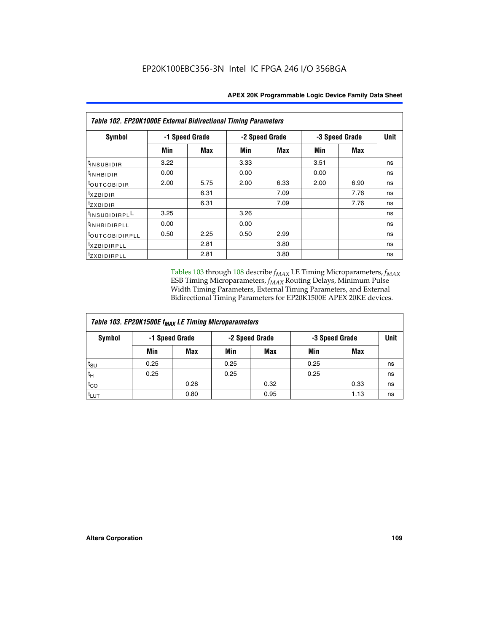| Table 102. EP20K1000E External Bidirectional Timing Parameters |      |                |      |                |                |             |    |  |  |  |
|----------------------------------------------------------------|------|----------------|------|----------------|----------------|-------------|----|--|--|--|
| Symbol                                                         |      | -1 Speed Grade |      | -2 Speed Grade | -3 Speed Grade | <b>Unit</b> |    |  |  |  |
|                                                                | Min  | Max            | Min  | <b>Max</b>     | Min            | <b>Max</b>  |    |  |  |  |
| t <sub>INSUBIDIR</sub>                                         | 3.22 |                | 3.33 |                | 3.51           |             | ns |  |  |  |
| $t_{\rm INHBIDIR}$                                             | 0.00 |                | 0.00 |                | 0.00           |             | ns |  |  |  |
| <sup>t</sup> OUTCOBIDIR                                        | 2.00 | 5.75           | 2.00 | 6.33           | 2.00           | 6.90        | ns |  |  |  |
| $t_{XZBIDIR}$                                                  |      | 6.31           |      | 7.09           |                | 7.76        | ns |  |  |  |
| tzxbidir                                                       |      | 6.31           |      | 7.09           |                | 7.76        | ns |  |  |  |
| <sup>1</sup> INSUBIDIRPL <sup>L</sup>                          | 3.25 |                | 3.26 |                |                |             | ns |  |  |  |
| <sup>t</sup> INHBIDIRPLL                                       | 0.00 |                | 0.00 |                |                |             | ns |  |  |  |
| <sup>t</sup> OUTCOBIDIRPLL                                     | 0.50 | 2.25           | 0.50 | 2.99           |                |             | ns |  |  |  |
| <sup>t</sup> xzBIDIRPLL                                        |      | 2.81           |      | 3.80           |                |             | ns |  |  |  |
| <sup>t</sup> zxbidirpll                                        |      | 2.81           |      | 3.80           |                |             | ns |  |  |  |

Tables 103 through 108 describe  $f_{MAX}$  LE Timing Microparameters,  $f_{MAX}$ ESB Timing Microparameters, *f<sub>MAX</sub>* Routing Delays, Minimum Pulse Width Timing Parameters, External Timing Parameters, and External Bidirectional Timing Parameters for EP20K1500E APEX 20KE devices.

| Table 103. EP20K1500E f <sub>MAX</sub> LE Timing Microparameters |      |                |      |                |      |                |    |  |  |  |  |
|------------------------------------------------------------------|------|----------------|------|----------------|------|----------------|----|--|--|--|--|
| Symbol                                                           |      | -1 Speed Grade |      | -2 Speed Grade |      | -3 Speed Grade |    |  |  |  |  |
|                                                                  | Min  | <b>Max</b>     | Min  | <b>Max</b>     | Min  | Max            |    |  |  |  |  |
| $t_{\text{SU}}$                                                  | 0.25 |                | 0.25 |                | 0.25 |                | ns |  |  |  |  |
| $t_H$                                                            | 0.25 |                | 0.25 |                | 0.25 |                | ns |  |  |  |  |
| $t_{CO}$                                                         |      | 0.28           |      | 0.32           |      | 0.33           | ns |  |  |  |  |
| t <sub>lut</sub>                                                 |      | 0.80           |      | 0.95           |      | 1.13           | ns |  |  |  |  |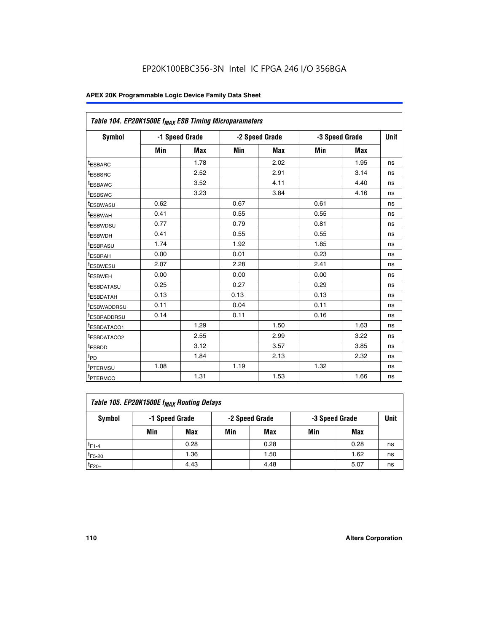|                         | Table 104. EP20K1500E f <sub>MAX</sub> ESB Timing Microparameters |            |            |                |      |                |             |  |  |  |  |  |
|-------------------------|-------------------------------------------------------------------|------------|------------|----------------|------|----------------|-------------|--|--|--|--|--|
| <b>Symbol</b>           | -1 Speed Grade                                                    |            |            | -2 Speed Grade |      | -3 Speed Grade | <b>Unit</b> |  |  |  |  |  |
|                         | Min                                                               | <b>Max</b> | <b>Min</b> | Max            | Min  | Max            |             |  |  |  |  |  |
| <sup>t</sup> ESBARC     |                                                                   | 1.78       |            | 2.02           |      | 1.95           | ns          |  |  |  |  |  |
| t <sub>ESBSRC</sub>     |                                                                   | 2.52       |            | 2.91           |      | 3.14           | ns          |  |  |  |  |  |
| <sup>t</sup> ESBAWC     |                                                                   | 3.52       |            | 4.11           |      | 4.40           | ns          |  |  |  |  |  |
| t <sub>ESBSWC</sub>     |                                                                   | 3.23       |            | 3.84           |      | 4.16           | ns          |  |  |  |  |  |
| t <sub>ESBWASU</sub>    | 0.62                                                              |            | 0.67       |                | 0.61 |                | ns          |  |  |  |  |  |
| t <sub>ESBWAH</sub>     | 0.41                                                              |            | 0.55       |                | 0.55 |                | ns          |  |  |  |  |  |
| <sup>t</sup> ESBWDSU    | 0.77                                                              |            | 0.79       |                | 0.81 |                | ns          |  |  |  |  |  |
| t <sub>ESBWDH</sub>     | 0.41                                                              |            | 0.55       |                | 0.55 |                | ns          |  |  |  |  |  |
| <sup>t</sup> ESBRASU    | 1.74                                                              |            | 1.92       |                | 1.85 |                | ns          |  |  |  |  |  |
| <sup>t</sup> ESBRAH     | 0.00                                                              |            | 0.01       |                | 0.23 |                | ns          |  |  |  |  |  |
| <sup>t</sup> ESBWESU    | 2.07                                                              |            | 2.28       |                | 2.41 |                | ns          |  |  |  |  |  |
| <sup>t</sup> ESBWEH     | 0.00                                                              |            | 0.00       |                | 0.00 |                | ns          |  |  |  |  |  |
| <sup>t</sup> ESBDATASU  | 0.25                                                              |            | 0.27       |                | 0.29 |                | ns          |  |  |  |  |  |
| <sup>t</sup> ESBDATAH   | 0.13                                                              |            | 0.13       |                | 0.13 |                | ns          |  |  |  |  |  |
| <sup>t</sup> ESBWADDRSU | 0.11                                                              |            | 0.04       |                | 0.11 |                | ns          |  |  |  |  |  |
| t <sub>ESBRADDRSU</sub> | 0.14                                                              |            | 0.11       |                | 0.16 |                | ns          |  |  |  |  |  |
| <sup>I</sup> ESBDATACO1 |                                                                   | 1.29       |            | 1.50           |      | 1.63           | ns          |  |  |  |  |  |
| <sup>t</sup> ESBDATACO2 |                                                                   | 2.55       |            | 2.99           |      | 3.22           | ns          |  |  |  |  |  |
| <sup>t</sup> ESBDD      |                                                                   | 3.12       |            | 3.57           |      | 3.85           | ns          |  |  |  |  |  |
| t <sub>PD</sub>         |                                                                   | 1.84       |            | 2.13           |      | 2.32           | ns          |  |  |  |  |  |
| t <sub>PTERMSU</sub>    | 1.08                                                              |            | 1.19       |                | 1.32 |                | ns          |  |  |  |  |  |
| t <sub>PTERMCO</sub>    |                                                                   | 1.31       |            | 1.53           |      | 1.66           | ns          |  |  |  |  |  |

| Table 105. EP20K1500E f <sub>MAX</sub> Routing Delays |     |                |     |                |     |                |    |  |  |  |
|-------------------------------------------------------|-----|----------------|-----|----------------|-----|----------------|----|--|--|--|
| Symbol                                                |     | -1 Speed Grade |     | -2 Speed Grade |     | -3 Speed Grade |    |  |  |  |
|                                                       | Min | Max            | Min | Max            | Min | Max            |    |  |  |  |
| $t_{F1-4}$                                            |     | 0.28           |     | 0.28           |     | 0.28           | ns |  |  |  |
| $t_{F5-20}$                                           |     | 1.36           |     | 1.50           |     | 1.62           | ns |  |  |  |
| $t_{F20+}$                                            |     | 4.43           |     | 4.48           |     | 5.07           | ns |  |  |  |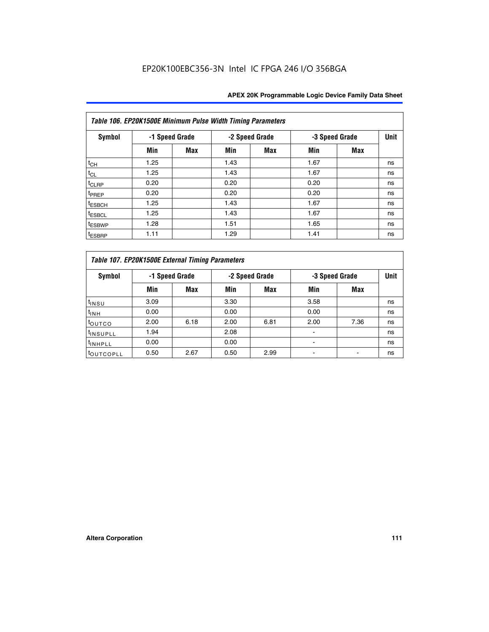|                    | Table 106. EP20K1500E Minimum Pulse Width Timing Parameters |                |      |                |      |                |             |  |  |  |  |  |
|--------------------|-------------------------------------------------------------|----------------|------|----------------|------|----------------|-------------|--|--|--|--|--|
| <b>Symbol</b>      |                                                             | -1 Speed Grade |      | -2 Speed Grade |      | -3 Speed Grade | <b>Unit</b> |  |  |  |  |  |
|                    | Min                                                         | <b>Max</b>     | Min  | Max            | Min  | <b>Max</b>     |             |  |  |  |  |  |
| $t_{CH}$           | 1.25                                                        |                | 1.43 |                | 1.67 |                | ns          |  |  |  |  |  |
| $t_{CL}$           | 1.25                                                        |                | 1.43 |                | 1.67 |                | ns          |  |  |  |  |  |
| $t_{CLRP}$         | 0.20                                                        |                | 0.20 |                | 0.20 |                | ns          |  |  |  |  |  |
| t <sub>PREP</sub>  | 0.20                                                        |                | 0.20 |                | 0.20 |                | ns          |  |  |  |  |  |
| <sup>t</sup> ESBCH | 1.25                                                        |                | 1.43 |                | 1.67 |                | ns          |  |  |  |  |  |
| <sup>t</sup> ESBCL | 1.25                                                        |                | 1.43 |                | 1.67 |                | ns          |  |  |  |  |  |
| <sup>t</sup> ESBWP | 1.28                                                        |                | 1.51 |                | 1.65 |                | ns          |  |  |  |  |  |
| <sup>t</sup> ESBRP | 1.11                                                        |                | 1.29 |                | 1.41 |                | ns          |  |  |  |  |  |

|                      | Table 107. EP20K1500E External Timing Parameters |      |      |                |      |                |             |  |  |  |  |  |  |
|----------------------|--------------------------------------------------|------|------|----------------|------|----------------|-------------|--|--|--|--|--|--|
| Symbol               | -1 Speed Grade                                   |      |      | -2 Speed Grade |      | -3 Speed Grade | <b>Unit</b> |  |  |  |  |  |  |
|                      | Min                                              | Max  | Min  | <b>Max</b>     | Min  | Max            |             |  |  |  |  |  |  |
| <sup>t</sup> insu    | 3.09                                             |      | 3.30 |                | 3.58 |                | ns          |  |  |  |  |  |  |
| $t_{INH}$            | 0.00                                             |      | 0.00 |                | 0.00 |                | ns          |  |  |  |  |  |  |
| toutco               | 2.00                                             | 6.18 | 2.00 | 6.81           | 2.00 | 7.36           | ns          |  |  |  |  |  |  |
| <sup>t</sup> INSUPLL | 1.94                                             |      | 2.08 |                |      |                | ns          |  |  |  |  |  |  |
| <sup>t</sup> INHPLL  | 0.00                                             |      | 0.00 |                |      |                | ns          |  |  |  |  |  |  |
| <b>LOUTCOPLL</b>     | 0.50                                             | 2.67 | 0.50 | 2.99           |      |                | ns          |  |  |  |  |  |  |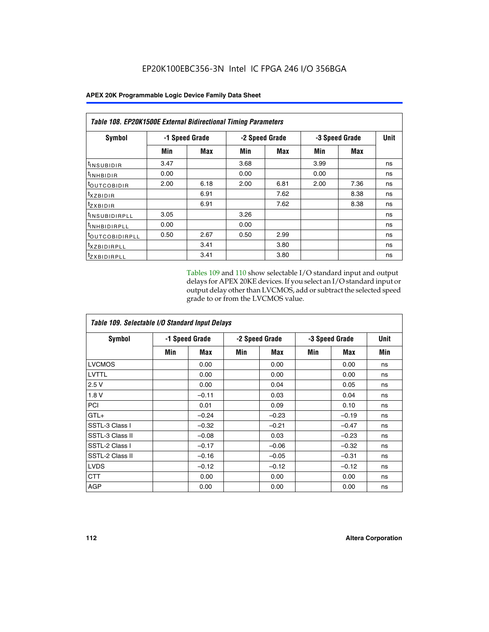| Table 108. EP20K1500E External Bidirectional Timing Parameters |                |      |      |                |                |             |    |  |  |  |
|----------------------------------------------------------------|----------------|------|------|----------------|----------------|-------------|----|--|--|--|
| Symbol                                                         | -1 Speed Grade |      |      | -2 Speed Grade | -3 Speed Grade | <b>Unit</b> |    |  |  |  |
|                                                                | Min            | Max  | Min  | Max            | Min            | <b>Max</b>  |    |  |  |  |
| <sup>t</sup> INSUBIDIR                                         | 3.47           |      | 3.68 |                | 3.99           |             | ns |  |  |  |
| <b>TINHBIDIR</b>                                               | 0.00           |      | 0.00 |                | 0.00           |             | ns |  |  |  |
| <sup>t</sup> OUTCOBIDIR                                        | 2.00           | 6.18 | 2.00 | 6.81           | 2.00           | 7.36        | ns |  |  |  |
| $t_{XZBIDIR}$                                                  |                | 6.91 |      | 7.62           |                | 8.38        | ns |  |  |  |
| <sup>t</sup> zxbidir                                           |                | 6.91 |      | 7.62           |                | 8.38        | ns |  |  |  |
| <sup>t</sup> INSUBIDIRPLL                                      | 3.05           |      | 3.26 |                |                |             | ns |  |  |  |
| <sup>t</sup> INHBIDIRPLL                                       | 0.00           |      | 0.00 |                |                |             | ns |  |  |  |
| <b><i>LOUTCOBIDIRPLL</i></b>                                   | 0.50           | 2.67 | 0.50 | 2.99           |                |             | ns |  |  |  |
| <sup>T</sup> XZBIDIRPLL                                        |                | 3.41 |      | 3.80           |                |             | ns |  |  |  |
| <sup>I</sup> ZXBIDIRPLL                                        |                | 3.41 |      | 3.80           |                |             | ns |  |  |  |

Tables 109 and 110 show selectable I/O standard input and output delays for APEX 20KE devices. If you select an I/O standard input or output delay other than LVCMOS, add or subtract the selected speed grade to or from the LVCMOS value.

| Table 109. Selectable I/O Standard Input Delays |     |                |     |                |     |                |     |  |  |  |  |
|-------------------------------------------------|-----|----------------|-----|----------------|-----|----------------|-----|--|--|--|--|
| <b>Symbol</b>                                   |     | -1 Speed Grade |     | -2 Speed Grade |     | -3 Speed Grade |     |  |  |  |  |
|                                                 | Min | Max            | Min | Max            | Min | Max            | Min |  |  |  |  |
| <b>LVCMOS</b>                                   |     | 0.00           |     | 0.00           |     | 0.00           | ns  |  |  |  |  |
| <b>LVTTL</b>                                    |     | 0.00           |     | 0.00           |     | 0.00           | ns  |  |  |  |  |
| 2.5V                                            |     | 0.00           |     | 0.04           |     | 0.05           | ns  |  |  |  |  |
| 1.8V                                            |     | $-0.11$        |     | 0.03           |     | 0.04           | ns  |  |  |  |  |
| PCI                                             |     | 0.01           |     | 0.09           |     | 0.10           | ns  |  |  |  |  |
| $GTL+$                                          |     | $-0.24$        |     | $-0.23$        |     | $-0.19$        | ns  |  |  |  |  |
| SSTL-3 Class I                                  |     | $-0.32$        |     | $-0.21$        |     | $-0.47$        | ns  |  |  |  |  |
| SSTL-3 Class II                                 |     | $-0.08$        |     | 0.03           |     | $-0.23$        | ns  |  |  |  |  |
| SSTL-2 Class I                                  |     | $-0.17$        |     | $-0.06$        |     | $-0.32$        | ns  |  |  |  |  |
| SSTL-2 Class II                                 |     | $-0.16$        |     | $-0.05$        |     | $-0.31$        | ns  |  |  |  |  |
| <b>LVDS</b>                                     |     | $-0.12$        |     | $-0.12$        |     | $-0.12$        | ns  |  |  |  |  |
| <b>CTT</b>                                      |     | 0.00           |     | 0.00           |     | 0.00           | ns  |  |  |  |  |
| <b>AGP</b>                                      |     | 0.00           |     | 0.00           |     | 0.00           | ns  |  |  |  |  |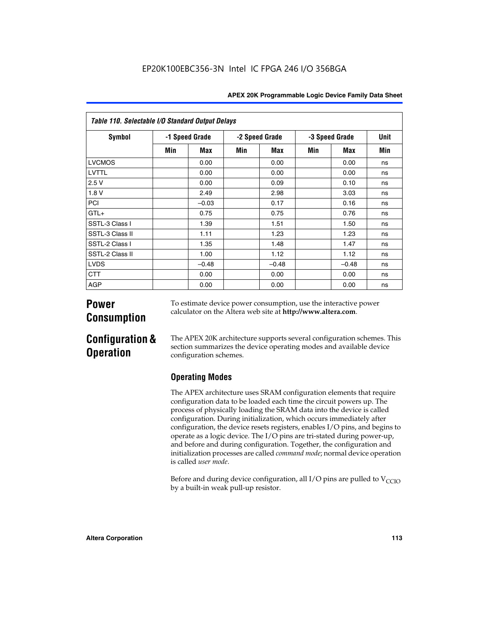| Table 110. Selectable I/O Standard Output Delays |                |         |                |         |                |         |      |  |  |  |  |
|--------------------------------------------------|----------------|---------|----------------|---------|----------------|---------|------|--|--|--|--|
| <b>Symbol</b>                                    | -1 Speed Grade |         | -2 Speed Grade |         | -3 Speed Grade |         | Unit |  |  |  |  |
|                                                  | Min            | Max     | Min            | Max     | Min            | Max     | Min  |  |  |  |  |
| <b>LVCMOS</b>                                    |                | 0.00    |                | 0.00    |                | 0.00    | ns   |  |  |  |  |
| LVTTL                                            |                | 0.00    |                | 0.00    |                | 0.00    | ns   |  |  |  |  |
| 2.5V                                             |                | 0.00    |                | 0.09    |                | 0.10    | ns   |  |  |  |  |
| 1.8 V                                            |                | 2.49    |                | 2.98    |                | 3.03    | ns   |  |  |  |  |
| PCI                                              |                | $-0.03$ |                | 0.17    |                | 0.16    | ns   |  |  |  |  |
| $GTL+$                                           |                | 0.75    |                | 0.75    |                | 0.76    | ns   |  |  |  |  |
| SSTL-3 Class I                                   |                | 1.39    |                | 1.51    |                | 1.50    | ns   |  |  |  |  |
| SSTL-3 Class II                                  |                | 1.11    |                | 1.23    |                | 1.23    | ns   |  |  |  |  |
| SSTL-2 Class I                                   |                | 1.35    |                | 1.48    |                | 1.47    | ns   |  |  |  |  |
| SSTL-2 Class II                                  |                | 1.00    |                | 1.12    |                | 1.12    | ns   |  |  |  |  |
| <b>LVDS</b>                                      |                | $-0.48$ |                | $-0.48$ |                | $-0.48$ | ns   |  |  |  |  |
| <b>CTT</b>                                       |                | 0.00    |                | 0.00    |                | 0.00    | ns   |  |  |  |  |
| <b>AGP</b>                                       |                | 0.00    |                | 0.00    |                | 0.00    | ns   |  |  |  |  |

# **Power Consumption**

To estimate device power consumption, use the interactive power calculator on the Altera web site at **http://www.altera.com**.

# **Configuration & Operation**

The APEX 20K architecture supports several configuration schemes. This section summarizes the device operating modes and available device configuration schemes.

## **Operating Modes**

The APEX architecture uses SRAM configuration elements that require configuration data to be loaded each time the circuit powers up. The process of physically loading the SRAM data into the device is called configuration. During initialization, which occurs immediately after configuration, the device resets registers, enables I/O pins, and begins to operate as a logic device. The I/O pins are tri-stated during power-up, and before and during configuration. Together, the configuration and initialization processes are called *command mode*; normal device operation is called *user mode*.

Before and during device configuration, all I/O pins are pulled to  $V_{\text{CCIO}}$ by a built-in weak pull-up resistor.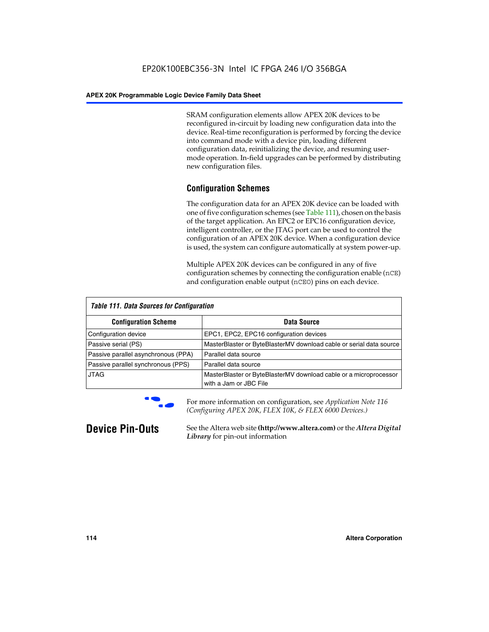SRAM configuration elements allow APEX 20K devices to be reconfigured in-circuit by loading new configuration data into the device. Real-time reconfiguration is performed by forcing the device into command mode with a device pin, loading different configuration data, reinitializing the device, and resuming usermode operation. In-field upgrades can be performed by distributing new configuration files.

## **Configuration Schemes**

The configuration data for an APEX 20K device can be loaded with one of five configuration schemes (see Table 111), chosen on the basis of the target application. An EPC2 or EPC16 configuration device, intelligent controller, or the JTAG port can be used to control the configuration of an APEX 20K device. When a configuration device is used, the system can configure automatically at system power-up.

Multiple APEX 20K devices can be configured in any of five configuration schemes by connecting the configuration enable (nCE) and configuration enable output (nCEO) pins on each device.

| <b>Table 111. Data Sources for Configuration</b> |                                                                                             |
|--------------------------------------------------|---------------------------------------------------------------------------------------------|
| <b>Configuration Scheme</b>                      | Data Source                                                                                 |
| Configuration device                             | EPC1, EPC2, EPC16 configuration devices                                                     |
| Passive serial (PS)                              | MasterBlaster or ByteBlasterMV download cable or serial data source                         |
| Passive parallel asynchronous (PPA)              | Parallel data source                                                                        |
| Passive parallel synchronous (PPS)               | Parallel data source                                                                        |
| <b>JTAG</b>                                      | MasterBlaster or ByteBlasterMV download cable or a microprocessor<br>with a Jam or JBC File |



**For more information on configuration, see Application Note 116** *(Configuring APEX 20K, FLEX 10K, & FLEX 6000 Devices.)*

**Device Pin-Outs** See the Altera web site **(http://www.altera.com)** or the *Altera Digital Library* for pin-out information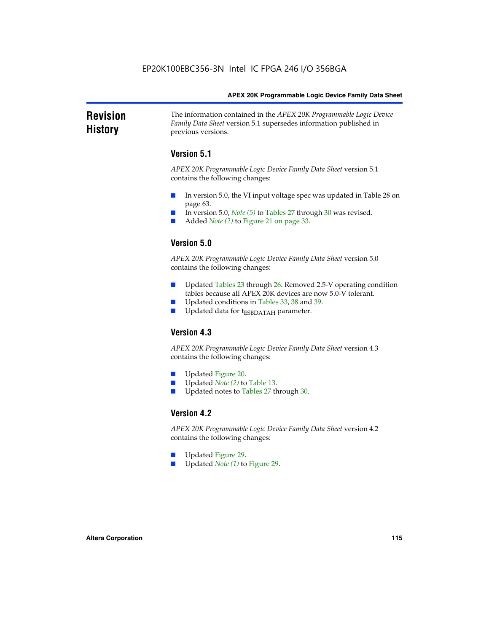### **Revision History** The information contained in the *APEX 20K Programmable Logic Device Family Data Sheet* version 5.1 supersedes information published in previous versions.

## **Version 5.1**

*APEX 20K Programmable Logic Device Family Data Sheet* version 5.1 contains the following changes:

- In version 5.0, the VI input voltage spec was updated in Table 28 on page 63.
- In version 5.0, *Note* (5) to Tables 27 through 30 was revised.
- Added *Note* (2) to Figure 21 on page 33.

## **Version 5.0**

*APEX 20K Programmable Logic Device Family Data Sheet* version 5.0 contains the following changes:

- Updated Tables 23 through 26. Removed 2.5-V operating condition tables because all APEX 20K devices are now 5.0-V tolerant.
- Updated conditions in Tables 33, 38 and 39.
- Updated data for t<sub>ESBDATAH</sub> parameter.

## **Version 4.3**

*APEX 20K Programmable Logic Device Family Data Sheet* version 4.3 contains the following changes:

- Updated Figure 20.
- Updated *Note (2)* to Table 13.
- Updated notes to Tables 27 through 30.

## **Version 4.2**

*APEX 20K Programmable Logic Device Family Data Sheet* version 4.2 contains the following changes:

- Updated Figure 29.
- Updated *Note (1)* to Figure 29.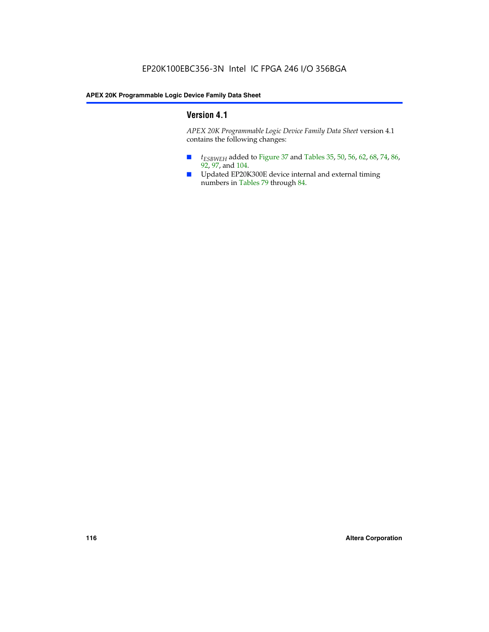## **Version 4.1**

*APEX 20K Programmable Logic Device Family Data Sheet* version 4.1 contains the following changes:

- *t<sub>ESBWEH</sub>* added to Figure 37 and Tables 35, 50, 56, 62, 68, 74, 86, 92, 97, and 104.
- Updated EP20K300E device internal and external timing numbers in Tables 79 through 84.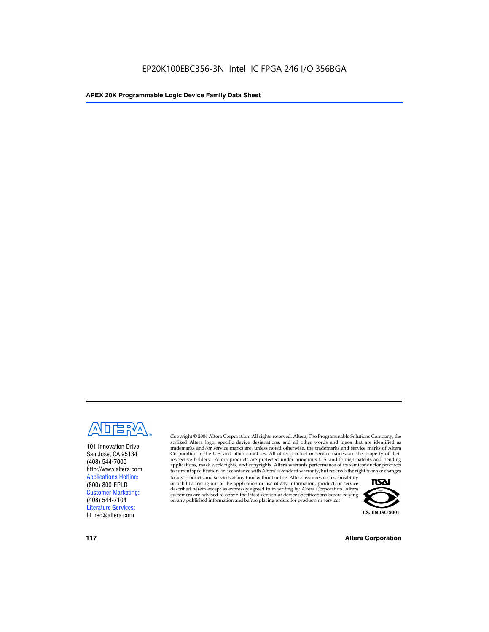

101 Innovation Drive San Jose, CA 95134 (408) 544-7000 http://www.altera.com Applications Hotline: (800) 800-EPLD Customer Marketing: (408) 544-7104 Literature Services: lit\_req@altera.com

Copyright © 2004 Altera Corporation. All rights reserved. Altera, The Programmable Solutions Company, the stylized Altera logo, specific device designations, and all other words and logos that are identified as trademarks and/or service marks are, unless noted otherwise, the trademarks and service marks of Altera Corporation in the U.S. and other countries. All other product or service names are the property of their respective holders. Altera products are protected under numerous U.S. and foreign patents and pending applications, mask work rights, and copyrights. Altera warrants performance of its semiconductor products to current specifications in accordance with Altera's standard warranty, but reserves the right to make changes

to any products and services at any time without notice. Altera assumes no responsibility or liability arising out of the application or use of any information, product, or service described herein except as expressly agreed to in writing by Altera Corporation. Altera customers are advised to obtain the latest version of device specifications before relying on any published information and before placing orders for products or services.



**117 Altera Corporation**